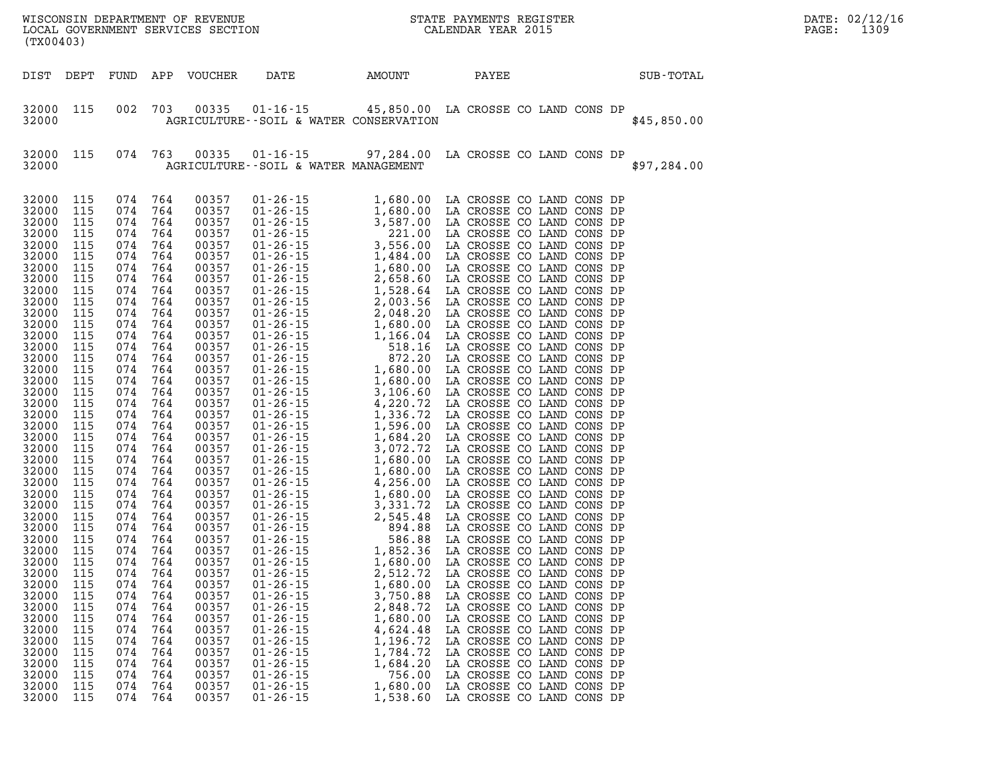| (TX00403)                                                                                                                                                                                                                                                                                                                                                                                                |                                                                                                                                                                                                                                                                                                                  |                                                                                                                                                                                                                                                                                                                  |                                                                                                                                                                                                                                                                                                                  |                                                                                                                                                                                                                                                                                                                                                                                                          |                                                                                                                                                                                                    |                                                                                                                                |                                                                                                                                                                                                                                                                                                                             |  |  |             | DATE: 02/12/16<br>PAGE: | 1309 |
|----------------------------------------------------------------------------------------------------------------------------------------------------------------------------------------------------------------------------------------------------------------------------------------------------------------------------------------------------------------------------------------------------------|------------------------------------------------------------------------------------------------------------------------------------------------------------------------------------------------------------------------------------------------------------------------------------------------------------------|------------------------------------------------------------------------------------------------------------------------------------------------------------------------------------------------------------------------------------------------------------------------------------------------------------------|------------------------------------------------------------------------------------------------------------------------------------------------------------------------------------------------------------------------------------------------------------------------------------------------------------------|----------------------------------------------------------------------------------------------------------------------------------------------------------------------------------------------------------------------------------------------------------------------------------------------------------------------------------------------------------------------------------------------------------|----------------------------------------------------------------------------------------------------------------------------------------------------------------------------------------------------|--------------------------------------------------------------------------------------------------------------------------------|-----------------------------------------------------------------------------------------------------------------------------------------------------------------------------------------------------------------------------------------------------------------------------------------------------------------------------|--|--|-------------|-------------------------|------|
| DIST DEPT                                                                                                                                                                                                                                                                                                                                                                                                |                                                                                                                                                                                                                                                                                                                  | FUND                                                                                                                                                                                                                                                                                                             |                                                                                                                                                                                                                                                                                                                  | APP VOUCHER                                                                                                                                                                                                                                                                                                                                                                                              | DATE                                                                                                                                                                                               | AMOUNT                                                                                                                         | PAYEE                                                                                                                                                                                                                                                                                                                       |  |  | SUB-TOTAL   |                         |      |
| 32000 115<br>32000                                                                                                                                                                                                                                                                                                                                                                                       |                                                                                                                                                                                                                                                                                                                  | 002                                                                                                                                                                                                                                                                                                              | 703                                                                                                                                                                                                                                                                                                              | 00335                                                                                                                                                                                                                                                                                                                                                                                                    | 01-16-15 45,850.00 LA CROSSE CO LAND CONS DP<br>AGRICULTURE--SOIL & WATER CONSERVATION                                                                                                             |                                                                                                                                |                                                                                                                                                                                                                                                                                                                             |  |  | \$45,850.00 |                         |      |
| 32000 115<br>32000                                                                                                                                                                                                                                                                                                                                                                                       |                                                                                                                                                                                                                                                                                                                  | 074                                                                                                                                                                                                                                                                                                              | 763                                                                                                                                                                                                                                                                                                              | 00335                                                                                                                                                                                                                                                                                                                                                                                                    | 01-16-15 97,284.00 LA CROSSE CO LAND CONS DP<br>AGRICULTURE--SOIL & WATER MANAGEMENT                                                                                                               |                                                                                                                                |                                                                                                                                                                                                                                                                                                                             |  |  | \$97,284.00 |                         |      |
| 32000<br>32000<br>32000<br>32000<br>32000<br>32000<br>32000<br>32000<br>32000<br>32000<br>32000<br>32000<br>32000<br>32000<br>32000<br>32000<br>32000<br>32000<br>32000<br>32000<br>32000<br>32000<br>32000<br>32000<br>32000<br>32000<br>32000<br>32000<br>32000<br>32000<br>32000<br>32000<br>32000<br>32000<br>32000<br>32000<br>32000<br>32000<br>32000<br>32000<br>32000<br>32000<br>32000<br>32000 | 115<br>115<br>115<br>115<br>115<br>115<br>115<br>115<br>115<br>115<br>115<br>115<br>115<br>115<br>115<br>115<br>115<br>115<br>115<br>115<br>115<br>115<br>115<br>115<br>115<br>115<br>115<br>115<br>115<br>115<br>115<br>115<br>115<br>115<br>115<br>115<br>115<br>115<br>115<br>115<br>115<br>115<br>115<br>115 | 074<br>074<br>074<br>074<br>074<br>074<br>074<br>074<br>074<br>074<br>074<br>074<br>074<br>074<br>074<br>074<br>074<br>074<br>074<br>074<br>074<br>074<br>074<br>074<br>074<br>074<br>074<br>074<br>074<br>074<br>074<br>074<br>074<br>074<br>074<br>074<br>074<br>074<br>074<br>074<br>074<br>074<br>074<br>074 | 764<br>764<br>764<br>764<br>764<br>764<br>764<br>764<br>764<br>764<br>764<br>764<br>764<br>764<br>764<br>764<br>764<br>764<br>764<br>764<br>764<br>764<br>764<br>764<br>764<br>764<br>764<br>764<br>764<br>764<br>764<br>764<br>764<br>764<br>764<br>764<br>764<br>764<br>764<br>764<br>764<br>764<br>764<br>764 | 00357<br>00357<br>00357<br>00357<br>00357<br>00357<br>00357<br>00357<br>00357<br>00357<br>00357<br>00357<br>00357<br>00357<br>00357<br>00357<br>00357<br>00357<br>00357<br>00357<br>00357<br>00357<br>00357<br>00357<br>00357<br>00357<br>00357<br>00357<br>00357<br>00357<br>00357<br>00357<br>00357<br>00357<br>00357<br>00357<br>00357<br>00357<br>00357<br>00357<br>00357<br>00357<br>00357<br>00357 | $01 - 26 - 15$<br>$01 - 26 - 15$<br>$01 - 26 - 15$<br>$01 - 26 - 15$<br>$01 - 26 - 15$<br>$01 - 26 - 15$<br>$01 - 26 - 15$<br>$01 - 26 - 15$<br>$01 - 26 - 15$<br>$01 - 26 - 15$<br>$01 - 26 - 15$ | 2,512.72<br>1,680.00<br>3,750.88<br>2,848.72<br>1,680.00<br>4,624.48<br>1,196.72<br>1,784.72<br>1,684.20<br>756.00<br>1,680.00 | LA CROSSE CO LAND CONS DP<br>LA CROSSE CO LAND CONS DP<br>LA CROSSE CO LAND CONS DP<br>LA CROSSE CO LAND CONS DP<br>LA CROSSE CO LAND CONS DP<br>LA CROSSE CO LAND CONS DP<br>LA CROSSE CO LAND CONS DP<br>LA CROSSE CO LAND CONS DP<br>LA CROSSE CO LAND CONS DP<br>LA CROSSE CO LAND CONS DP<br>LA CROSSE CO LAND CONS DP |  |  |             |                         |      |
| 32000                                                                                                                                                                                                                                                                                                                                                                                                    | 115                                                                                                                                                                                                                                                                                                              | 074                                                                                                                                                                                                                                                                                                              | 764                                                                                                                                                                                                                                                                                                              | 00357                                                                                                                                                                                                                                                                                                                                                                                                    | $01 - 26 - 15$                                                                                                                                                                                     | 1,538.60                                                                                                                       | LA CROSSE CO LAND CONS DP                                                                                                                                                                                                                                                                                                   |  |  |             |                         |      |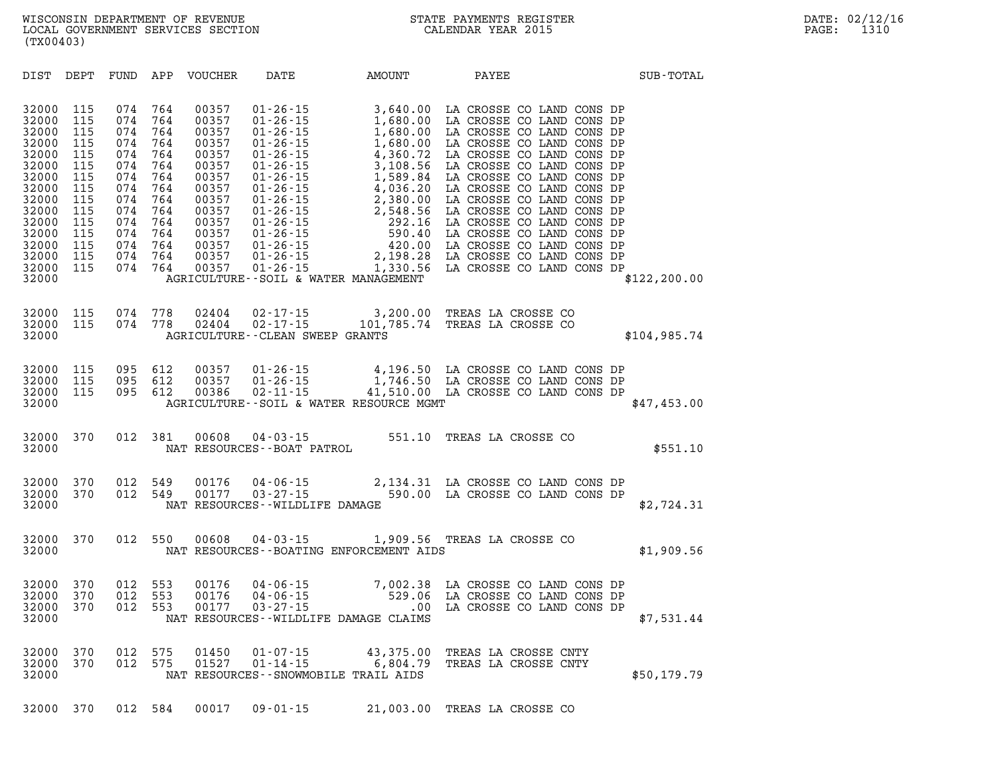| DIST                                                                                                                                         | DEPT                                                                                           | FUND                                                                                           | APP                                                                                            | VOUCHER                                                                                                                             | DATE                              | AMOUNT                                                                      | PAYEE                                                                                                                                                                                           | SUB-TOTAL     |
|----------------------------------------------------------------------------------------------------------------------------------------------|------------------------------------------------------------------------------------------------|------------------------------------------------------------------------------------------------|------------------------------------------------------------------------------------------------|-------------------------------------------------------------------------------------------------------------------------------------|-----------------------------------|-----------------------------------------------------------------------------|-------------------------------------------------------------------------------------------------------------------------------------------------------------------------------------------------|---------------|
| 32000<br>32000<br>32000<br>32000<br>32000<br>32000<br>32000<br>32000<br>32000<br>32000<br>32000<br>32000<br>32000<br>32000<br>32000<br>32000 | 115<br>115<br>115<br>115<br>115<br>115<br>115<br>115<br>115<br>115<br>115<br>115<br>115<br>115 | 074<br>074<br>074<br>074<br>074<br>074<br>074<br>074<br>074<br>074<br>074<br>074<br>074<br>074 | 764<br>764<br>764<br>764<br>764<br>764<br>764<br>764<br>764<br>764<br>764<br>764<br>764<br>764 | 00357<br>00357<br>00357<br>00357<br>00357<br>00357<br>00357<br>00357<br>00357<br>00357<br>00357<br>00357<br>00357<br>00357<br>00357 |                                   | 115 074 764 00357 01-26-15 1,330.56<br>AGRICULTURE--SOIL & WATER MANAGEMENT |                                                                                                                                                                                                 | \$122, 200.00 |
| 32000<br>32000<br>32000                                                                                                                      |                                                                                                | 115 074 778<br>115 074 778                                                                     |                                                                                                |                                                                                                                                     | AGRICULTURE -- CLEAN SWEEP GRANTS |                                                                             | 02404  02-17-15  3,200.00 TREAS LA CROSSE CO<br>02404  02-17-15  101,785.74 TREAS LA CROSSE CO                                                                                                  | \$104,985.74  |
| 32000<br>32000<br>32000<br>32000                                                                                                             | 115<br>115<br>115                                                                              | 095<br>095<br>095 612                                                                          | 612<br>612                                                                                     | 00357<br>00357<br>00386                                                                                                             |                                   | AGRICULTURE--SOIL & WATER RESOURCE MGMT                                     | 01-26-15   4,196.50 LA CROSSE CO LAND CONS DP<br>01-26-15   1,746.50 LA CROSSE CO LAND CONS DP<br>02-11-15   41,510.00 LA CROSSE CO LAND CONS DP                                                | \$47,453.00   |
| 32000<br>32000                                                                                                                               |                                                                                                | 370  012  381                                                                                  |                                                                                                |                                                                                                                                     |                                   |                                                                             | $381 \qquad 00608 \qquad 04 - 03 - 15 \qquad \qquad 551.10 \quad \text{TREAS LA CROSSE CO}$ NAT RESOURCES--BOAT PATROL                                                                          | \$551.10      |
| 32000<br>32000<br>32000                                                                                                                      | 370                                                                                            | 012<br>370 012                                                                                 | 549<br>549                                                                                     |                                                                                                                                     | NAT RESOURCES - - WILDLIFE DAMAGE |                                                                             | $\begin{array}{cccccc} 00176 & 04\cdot 06\cdot 15 & 2\,, 134\, .31 & \text{LA CROSSE CO LAND CONS DP} \\ 00177 & 03\cdot 27\cdot 15 & 590\, .00 & \text{LA CROSSE CO LAND CONS DP} \end{array}$ | \$2,724.31    |
| 32000<br>32000                                                                                                                               |                                                                                                | 370 012                                                                                        | 550                                                                                            |                                                                                                                                     |                                   | NAT RESOURCES - BOATING ENFORCEMENT AIDS                                    | 00608  04-03-15  1,909.56  TREAS LA CROSSE CO                                                                                                                                                   | \$1,909.56    |
| 32000<br>32000<br>32000<br>32000                                                                                                             | 370<br>370<br>370                                                                              | 012<br>012<br>012                                                                              | 553<br>553<br>553                                                                              | 00176<br>00176<br>00177                                                                                                             |                                   | NAT RESOURCES--WILDLIFE DAMAGE CLAIMS                                       | 04-06-15 7,002.38 LA CROSSE CO LAND CONS DP<br>04-06-15 529.06 LA CROSSE CO LAND CONS DP<br>03-27-15 .00 LA CROSSE CO LAND CONS DP                                                              | \$7,531.44    |
| 32000<br>32000<br>32000                                                                                                                      | 370<br>370                                                                                     | 012<br>012                                                                                     | 575<br>575                                                                                     | 01450<br>01527                                                                                                                      |                                   | NAT RESOURCES--SNOWMOBILE TRAIL AIDS                                        | 01-07-15 43,375.00 TREAS LA CROSSE CNTY<br>01-14-15 6,804.79 TREAS LA CROSSE CNTY                                                                                                               | \$50,179.79   |

**32000 370 012 584 00017 09-01-15 21,003.00 TREAS LA CROSSE CO**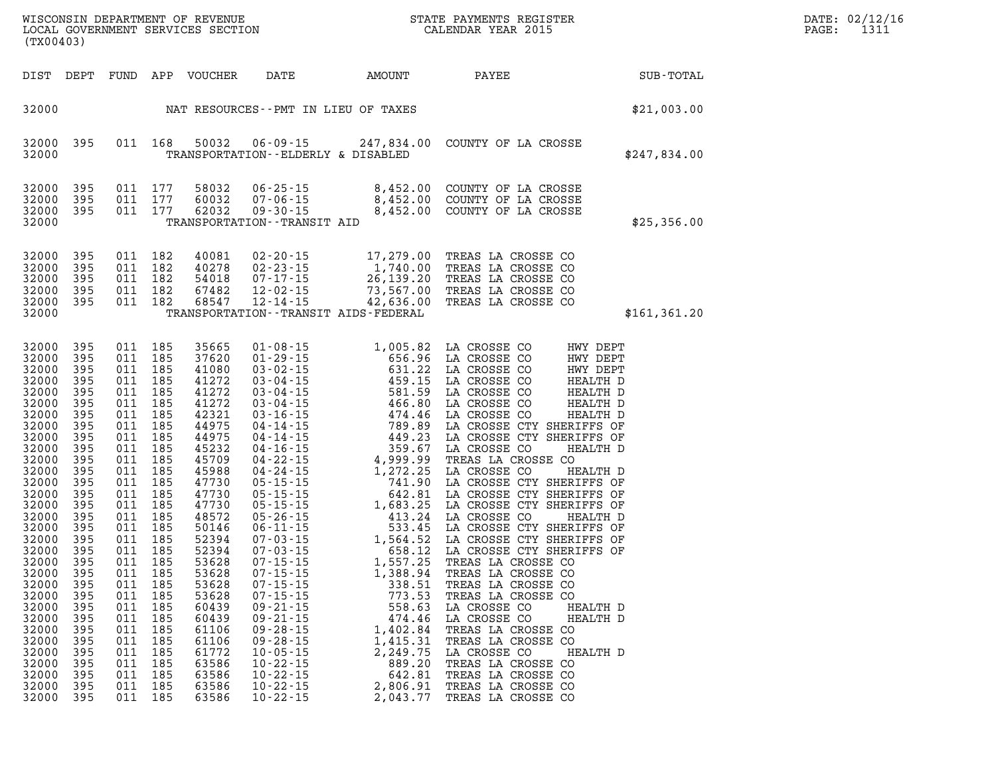| (TX00403)                                                                                                                                                                                                                                                                                    |                                                                                                                                                                                                                              |                                                                                                                                                                                                                              |                                                                                                                                                                                                                              |                                                                                                                                                                                                                                                                                              |                                                                                                                                                                |                                                                                                                                                                                                                                                                                                                                                                                   |                                                                                                                                                                                                                                                                                                                                                                                                                                                                                                                                                                                                                                                                                                                                                                                            |                                                                                  |
|----------------------------------------------------------------------------------------------------------------------------------------------------------------------------------------------------------------------------------------------------------------------------------------------|------------------------------------------------------------------------------------------------------------------------------------------------------------------------------------------------------------------------------|------------------------------------------------------------------------------------------------------------------------------------------------------------------------------------------------------------------------------|------------------------------------------------------------------------------------------------------------------------------------------------------------------------------------------------------------------------------|----------------------------------------------------------------------------------------------------------------------------------------------------------------------------------------------------------------------------------------------------------------------------------------------|----------------------------------------------------------------------------------------------------------------------------------------------------------------|-----------------------------------------------------------------------------------------------------------------------------------------------------------------------------------------------------------------------------------------------------------------------------------------------------------------------------------------------------------------------------------|--------------------------------------------------------------------------------------------------------------------------------------------------------------------------------------------------------------------------------------------------------------------------------------------------------------------------------------------------------------------------------------------------------------------------------------------------------------------------------------------------------------------------------------------------------------------------------------------------------------------------------------------------------------------------------------------------------------------------------------------------------------------------------------------|----------------------------------------------------------------------------------|
| DIST                                                                                                                                                                                                                                                                                         | DEPT                                                                                                                                                                                                                         | FUND                                                                                                                                                                                                                         |                                                                                                                                                                                                                              |                                                                                                                                                                                                                                                                                              | APP VOUCHER DATE AMOUNT                                                                                                                                        |                                                                                                                                                                                                                                                                                                                                                                                   | PAYEE SUB-TOTAL                                                                                                                                                                                                                                                                                                                                                                                                                                                                                                                                                                                                                                                                                                                                                                            |                                                                                  |
| 32000                                                                                                                                                                                                                                                                                        |                                                                                                                                                                                                                              |                                                                                                                                                                                                                              |                                                                                                                                                                                                                              |                                                                                                                                                                                                                                                                                              |                                                                                                                                                                | NAT RESOURCES -- PMT IN LIEU OF TAXES                                                                                                                                                                                                                                                                                                                                             |                                                                                                                                                                                                                                                                                                                                                                                                                                                                                                                                                                                                                                                                                                                                                                                            | \$21,003.00                                                                      |
| 32000<br>32000                                                                                                                                                                                                                                                                               | 395                                                                                                                                                                                                                          | 011                                                                                                                                                                                                                          | 168                                                                                                                                                                                                                          | 50032                                                                                                                                                                                                                                                                                        | TRANSPORTATION - - ELDERLY & DISABLED                                                                                                                          |                                                                                                                                                                                                                                                                                                                                                                                   | 06-09-15 247,834.00 COUNTY OF LA CROSSE                                                                                                                                                                                                                                                                                                                                                                                                                                                                                                                                                                                                                                                                                                                                                    | \$247,834.00                                                                     |
| 32000<br>32000<br>32000<br>32000                                                                                                                                                                                                                                                             | 395<br>395<br>395                                                                                                                                                                                                            | 011<br>011<br>011                                                                                                                                                                                                            | 177<br>177<br>177                                                                                                                                                                                                            | 58032<br>60032<br>62032                                                                                                                                                                                                                                                                      | TRANSPORTATION - - TRANSIT AID                                                                                                                                 |                                                                                                                                                                                                                                                                                                                                                                                   | 06-25-15  8,452.00 COUNTY OF LA CROSSE<br>07-06-15  8,452.00 COUNTY OF LA CROSSE<br>09-30-15  8,452.00 COUNTY OF LA CROSSE                                                                                                                                                                                                                                                                                                                                                                                                                                                                                                                                                                                                                                                                 | \$25,356.00                                                                      |
| 32000<br>32000<br>32000<br>32000<br>32000<br>32000                                                                                                                                                                                                                                           | 395<br>395<br>395<br>395<br>395                                                                                                                                                                                              | 011<br>011<br>011<br>011<br>011                                                                                                                                                                                              | 182<br>182<br>182<br>182<br>182                                                                                                                                                                                              | 40081<br>40278<br>54018<br>67482<br>68547                                                                                                                                                                                                                                                    |                                                                                                                                                                | $\begin{array}{cccc} 02\text{-}20\text{-}15 & 17,279.00 \\ 02\text{-}23\text{-}15 & 1,740.00 \\ 07\text{-}17\text{-}15 & 26,139.20 \\ 12\text{-}02\text{-}15 & 73,567.00 \\ -12\text{-}14\text{-}15 & -842,636.00 \end{array}$<br>TRANSPORTATION - - TRANSIT AIDS - FEDERAL                                                                                                       | TREAS LA CROSSE CO<br>TREAS LA CROSSE CO<br>TREAS LA CROSSE CO<br>TREAS LA CROSSE CO<br>TREAS LA CROSSE CO                                                                                                                                                                                                                                                                                                                                                                                                                                                                                                                                                                                                                                                                                 | \$161,361.20                                                                     |
| 32000<br>32000<br>32000<br>32000<br>32000<br>32000<br>32000<br>32000<br>32000<br>32000<br>32000<br>32000<br>32000<br>32000<br>32000<br>32000<br>32000<br>32000<br>32000<br>32000<br>32000<br>32000<br>32000<br>32000<br>32000<br>32000<br>32000<br>32000<br>32000<br>32000<br>32000<br>32000 | 395<br>395<br>395<br>395<br>395<br>395<br>395<br>395<br>395<br>395<br>395<br>395<br>395<br>395<br>395<br>395<br>395<br>395<br>395<br>395<br>395<br>395<br>395<br>395<br>395<br>395<br>395<br>395<br>395<br>395<br>395<br>395 | 011<br>011<br>011<br>011<br>011<br>011<br>011<br>011<br>011<br>011<br>011<br>011<br>011<br>011<br>011<br>011<br>011<br>011<br>011<br>011<br>011<br>011<br>011<br>011<br>011<br>011<br>011<br>011<br>011<br>011<br>011<br>011 | 185<br>185<br>185<br>185<br>185<br>185<br>185<br>185<br>185<br>185<br>185<br>185<br>185<br>185<br>185<br>185<br>185<br>185<br>185<br>185<br>185<br>185<br>185<br>185<br>185<br>185<br>185<br>185<br>185<br>185<br>185<br>185 | 35665<br>37620<br>41080<br>41272<br>41272<br>41272<br>42321<br>44975<br>44975<br>45232<br>45709<br>45988<br>47730<br>47730<br>47730<br>48572<br>50146<br>52394<br>52394<br>53628<br>53628<br>53628<br>53628<br>60439<br>60439<br>61106<br>61106<br>61772<br>63586<br>63586<br>63586<br>63586 | $09 - 21 - 15$<br>$09 - 21 - 15$<br>$09 - 28 - 15$<br>$09 - 28 - 15$<br>$10 - 05 - 15$<br>$10 - 22 - 15$<br>$10 - 22 - 15$<br>$10 - 22 - 15$<br>$10 - 22 - 15$ | $\begin{array}{cccc} 01-08-15 & 1\,,\,005\,.82 \\ 01-29-15 & 656.96 \\ 03-02-15 & 631.22 \\ 03-04-15 & 459.15 \\ 03-04-15 & 466.80 \\ 04-14-15 & 494.46 \\ 04-14-15 & 499.89 \\ 04-22-15 & 4999.99 \\ 04-24-15 & 359.67 \\ 05-15-15 & 4999.99 \\ 05-15-15 & 542.81 \\ 05-15-$<br>558.63<br>474.46<br>1,402.84<br>1,415.31<br>2,249.75<br>889.20<br>642.81<br>2,806.91<br>2,043.77 | LA CROSSE CO<br>HWY DEPT<br>HWY DEPT<br>HWY DEPT<br>HEALTH D<br>HEALTH D<br>HEALTH D<br>LA CROSSE CO<br>LA CROSSE CO<br>LA CROSSE CO<br>LA CROSSE CO<br>LA CROSSE CO<br>HEALTH D<br>LA CROSSE CO<br>LA CROSSE CTY SHERIFFS OF<br>LA CROSSE CTY SHERIFFS OF<br>LA CROSSE CO<br>TREAS LA CROSSE CO<br>LA CROSSE CO<br>LA CROSSE CTY SHERIFFS OF<br>LA CROSSE CTY SHERIFFS OF<br>LA CROSSE CTY SHERIFFS OF<br>LA CROSSE CO<br>LA CROSSE CTY SHERIFFS OF<br>LA CROSSE CTY SHERIFFS OF<br>LA CROSSE CTY SHERIFFS OF<br>TREAS LA CROSSE CO<br>TREAS LA CROSSE CO<br>TREAS LA CROSSE CO<br>TREAS LA CROSSE CO<br>LA CROSSE CO<br>LA CROSSE CO<br>TREAS LA CROSSE CO<br>TREAS LA CROSSE CO<br>LA CROSSE CO<br>TREAS LA CROSSE CO<br>TREAS LA CROSSE CO<br>TREAS LA CROSSE CO<br>TREAS LA CROSSE CO | HEALTH D<br>HEALTH D<br>HEALTH D<br>HEALTH D<br>HEALTH D<br>HEALTH D<br>HEALTH D |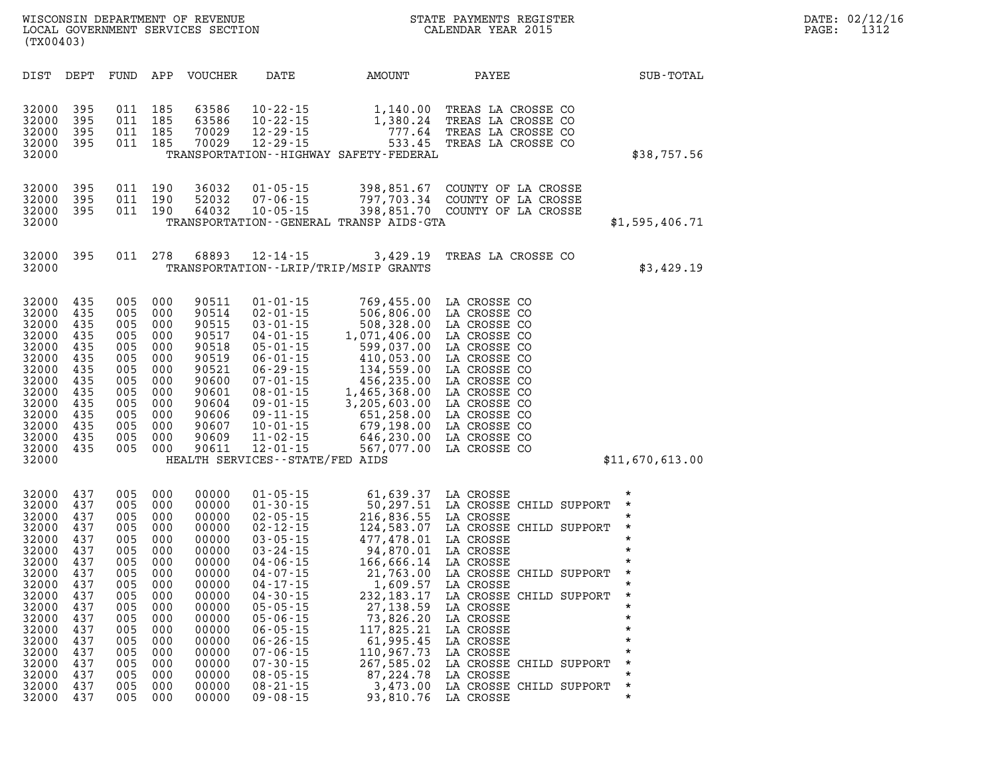|           | WISCONSIN DEPARTMENT OF REVENUE   |  |  |  |
|-----------|-----------------------------------|--|--|--|
|           | LOCAL GOVERNMENT SERVICES SECTION |  |  |  |
| (TX00403) |                                   |  |  |  |

| DIST                                                                                                                                                           | DEPT                                                                                                                       | FUND                                                                                                                       | APP                                                                                                                        | <b>VOUCHER</b>                                                                                                                                                 | DATE                                                                                                                                                                                                                                                                                                                             | AMOUNT                                                                                                                                                                                                                                           | PAYEE                                                                                                                                                                                                                                                                                                                      | SUB-TOTAL                                                                                                                                                                                              |
|----------------------------------------------------------------------------------------------------------------------------------------------------------------|----------------------------------------------------------------------------------------------------------------------------|----------------------------------------------------------------------------------------------------------------------------|----------------------------------------------------------------------------------------------------------------------------|----------------------------------------------------------------------------------------------------------------------------------------------------------------|----------------------------------------------------------------------------------------------------------------------------------------------------------------------------------------------------------------------------------------------------------------------------------------------------------------------------------|--------------------------------------------------------------------------------------------------------------------------------------------------------------------------------------------------------------------------------------------------|----------------------------------------------------------------------------------------------------------------------------------------------------------------------------------------------------------------------------------------------------------------------------------------------------------------------------|--------------------------------------------------------------------------------------------------------------------------------------------------------------------------------------------------------|
| 32000<br>32000<br>32000<br>32000<br>32000                                                                                                                      | 395<br>395<br>395<br>395                                                                                                   | 011<br>011<br>011<br>011                                                                                                   | 185<br>185<br>185<br>185                                                                                                   | 63586<br>63586<br>70029<br>70029                                                                                                                               | $10 - 22 - 15$<br>$10 - 22 - 15$<br>$12 - 29 - 15$<br>$12 - 29 - 15$                                                                                                                                                                                                                                                             | 1,140.00<br>1,380.24<br>777.64<br>533.45<br>TRANSPORTATION - - HIGHWAY SAFETY - FEDERAL                                                                                                                                                          | TREAS LA CROSSE CO<br>TREAS LA CROSSE CO<br>TREAS LA CROSSE CO<br>TREAS LA CROSSE CO                                                                                                                                                                                                                                       | \$38,757.56                                                                                                                                                                                            |
| 32000<br>32000<br>32000<br>32000                                                                                                                               | 395<br>395<br>395                                                                                                          | 011<br>011<br>011                                                                                                          | 190<br>190<br>190                                                                                                          | 36032<br>52032<br>64032                                                                                                                                        | $01 - 05 - 15$<br>$07 - 06 - 15$<br>$10 - 05 - 15$                                                                                                                                                                                                                                                                               | 398,851.67<br>797,703.34<br>398,851.70<br>TRANSPORTATION--GENERAL TRANSP AIDS-GTA                                                                                                                                                                | COUNTY OF LA CROSSE<br>COUNTY OF LA CROSSE<br>COUNTY OF LA CROSSE                                                                                                                                                                                                                                                          | \$1,595,406.71                                                                                                                                                                                         |
| 32000<br>32000                                                                                                                                                 | 395                                                                                                                        | 011                                                                                                                        | 278                                                                                                                        | 68893                                                                                                                                                          | $12 - 14 - 15$                                                                                                                                                                                                                                                                                                                   | 3,429.19<br>TRANSPORTATION--LRIP/TRIP/MSIP GRANTS                                                                                                                                                                                                | TREAS LA CROSSE CO                                                                                                                                                                                                                                                                                                         | \$3,429.19                                                                                                                                                                                             |
| 32000<br>32000<br>32000<br>32000<br>32000<br>32000<br>32000<br>32000<br>32000<br>32000<br>32000<br>32000<br>32000<br>32000<br>32000                            | 435<br>435<br>435<br>435<br>435<br>435<br>435<br>435<br>435<br>435<br>435<br>435<br>435<br>435                             | 005<br>005<br>005<br>005<br>005<br>005<br>005<br>005<br>005<br>005<br>005<br>005<br>005<br>005                             | 000<br>000<br>000<br>000<br>000<br>000<br>000<br>000<br>000<br>000<br>000<br>000<br>000<br>000                             | 90511<br>90514<br>90515<br>90517<br>90518<br>90519<br>90521<br>90600<br>90601<br>90604<br>90606<br>90607<br>90609<br>90611                                     | $01 - 01 - 15$<br>$02 - 01 - 15$<br>$03 - 01 - 15$<br>$04 - 01 - 15$<br>$05 - 01 - 15$<br>$06 - 01 - 15$<br>$06 - 29 - 15$<br>$07 - 01 - 15$<br>$08 - 01 - 15$<br>$09 - 01 - 15$<br>$09 - 11 - 15$<br>$10 - 01 - 15$<br>$11 - 02 - 15$<br>$12 - 01 - 15$<br>HEALTH SERVICES--STATE/FED AIDS                                      | 769,455.00<br>506,806.00<br>508,328.00<br>1,071,406.00<br>599,037.00<br>410,053.00<br>134,559.00<br>456,235.00<br>1,465,368.00<br>3,205,603.00<br>651,258.00<br>679,198.00<br>646,230.00<br>567,077.00                                           | LA CROSSE CO<br>LA CROSSE CO<br>LA CROSSE CO<br>LA CROSSE CO<br>LA CROSSE CO<br>LA CROSSE CO<br>LA CROSSE CO<br>LA CROSSE CO<br>LA CROSSE CO<br>LA CROSSE CO<br>LA CROSSE CO<br>LA CROSSE CO<br>LA CROSSE CO<br>LA CROSSE CO                                                                                               | \$11,670,613.00                                                                                                                                                                                        |
| 32000<br>32000<br>32000<br>32000<br>32000<br>32000<br>32000<br>32000<br>32000<br>32000<br>32000<br>32000<br>32000<br>32000<br>32000<br>32000<br>32000<br>32000 | 437<br>437<br>437<br>437<br>437<br>437<br>437<br>437<br>437<br>437<br>437<br>437<br>437<br>437<br>437<br>437<br>437<br>437 | 005<br>005<br>005<br>005<br>005<br>005<br>005<br>005<br>005<br>005<br>005<br>005<br>005<br>005<br>005<br>005<br>005<br>005 | 000<br>000<br>000<br>000<br>000<br>000<br>000<br>000<br>000<br>000<br>000<br>000<br>000<br>000<br>000<br>000<br>000<br>000 | 00000<br>00000<br>00000<br>00000<br>00000<br>00000<br>00000<br>00000<br>00000<br>00000<br>00000<br>00000<br>00000<br>00000<br>00000<br>00000<br>00000<br>00000 | $01 - 05 - 15$<br>$01 - 30 - 15$<br>$02 - 05 - 15$<br>$02 - 12 - 15$<br>$03 - 05 - 15$<br>$03 - 24 - 15$<br>$04 - 06 - 15$<br>$04 - 07 - 15$<br>$04 - 17 - 15$<br>$04 - 30 - 15$<br>$05 - 05 - 15$<br>$05 - 06 - 15$<br>$06 - 05 - 15$<br>$06 - 26 - 15$<br>$07 - 06 - 15$<br>$07 - 30 - 15$<br>$08 - 05 - 15$<br>$08 - 21 - 15$ | 61,639.37<br>50,297.51<br>216,836.55<br>124,583.07<br>477,478.01<br>94,870.01<br>166,666.14<br>21,763.00<br>1,609.57<br>232, 183. 17<br>27, 138.59<br>73,826.20<br>117,825.21<br>61,995.45<br>110,967.73<br>267,585.02<br>87, 224.78<br>3,473.00 | LA CROSSE<br>LA CROSSE CHILD SUPPORT<br>LA CROSSE<br>LA CROSSE CHILD SUPPORT<br>LA CROSSE<br>LA CROSSE<br>LA CROSSE<br>LA CROSSE CHILD SUPPORT<br>LA CROSSE<br>LA CROSSE CHILD SUPPORT<br>LA CROSSE<br>LA CROSSE<br>LA CROSSE<br>LA CROSSE<br>LA CROSSE<br>LA CROSSE CHILD SUPPORT<br>LA CROSSE<br>LA CROSSE CHILD SUPPORT | $^\star$<br>$\star$<br>$^\star$<br>$\star$<br>$\star$<br>$\star$<br>$\star$<br>$^\star$<br>$\star$<br>$^\star$<br>$\star$<br>$\star$<br>$\star$<br>$\star$<br>$\star$<br>$\star$<br>$\star$<br>$\star$ |

**32000 437 005 000 00000 09-08-15 93,810.76 LA CROSSE \*** 

CALENDAR YEAR 2015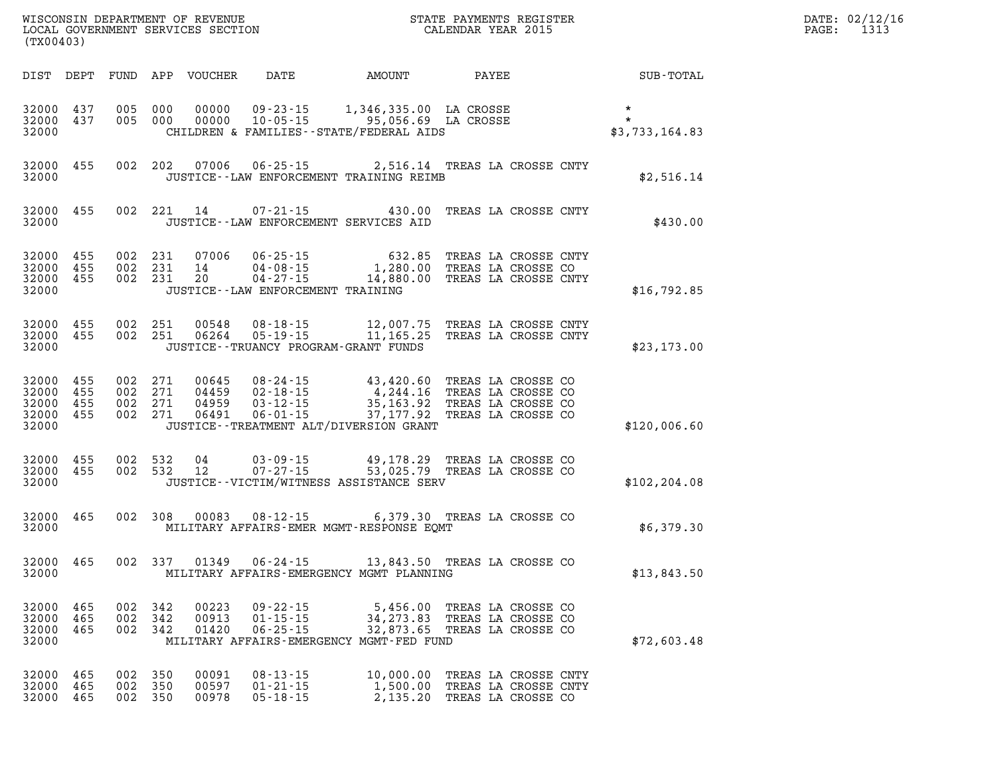| DATE: | 02/12/16 |
|-------|----------|
| PAGE: | 1313     |

| WISCONSIN DEPARTMENT OF REVENUE<br>LOCAL GOVERNMENT SERVICES SECTION<br>CALENDAR YEAR 2015<br>(TX00403) |                                                           |           |                    | DATE: 02/12/1<br>STATE PAYMENTS REGISTER<br>$\mathtt{PAGE:}$ |                         |                                                    |                                                                                                                                                                                                                                                                       |  |                                                               |                                                        |  |
|---------------------------------------------------------------------------------------------------------|-----------------------------------------------------------|-----------|--------------------|--------------------------------------------------------------|-------------------------|----------------------------------------------------|-----------------------------------------------------------------------------------------------------------------------------------------------------------------------------------------------------------------------------------------------------------------------|--|---------------------------------------------------------------|--------------------------------------------------------|--|
|                                                                                                         |                                                           |           |                    |                                                              |                         |                                                    |                                                                                                                                                                                                                                                                       |  |                                                               | DIST DEPT FUND APP VOUCHER DATE AMOUNT PAYEE SUB-TOTAL |  |
|                                                                                                         | 32000 437<br>32000 437<br>32000                           |           |                    |                                                              |                         |                                                    | 005 000 00000 09-23-15 1,346,335.00 LA CROSSE *<br>005 000 00000 10-05-15 95,056.69 LA CROSSE * *<br>CHILDREN & FAMILIES--STATE/FEDERAL AIDS * \$3,                                                                                                                   |  |                                                               | \$3,733,164.83                                         |  |
|                                                                                                         | 32000                                                     | 32000 455 |                    |                                                              |                         |                                                    | 002 202 07006 06-25-15 2,516.14 TREAS LA CROSSE CNTY<br>JUSTICE -- LAW ENFORCEMENT TRAINING REIMB                                                                                                                                                                     |  |                                                               | \$2,516.14                                             |  |
|                                                                                                         | 32000 455<br>32000                                        |           |                    |                                                              |                         |                                                    | 002 221 14 07-21-15 430.00 TREAS LA CROSSE CNTY<br>JUSTICE -- LAW ENFORCEMENT SERVICES AID                                                                                                                                                                            |  |                                                               | \$430.00                                               |  |
|                                                                                                         | 32000 455<br>32000 455<br>32000 455<br>32000              |           |                    |                                                              |                         | JUSTICE - - LAW ENFORCEMENT TRAINING               | 002 231 07006 06-25-15 632.85 TREAS LA CROSSE CNTY<br>002 231 14 04-08-15 1,280.00 TREAS LA CROSSE CO<br>002 231 20 04-27-15 14,880.00 TREAS LA CROSSE CNTY                                                                                                           |  |                                                               | \$16,792.85                                            |  |
|                                                                                                         | 32000 455<br>32000 455<br>32000                           |           |                    |                                                              | 002 251 00548           |                                                    | 002  251  00548  08-18-15  12,007.75  TREAS LA CROSSE CNTY<br>002  251  06264  05-19-15  11,165.25  TREAS LA CROSSE CNTY<br>JUSTICE - - TRUANCY PROGRAM - GRANT FUNDS                                                                                                 |  |                                                               | \$23,173.00                                            |  |
|                                                                                                         | 32000 455<br>32000 455<br>32000 455<br>32000 455<br>32000 |           |                    |                                                              |                         |                                                    | 002 271 00645 08-24-15 43,420.60 TREAS LA CROSSE CO<br>002 271 04459 02-18-15 4,244.16 TREAS LA CROSSE CO<br>002 271 04959 03-12-15 35,163.92 TREAS LA CROSSE CO<br>002 271 06491 06-01-15 - 37,177.92 TREAS LA CROSSE CO<br>JUSTICE -- TREATMENT ALT/DIVERSION GRANT |  |                                                               | \$120,006.60                                           |  |
|                                                                                                         | 32000 455<br>32000 455<br>32000                           |           |                    |                                                              |                         |                                                    | 002 532 04 03-09-15 49,178.29 TREAS LA CROSSE CO<br>002 532 12 07-27-15 53,025.79 TREAS LA CROSSE CO<br>JUSTICE--VICTIM/WITNESS ASSISTANCE SERV                                                                                                                       |  |                                                               | \$102, 204.08                                          |  |
|                                                                                                         | 32000 465<br>32000                                        |           |                    |                                                              |                         |                                                    | 002 308 00083 08-12-15 6,379.30 TREAS LA CROSSE CO<br>MILITARY AFFAIRS-EMER MGMT-RESPONSE EQMT                                                                                                                                                                        |  |                                                               | \$6,379.30                                             |  |
|                                                                                                         | 32000 465                                                 |           |                    |                                                              |                         |                                                    | 002 337 01349 06-24-15 13,843.50 TREAS LA CROSSE CO<br>32000 MILITARY AFFAIRS-EMERGENCY MGMT PLANNING                                                                                                                                                                 |  |                                                               | \$13,843.50                                            |  |
|                                                                                                         | 32000 465<br>32000 465<br>32000 465<br>32000              |           |                    | 002 342<br>002 342<br>002 342                                | 00223<br>00913<br>01420 | 09 - 22 - 15<br>$06 - 25 - 15$                     | 5,456.00 TREAS LA CROSSE CO<br>01-15-15 34,273.83 TREAS LA CROSSE CO<br>32,873.65 TREAS LA CROSSE CO<br>MILITARY AFFAIRS-EMERGENCY MGMT-FED FUND                                                                                                                      |  |                                                               | \$72,603.48                                            |  |
|                                                                                                         | 32000 465<br>32000 465<br>32000 465                       |           | 002 350<br>002 350 | 002 350                                                      | 00091<br>00597<br>00978 | $08 - 13 - 15$<br>$01 - 21 - 15$<br>$05 - 18 - 15$ | 1,500.00 TREAS LA CROSSE CNTY                                                                                                                                                                                                                                         |  | 10,000.00 TREAS LA CROSSE CNTY<br>2,135.20 TREAS LA CROSSE CO |                                                        |  |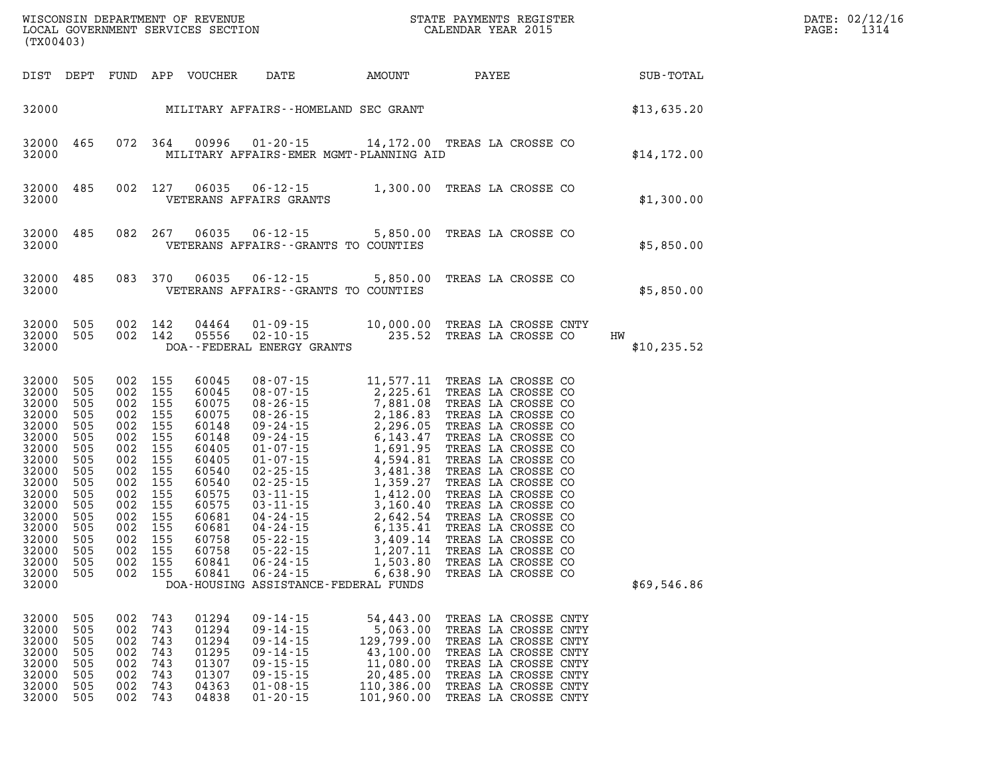| (TX00403)                                                                                                                                                                       |                                                                                                              |                                                                                                                                                                                                    |                                                      |                                                                                                                                                                |                                                                                                                                              |                                                                                                        |                                                                                                                                                                                              | $\mathbb{E} \mathbf{R}$ | DATE: 02/12/1<br>1314<br>PAGE:                         |  |
|---------------------------------------------------------------------------------------------------------------------------------------------------------------------------------|--------------------------------------------------------------------------------------------------------------|----------------------------------------------------------------------------------------------------------------------------------------------------------------------------------------------------|------------------------------------------------------|----------------------------------------------------------------------------------------------------------------------------------------------------------------|----------------------------------------------------------------------------------------------------------------------------------------------|--------------------------------------------------------------------------------------------------------|----------------------------------------------------------------------------------------------------------------------------------------------------------------------------------------------|-------------------------|--------------------------------------------------------|--|
|                                                                                                                                                                                 |                                                                                                              |                                                                                                                                                                                                    |                                                      |                                                                                                                                                                |                                                                                                                                              |                                                                                                        |                                                                                                                                                                                              |                         | DIST DEPT FUND APP VOUCHER DATE AMOUNT PAYEE SUB-TOTAL |  |
|                                                                                                                                                                                 |                                                                                                              |                                                                                                                                                                                                    |                                                      |                                                                                                                                                                | 32000 MILITARY AFFAIRS - HOMELAND SEC GRANT                                                                                                  |                                                                                                        |                                                                                                                                                                                              |                         | \$13,635.20                                            |  |
| 32000 465<br>32000                                                                                                                                                              |                                                                                                              |                                                                                                                                                                                                    |                                                      |                                                                                                                                                                | 072 364 00996 01-20-15 14,172.00 TREAS LA CROSSE CO<br>MILITARY AFFAIRS-EMER MGMT-PLANNING AID                                               |                                                                                                        |                                                                                                                                                                                              |                         | \$14,172.00                                            |  |
| 32000 485<br>32000                                                                                                                                                              |                                                                                                              |                                                                                                                                                                                                    |                                                      |                                                                                                                                                                | 002 127 06035 06-12-15 1,300.00 TREAS LA CROSSE CO<br>VETERANS AFFAIRS GRANTS                                                                |                                                                                                        |                                                                                                                                                                                              |                         | \$1,300.00                                             |  |
| 32000 485<br>32000                                                                                                                                                              |                                                                                                              |                                                                                                                                                                                                    |                                                      | 082 267 06035                                                                                                                                                  | 06-12-15 5,850.00 TREAS LA CROSSE CO<br>VETERANS AFFAIRS--GRANTS TO COUNTIES                                                                 |                                                                                                        |                                                                                                                                                                                              |                         | \$5,850.00                                             |  |
| 32000 485<br>32000                                                                                                                                                              |                                                                                                              |                                                                                                                                                                                                    |                                                      |                                                                                                                                                                | 083 370 06035 06-12-15 5,850.00 TREAS LA CROSSE CO<br>VETERANS AFFAIRS--GRANTS TO COUNTIES                                                   |                                                                                                        |                                                                                                                                                                                              |                         | \$5,850.00                                             |  |
| 32000 505<br>32000 505<br>32000                                                                                                                                                 |                                                                                                              |                                                                                                                                                                                                    |                                                      | 002 142 04464<br>002 142 05556                                                                                                                                 | 01-09-15 $10,000.00$ TREAS LA CROSSE CNTY<br>02-10-15 235.52 TREAS LA CROSSE CO<br>DOA--FEDERAL ENERGY GRANTS                                |                                                                                                        |                                                                                                                                                                                              |                         | HW<br>\$10, 235.52                                     |  |
| 32000<br>32000<br>32000<br>32000<br>32000<br>32000<br>32000<br>32000<br>32000<br>32000<br>32000<br>32000<br>32000<br>32000<br>32000<br>32000<br>32000 505<br>32000 505<br>32000 | 505<br>505<br>505<br>505<br>505<br>505<br>505<br>505<br>505<br>505<br>505<br>505<br>505<br>505<br>505<br>505 | 002 155<br>002 155<br>002 155<br>002 155<br>002 155<br>002 155<br>002 155<br>002 155<br>002 155<br>002 155<br>002 155<br>002 155<br>002 155<br>002 155<br>002 155<br>002 155<br>002 155<br>002 155 |                                                      | 60045<br>60045<br>60075<br>60075<br>60148<br>60148<br>60405<br>60405<br>60540<br>60540<br>60575<br>60575<br>60681<br>60681<br>60758<br>60758<br>60841<br>60841 | DOA-HOUSING ASSISTANCE-FEDERAL FUNDS                                                                                                         |                                                                                                        |                                                                                                                                                                                              |                         | \$69,546.86                                            |  |
| 32000<br>32000<br>32000<br>32000<br>32000<br>32000<br>32000<br>32000                                                                                                            | 505<br>505<br>505<br>505<br>505<br>505<br>505<br>505                                                         | 002<br>002<br>002<br>002<br>002<br>002<br>002<br>002                                                                                                                                               | 743<br>743<br>743<br>743<br>743<br>743<br>743<br>743 | 01294<br>01294<br>01294<br>01295<br>01307<br>01307<br>04363<br>04838                                                                                           | $09 - 14 - 15$<br>$09 - 14 - 15$<br>$09 - 14 - 15$<br>$09 - 14 - 15$<br>$09 - 15 - 15$<br>$09 - 15 - 15$<br>$01 - 08 - 15$<br>$01 - 20 - 15$ | 54,443.00<br>5,063.00<br>129,799.00<br>43,100.00<br>11,080.00<br>20,485.00<br>110,386.00<br>101,960.00 | TREAS LA CROSSE CNTY<br>TREAS LA CROSSE CNTY<br>TREAS LA CROSSE CNTY<br>TREAS LA CROSSE CNTY<br>TREAS LA CROSSE CNTY<br>TREAS LA CROSSE CNTY<br>TREAS LA CROSSE CNTY<br>TREAS LA CROSSE CNTY |                         |                                                        |  |

**DATE: 02/12/16<br>PAGE: 1314**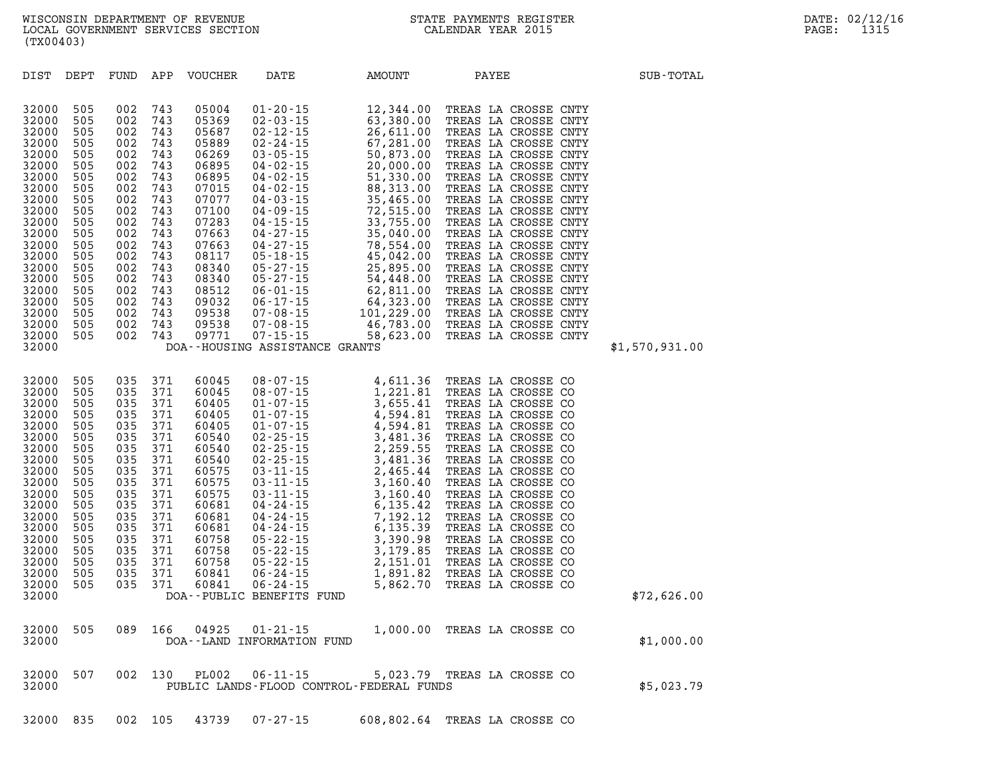|  |  | 32000 835 002 105 43739 07-27-15 | 608,802.64 TREAS LA CROSSE CO |
|--|--|----------------------------------|-------------------------------|

|       |  |  | 32000 507 002 130 PL002 06-11-15 | 5,023.79 TREAS LA CROSSE CO              |  |            |
|-------|--|--|----------------------------------|------------------------------------------|--|------------|
| 32000 |  |  |                                  | PUBLIC LANDS-FLOOD CONTROL-FEDERAL FUNDS |  | \$5,023.79 |
|       |  |  |                                  |                                          |  |            |

| 32000 | 505 | 035 | 371 | 60405        | $01 - 07 - 15$            | 4,594.81  | TREAS LA CROSSE CO |              |             |
|-------|-----|-----|-----|--------------|---------------------------|-----------|--------------------|--------------|-------------|
| 32000 | 505 | 035 | 371 | 60540        | $02 - 25 - 15$            | 3,481.36  | TREAS LA CROSSE CO |              |             |
| 32000 | 505 | 035 | 371 | 60540        | $02 - 25 - 15$            | 2,259.55  | TREAS              | LA CROSSE CO |             |
| 32000 | 505 | 035 | 371 | 60540        | $02 - 25 - 15$            | 3,481.36  | TREAS LA CROSSE CO |              |             |
| 32000 | 505 | 035 | 371 | 60575        | $03 - 11 - 15$            | 2,465.44  | TREAS LA CROSSE CO |              |             |
| 32000 | 505 | 035 | 371 | 60575        | $03 - 11 - 15$            | 3,160.40  | TREAS LA CROSSE CO |              |             |
| 32000 | 505 | 035 | 371 | 60575        | $03 - 11 - 15$            | 3,160.40  | TREAS              | LA CROSSE CO |             |
| 32000 | 505 | 035 | 371 | 60681        | $04 - 24 - 15$            | 6,135.42  | TREAS LA CROSSE CO |              |             |
| 32000 | 505 | 035 | 371 | 60681        | $04 - 24 - 15$            | 7,192.12  | TREAS LA CROSSE CO |              |             |
| 32000 | 505 | 035 | 371 | 60681        | $04 - 24 - 15$            | 6, 135.39 | TREAS LA CROSSE CO |              |             |
| 32000 | 505 | 035 | 371 | 60758        | $05 - 22 - 15$            | 3,390.98  | TREAS              | LA CROSSE CO |             |
| 32000 | 505 | 035 | 371 | 60758        | $05 - 22 - 15$            | 3,179.85  | TREAS LA CROSSE CO |              |             |
| 32000 | 505 | 035 | 371 | 60758        | $05 - 22 - 15$            | 2,151.01  | TREAS LA CROSSE CO |              |             |
| 32000 | 505 | 035 | 371 | 60841        | $06 - 24 - 15$            | 1,891.82  | TREAS LA CROSSE CO |              |             |
| 32000 | 505 | 035 | 371 | 60841        | $06 - 24 - 15$            | 5,862.70  | TREAS              | LA CROSSE CO |             |
| 32000 |     |     |     |              | DOA--PUBLIC BENEFITS FUND |           |                    |              | \$72,626.00 |
|       |     |     |     |              |                           |           |                    |              |             |
| 32000 | 505 | 089 | 166 | 04925        | $01 - 21 - 15$            | 1,000.00  | TREAS LA CROSSE CO |              |             |
| 32000 |     |     |     | DOA - - LAND | INFORMATION FUND          |           |                    |              | \$1,000.00  |

| DIST  | DEPT | FUND | APP | <b>VOUCHER</b> | DATE                    | AMOUNT     | PAYEE                         | SUB-TOTAL      |
|-------|------|------|-----|----------------|-------------------------|------------|-------------------------------|----------------|
|       |      |      |     |                |                         |            |                               |                |
| 32000 | 505  | 002  | 743 | 05004          | $01 - 20 - 15$          | 12,344.00  | TREAS LA CROSSE<br>CNTY       |                |
| 32000 | 505  | 002  | 743 | 05369          | $02 - 03 - 15$          | 63,380.00  | TREAS<br>LA CROSSE            | <b>CNTY</b>    |
| 32000 | 505  | 002  | 743 | 05687          | $02 - 12 - 15$          | 26,611.00  | TREAS<br>LA CROSSE<br>CNTY    |                |
| 32000 | 505  | 002  | 743 | 05889          | $02 - 24 - 15$          | 67,281.00  | TREAS<br>LA CROSSE            | <b>CNTY</b>    |
| 32000 | 505  | 002  | 743 | 06269          | $03 - 05 - 15$          | 50,873.00  | TREAS<br>LA CROSSE<br>CNTY    |                |
| 32000 | 505  | 002  | 743 | 06895          | $04 - 02 - 15$          | 20,000.00  | TREAS<br>LA CROSSE            | <b>CNTY</b>    |
| 32000 | 505  | 002  | 743 | 06895          | $04 - 02 - 15$          | 51,330.00  | TREAS<br>LA CROSSE            | CNTY           |
| 32000 | 505  | 002  | 743 | 07015          | $04 - 02 - 15$          | 88,313.00  | TREAS<br>LA CROSSE<br>CNTY    |                |
| 32000 | 505  | 002  | 743 | 07077          | $04 - 03 - 15$          | 35,465.00  | TREAS<br>LA CROSSE<br>CNTY    |                |
| 32000 | 505  | 002  | 743 | 07100          | $04 - 09 - 15$          | 72,515.00  | TREAS LA CROSSE               | <b>CNTY</b>    |
| 32000 | 505  | 002  | 743 | 07283          | $04 - 15 - 15$          | 33,755.00  | TREAS<br>LA CROSSE<br>CNTY    |                |
| 32000 | 505  | 002  | 743 | 07663          | $04 - 27 - 15$          | 35,040.00  | TREAS<br>LA CROSSE<br>CNTY    |                |
| 32000 | 505  | 002  | 743 | 07663          | $04 - 27 - 15$          | 78,554.00  | TREAS LA CROSSE               | <b>CNTY</b>    |
| 32000 | 505  | 002  | 743 | 08117          | $05 - 18 - 15$          | 45,042.00  | TREAS<br>LA CROSSE<br>CNTY    |                |
| 32000 | 505  | 002  | 743 | 08340          | $05 - 27 - 15$          | 25,895.00  | TREAS<br>LA CROSSE<br>CNTY    |                |
| 32000 | 505  | 002  | 743 | 08340          | $05 - 27 - 15$          | 54,448.00  | TREAS<br>LA CROSSE            | <b>CNTY</b>    |
| 32000 | 505  | 002  | 743 | 08512          | $06 - 01 - 15$          | 62,811.00  | TREAS<br>LA CROSSE<br>CNTY    |                |
| 32000 | 505  | 002  | 743 | 09032          | $06 - 17 - 15$          | 64,323.00  | TREAS<br>LA CROSSE<br>CNTY    |                |
| 32000 | 505  | 002  | 743 | 09538          | $07 - 08 - 15$          | 101,229.00 | TREAS<br>LA CROSSE<br>CNTY    |                |
| 32000 | 505  | 002  | 743 | 09538          | $07 - 08 - 15$          | 46,783.00  | TREAS<br>LA CROSSE            | CNTY           |
| 32000 | 505  | 002  | 743 | 09771          | $07 - 15 - 15$          | 58,623.00  | TREAS<br>LA<br>CROSSE<br>CNTY |                |
| 32000 |      |      |     |                | DOA--HOUSING ASSISTANCE | GRANTS     |                               | \$1,570,931.00 |
|       |      |      |     |                |                         |            |                               |                |

**32000 505 035 371 60045 08-07-15 4,611.36 TREAS LA CROSSE CO 32000 505 035 371 60045 08-07-15 1,221.81 TREAS LA CROSSE CO 32000 505 035 371 60405 01-07-15 3,655.41 TREAS LA CROSSE CO 32000 505 035 371 60405 01-07-15 4,594.81 TREAS LA CROSSE CO**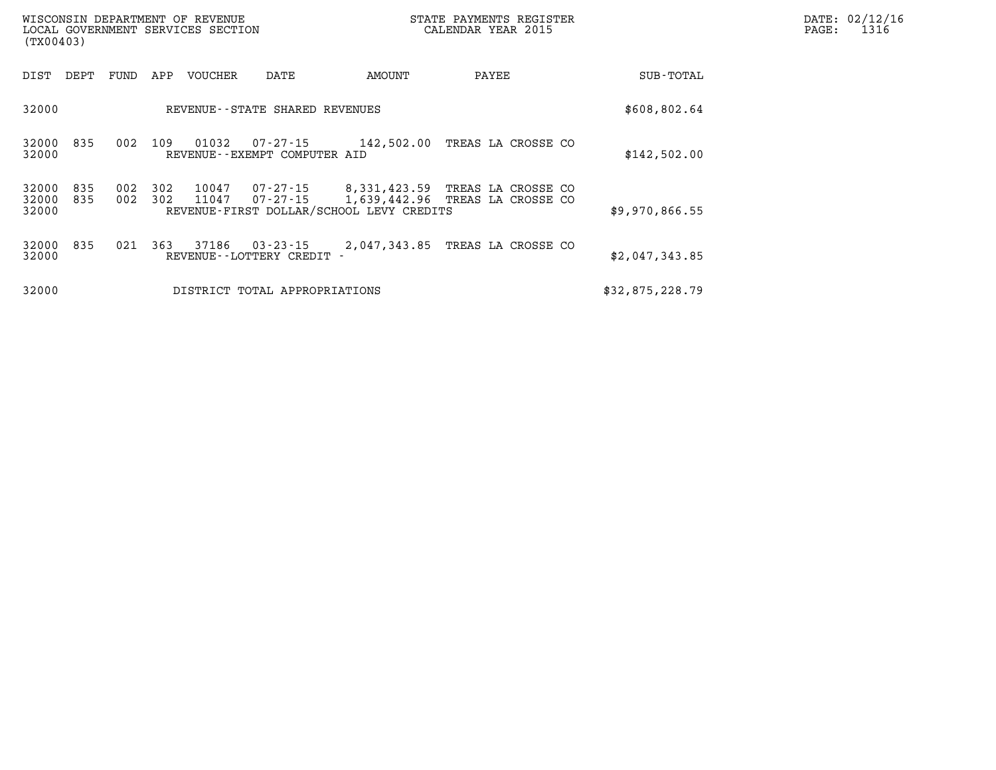| (TX00403)               |            |            |            | WISCONSIN DEPARTMENT OF REVENUE<br>LOCAL GOVERNMENT SERVICES SECTION |                                          | STATE PAYMENTS REGISTER<br>CALENDAR YEAR 2015                            |                                          |  |                | PAGE: | DATE: 02/12/16<br>1316 |
|-------------------------|------------|------------|------------|----------------------------------------------------------------------|------------------------------------------|--------------------------------------------------------------------------|------------------------------------------|--|----------------|-------|------------------------|
| DIST                    | DEPT       | FUND       | APP        | VOUCHER                                                              | DATE                                     | AMOUNT                                                                   | PAYEE                                    |  | SUB-TOTAL      |       |                        |
| 32000                   |            |            |            |                                                                      | REVENUE - - STATE SHARED REVENUES        |                                                                          |                                          |  | \$608,802.64   |       |                        |
| 32000<br>32000          | 835        | 002        | 109        | 01032                                                                | 07-27-15<br>REVENUE--EXEMPT COMPUTER AID | 142,502.00                                                               | TREAS LA CROSSE CO                       |  | \$142,502.00   |       |                        |
| 32000<br>32000<br>32000 | 835<br>835 | 002<br>002 | 302<br>302 | 10047<br>11047                                                       | 07-27-15<br>07-27-15                     | 8,331,423.59<br>1,639,442.96<br>REVENUE-FIRST DOLLAR/SCHOOL LEVY CREDITS | TREAS LA CROSSE CO<br>TREAS LA CROSSE CO |  | \$9,970,866.55 |       |                        |
| 32000<br>32000          | 835        | 021        | 363        | 37186                                                                | 03-23-15<br>REVENUE - - LOTTERY CREDIT   | 2,047,343.85                                                             | TREAS LA CROSSE CO                       |  | \$2,047,343.85 |       |                        |

| 32000 |  | DISTRICT TOTAL APPROPRIATIONS | \$32,875,228.79 |  |
|-------|--|-------------------------------|-----------------|--|
|       |  |                               |                 |  |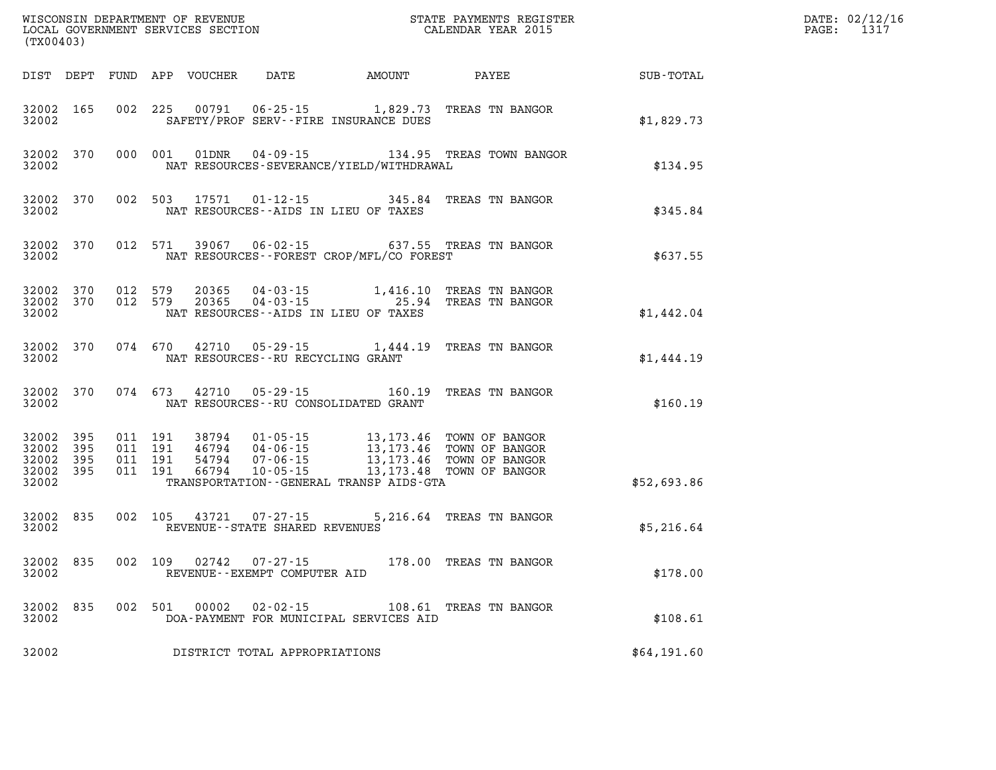| (TX00403)                                                 |           |                                          |         | WISCONSIN DEPARTMENT OF REVENUE<br>LOCAL GOVERNMENT SERVICES SECTION |                                                     |                                              | STATE PAYMENTS REGISTER<br>CALENDAR YEAR 2015                                                                                                                                        |             | DATE: 02/12/16<br>PAGE: 1317 |
|-----------------------------------------------------------|-----------|------------------------------------------|---------|----------------------------------------------------------------------|-----------------------------------------------------|----------------------------------------------|--------------------------------------------------------------------------------------------------------------------------------------------------------------------------------------|-------------|------------------------------|
|                                                           |           |                                          |         |                                                                      |                                                     | DIST DEPT FUND APP VOUCHER DATE AMOUNT PAYEE |                                                                                                                                                                                      | SUB-TOTAL   |                              |
| 32002 165<br>32002                                        |           |                                          | 002 225 | 00791                                                                |                                                     | SAFETY/PROF SERV--FIRE INSURANCE DUES        | 06-25-15 1,829.73 TREAS TN BANGOR                                                                                                                                                    | \$1,829.73  |                              |
| 32002 370<br>32002                                        |           |                                          | 000 001 | 01DNR                                                                |                                                     | NAT RESOURCES-SEVERANCE/YIELD/WITHDRAWAL     | 04-09-15 134.95 TREAS TOWN BANGOR                                                                                                                                                    | \$134.95    |                              |
| 32002 370<br>32002                                        |           | 002 503                                  |         | 17571                                                                | $01 - 12 - 15$                                      | NAT RESOURCES--AIDS IN LIEU OF TAXES         | 345.84 TREAS TN BANGOR                                                                                                                                                               | \$345.84    |                              |
| 32002                                                     | 32002 370 |                                          | 012 571 |                                                                      |                                                     | NAT RESOURCES--FOREST CROP/MFL/CO FOREST     | 39067  06-02-15  637.55  TREAS  TN BANGOR                                                                                                                                            | \$637.55    |                              |
| 32002 370<br>32002 370<br>32002                           |           | 012 579<br>012 579                       |         | 20365<br>20365                                                       |                                                     | NAT RESOURCES -- AIDS IN LIEU OF TAXES       | 04-03-15 1,416.10 TREAS TN BANGOR<br>04-03-15 25.94 TREAS TN BANGOR                                                                                                                  | \$1,442.04  |                              |
| 32002 370<br>32002                                        |           |                                          |         |                                                                      |                                                     | NAT RESOURCES--RU RECYCLING GRANT            | 074 670 42710 05-29-15 1,444.19 TREAS TN BANGOR                                                                                                                                      | \$1,444.19  |                              |
| 32002 370<br>32002                                        |           |                                          |         | 074 673 42710                                                        |                                                     | NAT RESOURCES - - RU CONSOLIDATED GRANT      | 05-29-15 160.19 TREAS TN BANGOR                                                                                                                                                      | \$160.19    |                              |
| 32002 395<br>32002 395<br>32002 395<br>32002 395<br>32002 |           | 011 191<br>011 191<br>011 191<br>011 191 |         |                                                                      |                                                     | TRANSPORTATION--GENERAL TRANSP AIDS-GTA      | 38794  01-05-15  13,173.46  TOWN OF BANGOR<br>46794  04-06-15  13,173.46  TOWN OF BANGOR<br>54794  07-06-15  13,173.46  TOWN OF BANGOR<br>66794  10-05-15  13,173.48  TOWN OF BANGOR | \$52,693.86 |                              |
| 32002 835<br>32002                                        |           |                                          |         | 002 105 43721                                                        | $07 - 27 - 15$<br>REVENUE - - STATE SHARED REVENUES |                                              | 5,216.64 TREAS TN BANGOR                                                                                                                                                             | \$5,216.64  |                              |
| 32002 835<br>32002                                        |           | 002 109                                  |         | 02742                                                                | $07 - 27 - 15$<br>REVENUE--EXEMPT COMPUTER AID      |                                              | 178.00 TREAS TN BANGOR                                                                                                                                                               | \$178.00    |                              |
| 32002 835<br>32002                                        |           |                                          |         | 002 501 00002                                                        | $02 - 02 - 15$                                      | DOA-PAYMENT FOR MUNICIPAL SERVICES AID       | 108.61 TREAS TN BANGOR                                                                                                                                                               | \$108.61    |                              |
| 32002                                                     |           |                                          |         |                                                                      | DISTRICT TOTAL APPROPRIATIONS                       |                                              |                                                                                                                                                                                      | \$64,191.60 |                              |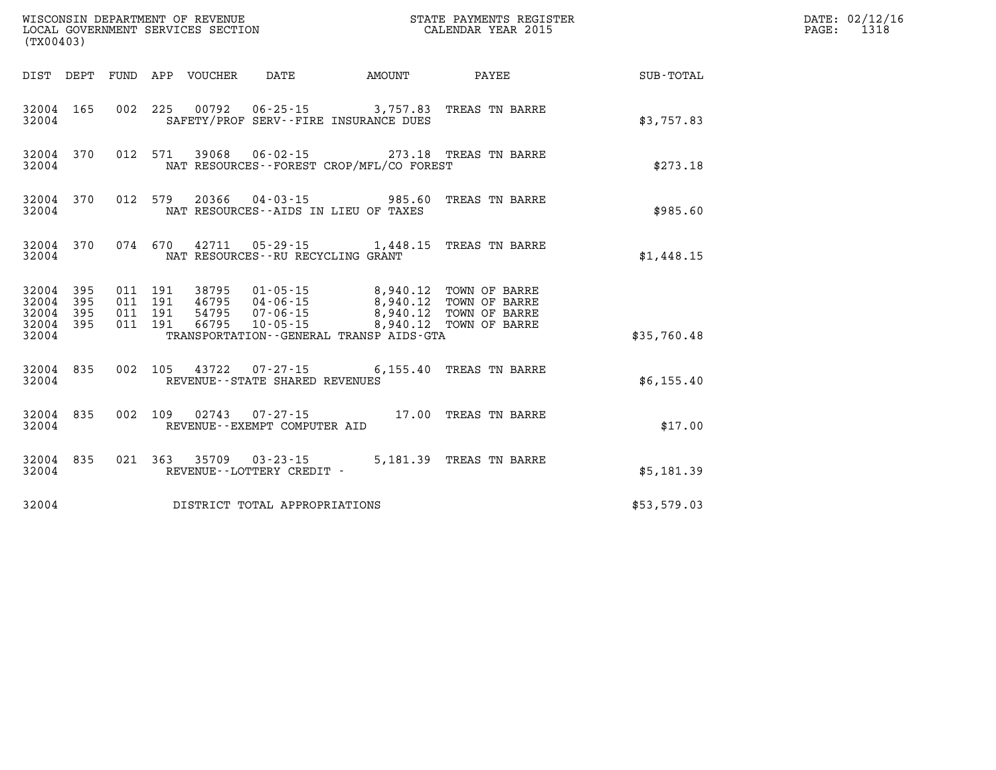| (TX00403)                       |                    |                    |  |                                                        |                                                                                                                                  |                         |             | DATE: 02/12/16<br>PAGE: 1318 |
|---------------------------------|--------------------|--------------------|--|--------------------------------------------------------|----------------------------------------------------------------------------------------------------------------------------------|-------------------------|-------------|------------------------------|
|                                 |                    |                    |  |                                                        | DIST DEPT FUND APP VOUCHER DATE AMOUNT                                                                                           | <b>PAYEE</b>            | SUB-TOTAL   |                              |
| 32004                           | 32004 165          |                    |  |                                                        | 002 225 00792 06-25-15 3,757.83 TREAS TN BARRE<br>SAFETY/PROF SERV--FIRE INSURANCE DUES                                          |                         | \$3,757.83  |                              |
| 32004                           |                    |                    |  |                                                        | 32004 370 012 571 39068 06-02-15 273.18 TREAS TN BARRE<br>NAT RESOURCES - - FOREST CROP/MFL/CO FOREST                            |                         | \$273.18    |                              |
| 32004                           |                    |                    |  |                                                        | 32004 370 012 579 20366 04-03-15 985.60 TREAS TN BARRE<br>NAT RESOURCES--AIDS IN LIEU OF TAXES                                   |                         | \$985.60    |                              |
|                                 | 32004 370<br>32004 |                    |  | NAT RESOURCES--RU RECYCLING GRANT                      | 074 670 42711 05-29-15 1,448.15 TREAS TN BARRE                                                                                   |                         | \$1,448.15  |                              |
| 32004 395<br>32004 395          |                    | 011 191<br>011 191 |  |                                                        | 38795  01-05-15  8,940.12  TOWN OF BARRE<br>46795  04-06-15  8,940.12  TOWN OF BARRE<br>54795  07-06-15  8,940.12  TOWN OF BARRE |                         |             |                              |
| 32004 395<br>32004 395<br>32004 |                    | 011 191<br>011 191 |  |                                                        | 66795  10-05-15  8,940.12  TOWN OF BARRE<br>TRANSPORTATION - - GENERAL TRANSP AIDS - GTA                                         |                         | \$35,760.48 |                              |
| 32004                           | 32004 835          |                    |  | REVENUE - - STATE SHARED REVENUES                      | 002 105 43722 07-27-15 6,155.40 TREAS TN BARRE                                                                                   |                         | \$6,155.40  |                              |
| 32004                           | 32004 835          |                    |  | REVENUE--EXEMPT COMPUTER AID                           | 002 109 02743 07-27-15 17.00 TREAS TN BARRE                                                                                      |                         | \$17.00     |                              |
| 32004                           | 32004 835          |                    |  | 021 363 35709 03-23-15<br>REVENUE - - LOTTERY CREDIT - |                                                                                                                                  | 5,181.39 TREAS TN BARRE | \$5,181.39  |                              |
| 32004                           |                    |                    |  | DISTRICT TOTAL APPROPRIATIONS                          |                                                                                                                                  |                         | \$53,579.03 |                              |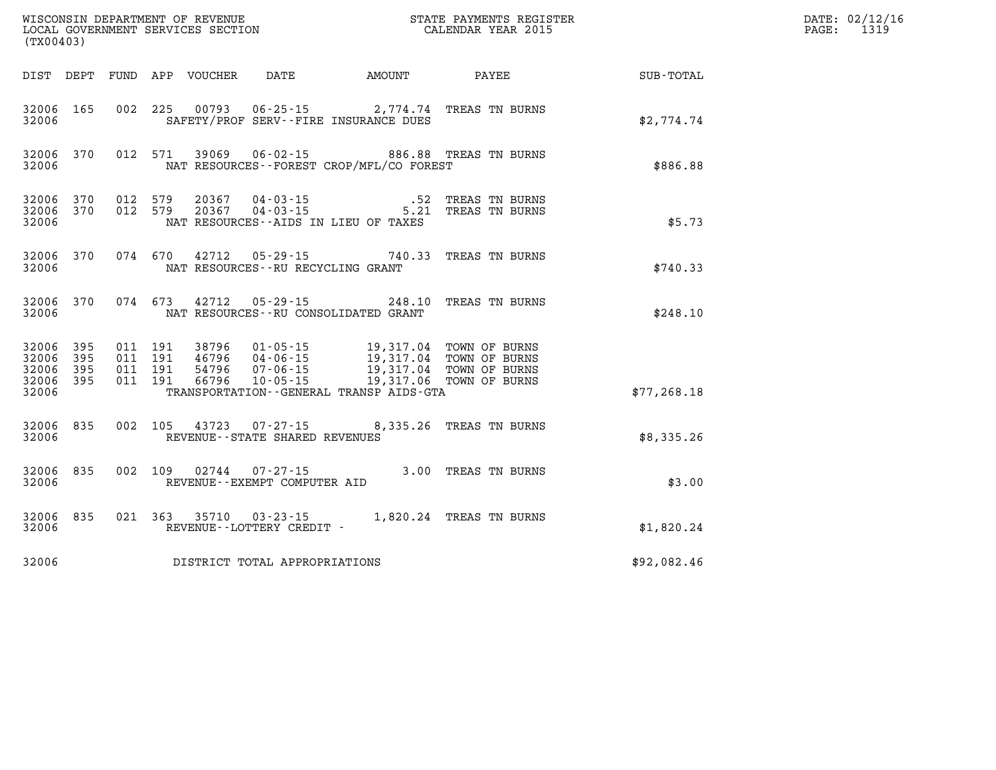| (TX00403)                                 |                            |                                          |         |                                  |                                                          |                                                                                                                          |                                                                              |              | DATE: 02/12/16<br>1319<br>PAGE: |
|-------------------------------------------|----------------------------|------------------------------------------|---------|----------------------------------|----------------------------------------------------------|--------------------------------------------------------------------------------------------------------------------------|------------------------------------------------------------------------------|--------------|---------------------------------|
|                                           |                            |                                          |         | DIST DEPT FUND APP VOUCHER       | DATE                                                     | AMOUNT                                                                                                                   | PAYEE                                                                        | SUB-TOTAL    |                                 |
| 32006 165<br>32006                        |                            | 002 225                                  |         |                                  |                                                          | 00793  06-25-15  2,774.74  TREAS TN BURNS<br>SAFETY/PROF SERV--FIRE INSURANCE DUES                                       |                                                                              | \$2.774.74   |                                 |
| 32006 370<br>32006                        |                            |                                          | 012 571 |                                  |                                                          | NAT RESOURCES--FOREST CROP/MFL/CO FOREST                                                                                 | 39069  06-02-15  886.88  TREAS TN BURNS                                      | \$886.88     |                                 |
| 32006 370<br>32006 370<br>32006           |                            | 012 579<br>012 579                       |         |                                  |                                                          | NAT RESOURCES - AIDS IN LIEU OF TAXES                                                                                    | 20367  04-03-15   52 TREAS TN BURNS<br>20367  04-03-15   5.21 TREAS TN BURNS | \$5.73       |                                 |
| 32006 370<br>32006                        |                            |                                          |         |                                  | NAT RESOURCES--RU RECYCLING GRANT                        | 074 670 42712 05-29-15 740.33 TREAS TN BURNS                                                                             |                                                                              | \$740.33     |                                 |
| 32006 370<br>32006                        |                            |                                          | 074 673 |                                  |                                                          | 42712 05-29-15 248.10<br>NAT RESOURCES--RU CONSOLIDATED GRANT                                                            | TREAS TN BURNS                                                               | \$248.10     |                                 |
| 32006<br>32006<br>32006<br>32006<br>32006 | - 395<br>395<br>395<br>395 | 011 191<br>011 191<br>011 191<br>011 191 |         | 38796<br>46796<br>54796<br>66796 | 01-05-15<br>04-06-15<br>$07 - 06 - 15$<br>$10 - 05 - 15$ | 19,317.04 TOWN OF BURNS<br>19,317.04 TOWN OF BURNS<br>19,317.04 TOWN OF BURNS<br>TRANSPORTATION--GENERAL TRANSP AIDS-GTA | 19,317.06 TOWN OF BURNS                                                      | \$77, 268.18 |                                 |
| 32006 835<br>32006                        |                            |                                          | 002 105 |                                  | REVENUE - - STATE SHARED REVENUES                        | 43723 07-27-15 8,335.26 TREAS TN BURNS                                                                                   |                                                                              | \$8,335.26   |                                 |
| 32006 835<br>32006                        |                            | 002 109                                  |         | 02744                            | 07-27-15<br>REVENUE--EXEMPT COMPUTER AID                 | 3.00 TREAS TN BURNS                                                                                                      |                                                                              | \$3.00       |                                 |
| 32006 835<br>32006                        |                            | 021 363                                  |         |                                  | 35710 03-23-15<br>REVENUE--LOTTERY CREDIT -              |                                                                                                                          | 1,820.24 TREAS TN BURNS                                                      | \$1,820.24   |                                 |
| 32006                                     |                            |                                          |         |                                  | DISTRICT TOTAL APPROPRIATIONS                            |                                                                                                                          |                                                                              | \$92,082.46  |                                 |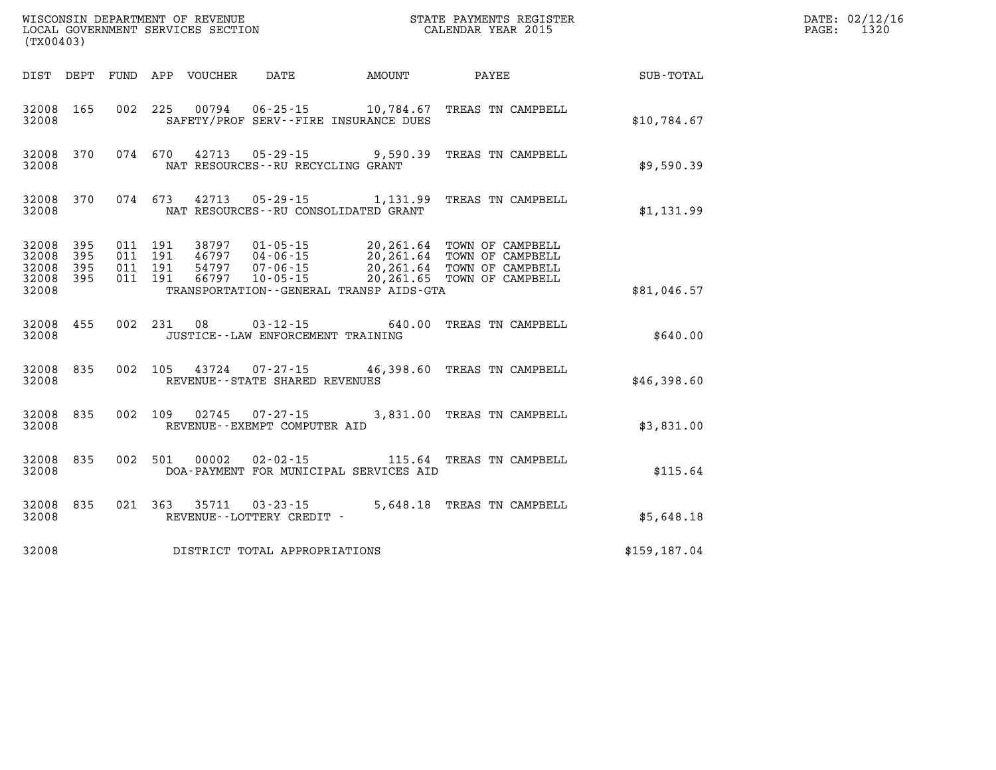| (TX00403)                                     |                    |                                          | WISCONSIN DEPARTMENT OF REVENUE<br>LOCAL GOVERNMENT SERVICES SECTION |                                             |                                                                           | STATE PAYMENTS REGISTER<br>CALENDAR YEAR 2015                                                                                 |               | DATE: 02/12/16<br>PAGE:<br>1320 |
|-----------------------------------------------|--------------------|------------------------------------------|----------------------------------------------------------------------|---------------------------------------------|---------------------------------------------------------------------------|-------------------------------------------------------------------------------------------------------------------------------|---------------|---------------------------------|
|                                               |                    |                                          | DIST DEPT FUND APP VOUCHER                                           | DATE                                        | AMOUNT                                                                    | PAYEE                                                                                                                         | SUB-TOTAL     |                                 |
| 32008 165<br>32008                            |                    |                                          |                                                                      |                                             | 002 225 00794 06-25-15 10,784.67<br>SAFETY/PROF SERV--FIRE INSURANCE DUES | TREAS TN CAMPBELL                                                                                                             | \$10,784.67   |                                 |
| 32008 370<br>32008                            |                    | 074 670                                  |                                                                      | NAT RESOURCES -- RU RECYCLING GRANT         |                                                                           | 42713  05-29-15  9,590.39  TREAS TN CAMPBELL                                                                                  | \$9,590.39    |                                 |
| 32008 370<br>32008                            |                    | 074 673                                  | 42713                                                                |                                             | NAT RESOURCES - - RU CONSOLIDATED GRANT                                   | 05-29-15 1,131.99 TREAS TN CAMPBELL                                                                                           | \$1,131.99    |                                 |
| 32008 395<br>32008<br>32008<br>32008<br>32008 | 395<br>-395<br>395 | 011 191<br>011 191<br>011 191<br>011 191 | 38797<br>46797<br>54797<br>66797                                     | $01 - 05 - 15$<br>04-06-15<br>07-06-15      | TRANSPORTATION--GENERAL TRANSP AIDS-GTA                                   | 20,261.64 TOWN OF CAMPBELL<br>20,261.64 TOWN OF CAMPBELL<br>20,261.64 TOWN OF CAMPBELL<br>10-05-15 20,261.65 TOWN OF CAMPBELL | \$81,046.57   |                                 |
| 32008 455<br>32008                            |                    |                                          | 002 231 08                                                           | JUSTICE - - LAW ENFORCEMENT TRAINING        |                                                                           | 03-12-15 640.00 TREAS TN CAMPBELL                                                                                             | \$640.00      |                                 |
| 32008 835<br>32008                            |                    |                                          |                                                                      | REVENUE--STATE SHARED REVENUES              |                                                                           | 002 105 43724 07-27-15 46,398.60 TREAS TN CAMPBELL                                                                            | \$46,398.60   |                                 |
| 32008 835<br>32008                            |                    | 002 109                                  | 02745                                                                | 07-27-15<br>REVENUE--EXEMPT COMPUTER AID    |                                                                           | 3,831.00 TREAS TN CAMPBELL                                                                                                    | \$3,831.00    |                                 |
| 32008 835<br>32008                            |                    | 002 501                                  | 00002                                                                |                                             | DOA-PAYMENT FOR MUNICIPAL SERVICES AID                                    | 02-02-15 115.64 TREAS TN CAMPBELL                                                                                             | \$115.64      |                                 |
| 32008 835<br>32008                            |                    | 021 363                                  | 35711                                                                | $03 - 23 - 15$<br>REVENUE--LOTTERY CREDIT - |                                                                           | 5,648.18 TREAS TN CAMPBELL                                                                                                    | \$5,648.18    |                                 |
| 32008                                         |                    |                                          |                                                                      | DISTRICT TOTAL APPROPRIATIONS               |                                                                           |                                                                                                                               | \$159, 187.04 |                                 |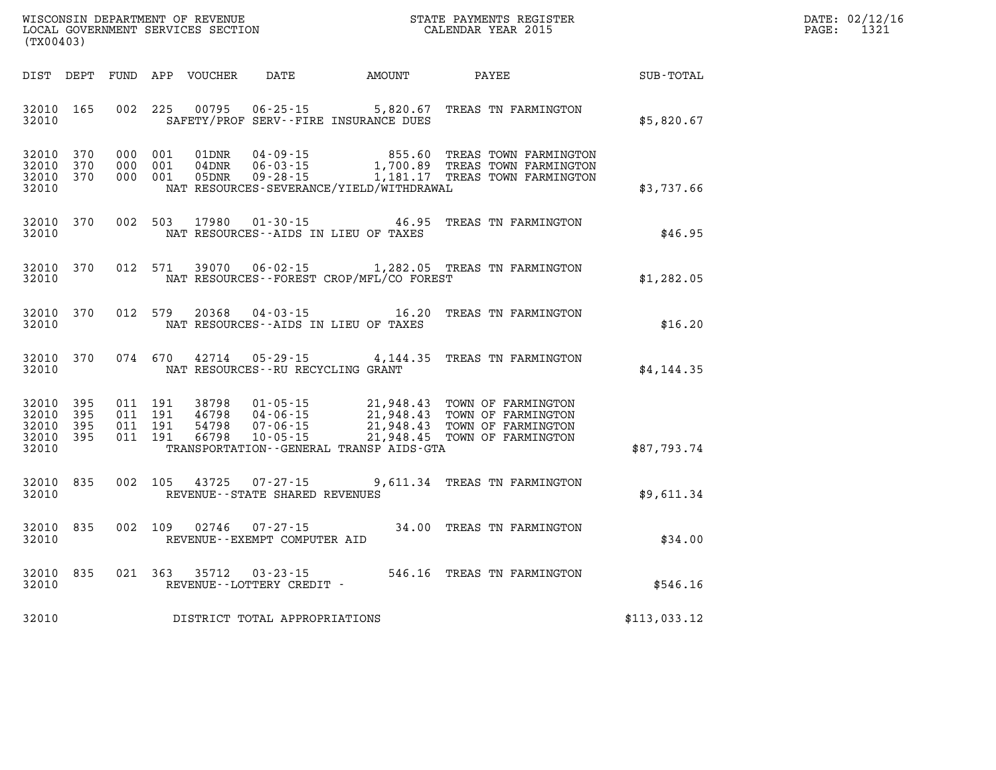| DATE: | 02/12/16 |
|-------|----------|
| PAGE: | 1321     |

| WISCONSIN DEPARTMENT OF REVENUE<br>(TX00403)                                                      | LOCAL GOVERNMENT SERVICES SECTION                                                                                                                                               |                                                  | STATE PAYMENTS REGISTER<br>CALENDAR YEAR 2015                                        |              |
|---------------------------------------------------------------------------------------------------|---------------------------------------------------------------------------------------------------------------------------------------------------------------------------------|--------------------------------------------------|--------------------------------------------------------------------------------------|--------------|
| DIST<br>DEPT<br>FUND                                                                              | APP<br><b>VOUCHER</b><br>DATE                                                                                                                                                   | AMOUNT                                           | PAYEE                                                                                | SUB-TOTAL    |
| 32010<br>165<br>002<br>32010                                                                      | 225<br>00795<br>$06 - 25 - 15$<br>SAFETY/PROF SERV--FIRE INSURANCE DUES                                                                                                         | 5,820.67                                         | TREAS TN FARMINGTON                                                                  | \$5,820.67   |
| 370<br>000<br>32010<br>370<br>000<br>32010<br>32010<br>370<br>000<br>32010                        | 001<br>01DNR<br>$04 - 09 - 15$<br>001<br>04DNR<br>$06 - 03 - 15$<br>001<br>05DNR<br>$09 - 28 - 15$<br>NAT RESOURCES-SEVERANCE/YIELD/WITHDRAWAL                                  | 855.60<br>1,700.89<br>1,181.17                   | TREAS TOWN FARMINGTON<br>TREAS TOWN FARMINGTON<br>TREAS TOWN FARMINGTON              | \$3,737.66   |
| 002<br>370<br>32010<br>32010                                                                      | 503<br>17980<br>$01 - 30 - 15$<br>NAT RESOURCES -- AIDS IN LIEU OF TAXES                                                                                                        | 46.95                                            | TREAS TN FARMINGTON                                                                  | \$46.95      |
| 012<br>32010<br>370<br>32010                                                                      | 39070<br>571<br>$06 - 02 - 15$<br>NAT RESOURCES--FOREST CROP/MFL/CO FOREST                                                                                                      | 1,282.05                                         | TREAS TN FARMINGTON                                                                  | \$1,282.05   |
| 012<br>32010<br>370<br>32010                                                                      | 579<br>20368<br>$04 - 03 - 15$<br>NAT RESOURCES--AIDS IN LIEU OF TAXES                                                                                                          | 16.20                                            | TREAS TN FARMINGTON                                                                  | \$16.20      |
| 32010<br>370<br>074<br>32010                                                                      | 670<br>42714<br>$05 - 29 - 15$<br>NAT RESOURCES - - RU RECYCLING GRANT                                                                                                          | 4,144.35                                         | TREAS TN FARMINGTON                                                                  | \$4,144.35   |
| 32010<br>395<br>011<br>32010<br>395<br>011<br>395<br>011<br>32010<br>32010<br>395<br>011<br>32010 | 191<br>38798<br>$01 - 05 - 15$<br>191<br>46798<br>$04 - 06 - 15$<br>191<br>54798<br>$07 - 06 - 15$<br>191<br>66798<br>$10 - 05 - 15$<br>TRANSPORTATION--GENERAL TRANSP AIDS-GTA | 21,948.43<br>21,948.43<br>21,948.43<br>21,948.45 | TOWN OF FARMINGTON<br>TOWN OF FARMINGTON<br>TOWN OF FARMINGTON<br>TOWN OF FARMINGTON | \$87,793.74  |
| 835<br>002<br>32010<br>32010                                                                      | 105<br>43725<br>$07 - 27 - 15$<br>REVENUE - - STATE SHARED REVENUES                                                                                                             | 9,611.34                                         | TREAS TN FARMINGTON                                                                  | \$9,611.34   |
| 002<br>835<br>32010<br>32010                                                                      | 109<br>02746<br>$07 - 27 - 15$<br>REVENUE - - EXEMPT COMPUTER AID                                                                                                               | 34.00                                            | TREAS TN FARMINGTON                                                                  | \$34.00      |
| 32010<br>835<br>021<br>32010                                                                      | 363<br>35712<br>$03 - 23 - 15$<br>REVENUE--LOTTERY CREDIT -                                                                                                                     | 546.16                                           | TREAS TN FARMINGTON                                                                  | \$546.16     |
| 32010                                                                                             | DISTRICT TOTAL APPROPRIATIONS                                                                                                                                                   |                                                  |                                                                                      | \$113,033.12 |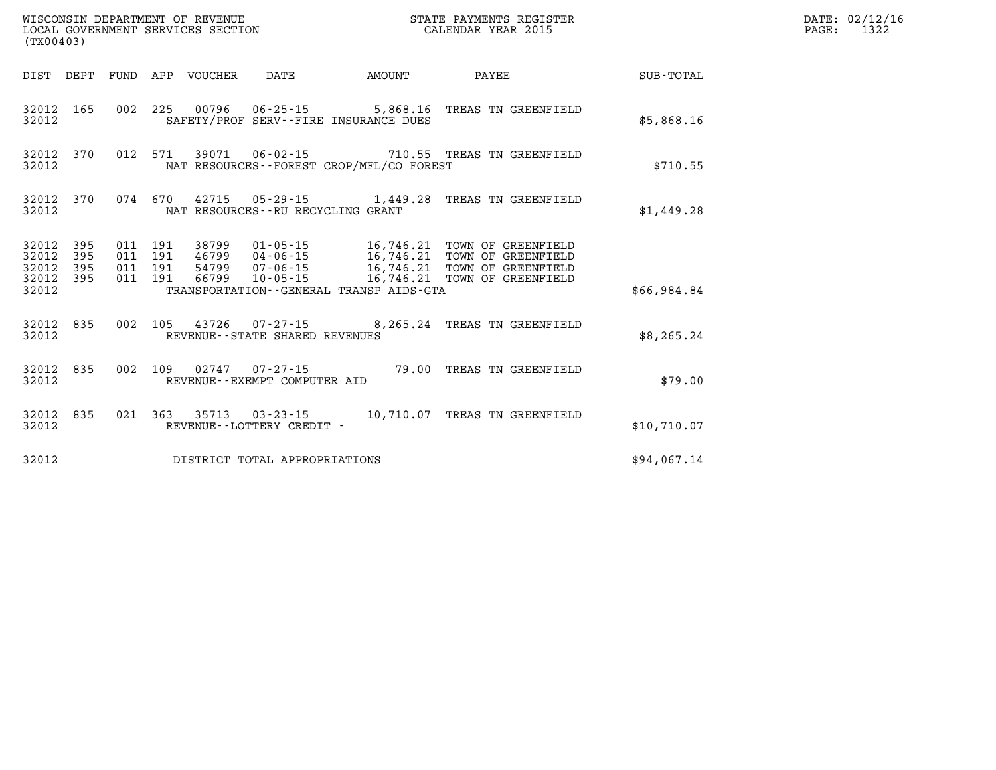| (TX00403)                                                          | $\tt WISCONSIM$ DEPARTMENT OF REVENUE $\tt WISCONSIMENT$ STATE PAYMENTS REGISTER LOCAL GOVERNMENT SERVICES SECTION $\tt CALENDAR$ YEAR 2015 |        |                                                                                                                                       |             | DATE: 02/12/16<br>$\mathtt{PAGE}$ :<br>1322 |
|--------------------------------------------------------------------|---------------------------------------------------------------------------------------------------------------------------------------------|--------|---------------------------------------------------------------------------------------------------------------------------------------|-------------|---------------------------------------------|
| DIST DEPT                                                          | FUND APP VOUCHER<br>DATE                                                                                                                    | AMOUNT | <b>PAYEE</b>                                                                                                                          | SUB-TOTAL   |                                             |
| 32012 165<br>32012                                                 | 002 225 00796 06-25-15 5,868.16 TREAS TN GREENFIELD<br>SAFETY/PROF SERV--FIRE INSURANCE DUES                                                |        |                                                                                                                                       | \$5,868.16  |                                             |
| 32012 370<br>32012                                                 | 012 571 39071 06-02-15 710.55 TREAS TN GREENFIELD<br>NAT RESOURCES - - FOREST CROP/MFL/CO FOREST                                            |        |                                                                                                                                       | \$710.55    |                                             |
| 32012 370<br>32012                                                 | 074 670 42715 05-29-15 1,449.28 TREAS TN GREENFIELD<br>NAT RESOURCES -- RU RECYCLING GRANT                                                  |        |                                                                                                                                       | \$1,449.28  |                                             |
| 32012<br>395<br>32012<br>395<br>32012<br>395<br>32012 395<br>32012 | 011 191 38799<br>011 191<br>46799 04-06-15<br>011 191 54799 07-06-15<br>011 191 66799 10-05-15<br>TRANSPORTATION--GENERAL TRANSP AIDS-GTA   |        | 01-05-15 16,746.21 TOWN OF GREENFIELD<br>16,746.21 TOWN OF GREENFIELD<br>16,746.21 TOWN OF GREENFIELD<br>16,746.21 TOWN OF GREENFIELD | \$66,984.84 |                                             |
| 835<br>32012<br>32012                                              | 002 105 43726 07-27-15 8,265.24 TREAS TN GREENFIELD<br>REVENUE--STATE SHARED REVENUES                                                       |        |                                                                                                                                       | \$8, 265.24 |                                             |
| 32012 835<br>32012                                                 | 002 109 02747 07-27-15 79.00 TREAS TN GREENFIELD<br>REVENUE--EXEMPT COMPUTER AID                                                            |        |                                                                                                                                       | \$79.00     |                                             |
| 32012 835<br>32012                                                 | 021  363  35713  03-23-15  10,710.07  TREAS TN GREENFIELD<br>REVENUE--LOTTERY CREDIT -                                                      |        |                                                                                                                                       | \$10,710.07 |                                             |
| 32012                                                              | DISTRICT TOTAL APPROPRIATIONS                                                                                                               |        |                                                                                                                                       | \$94,067.14 |                                             |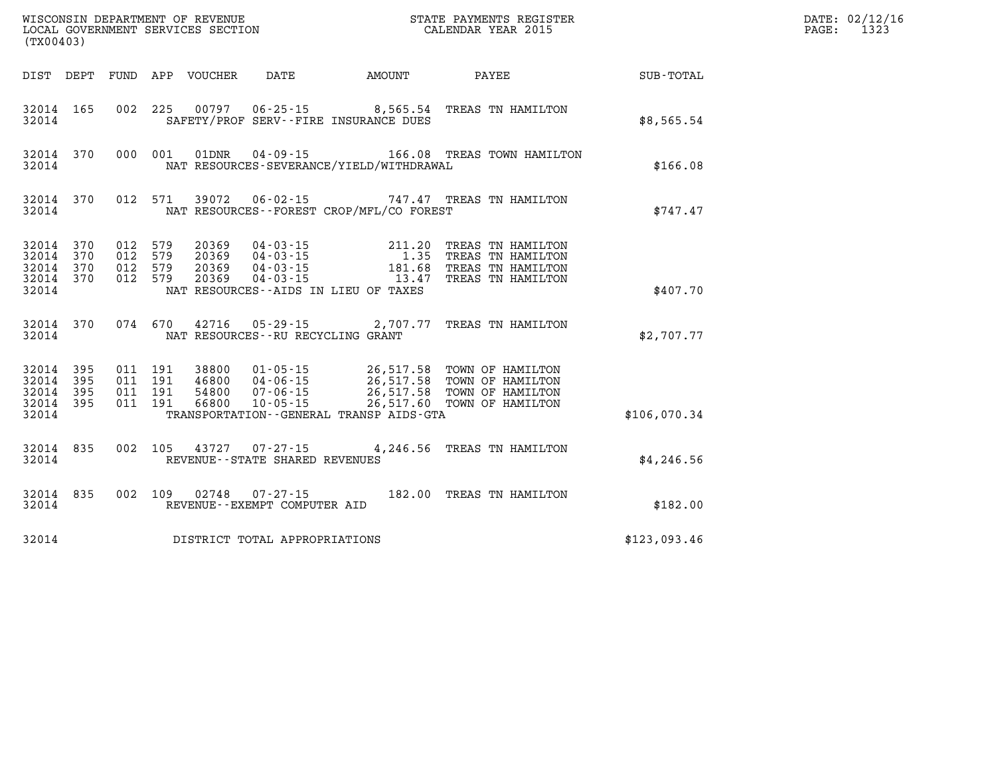| (TX00403)                                                 |            |                                          | WISCONSIN DEPARTMENT OF REVENUE<br>LOCAL GOVERNMENT SERVICES SECTION |                                                        |                                                              | STATE PAYMENTS REGISTER<br>CALENDAR YEAR 2015                                                                                                                              | DATE: 02/12/16<br>1323<br>PAGE: |  |
|-----------------------------------------------------------|------------|------------------------------------------|----------------------------------------------------------------------|--------------------------------------------------------|--------------------------------------------------------------|----------------------------------------------------------------------------------------------------------------------------------------------------------------------------|---------------------------------|--|
|                                                           |            |                                          | DIST DEPT FUND APP VOUCHER                                           | DATE                                                   | AMOUNT                                                       | PAYEE                                                                                                                                                                      | SUB-TOTAL                       |  |
| 32014 165<br>32014                                        |            | 002 225                                  |                                                                      |                                                        | SAFETY/PROF SERV--FIRE INSURANCE DUES                        | 00797  06-25-15  8,565.54  TREAS TN HAMILTON                                                                                                                               | \$8,565.54                      |  |
| 32014                                                     | 32014 370  |                                          | 000 001 01DNR                                                        |                                                        | NAT RESOURCES-SEVERANCE/YIELD/WITHDRAWAL                     | 04-09-15 166.08 TREAS TOWN HAMILTON                                                                                                                                        | \$166.08                        |  |
| 32014                                                     | 32014 370  |                                          |                                                                      |                                                        | NAT RESOURCES--FOREST CROP/MFL/CO FOREST                     | 012 571 39072 06-02-15 747.47 TREAS TN HAMILTON                                                                                                                            | \$747.47                        |  |
| 32014 370<br>32014 370<br>32014 370<br>32014 370<br>32014 |            | 012 579<br>012 579<br>012 579<br>012 579 | 20369<br>20369<br>20369<br>20369                                     |                                                        | $04 - 03 - 15$ 13.47<br>NAT RESOURCES--AIDS IN LIEU OF TAXES | 04-03-15 211.20 TREAS TN HAMILTON<br>04-03-15 1.35 TREAS TN HAMILTON<br>04-03-15 181.68 TREAS TN HAMILTON<br>TREAS TN HAMILTON                                             | \$407.70                        |  |
| 32014                                                     | 32014 370  | 074 670                                  | 42716                                                                | $05 - 29 - 15$<br>NAT RESOURCES - - RU RECYCLING GRANT |                                                              | 2,707.77 TREAS TN HAMILTON                                                                                                                                                 | \$2,707.77                      |  |
| 32014 395<br>32014<br>32014<br>32014 395<br>32014         | 395<br>395 | 011 191<br>011 191<br>011 191<br>011 191 | 38800                                                                |                                                        | TRANSPORTATION--GENERAL TRANSP AIDS-GTA                      | 01-05-15 26,517.58 TOWN OF HAMILTON<br>46800 04-06-15 26,517.58 TOWN OF HAMILTON<br>54800 07-06-15 26,517.58 TOWN OF HAMILTON<br>66800 10-05-15 26,517.60 TOWN OF HAMILTON | \$106.070.34                    |  |
| 32014 835<br>32014                                        |            |                                          |                                                                      | REVENUE - - STATE SHARED REVENUES                      |                                                              | 002 105 43727 07-27-15 4,246.56 TREAS TN HAMILTON                                                                                                                          | \$4,246.56                      |  |
| 32014                                                     | 32014 835  |                                          | 002 109 02748                                                        | 07-27-15<br>REVENUE--EXEMPT COMPUTER AID               |                                                              | 182.00 TREAS TN HAMILTON                                                                                                                                                   | \$182.00                        |  |
| 32014                                                     |            |                                          |                                                                      | DISTRICT TOTAL APPROPRIATIONS                          |                                                              |                                                                                                                                                                            | \$123,093.46                    |  |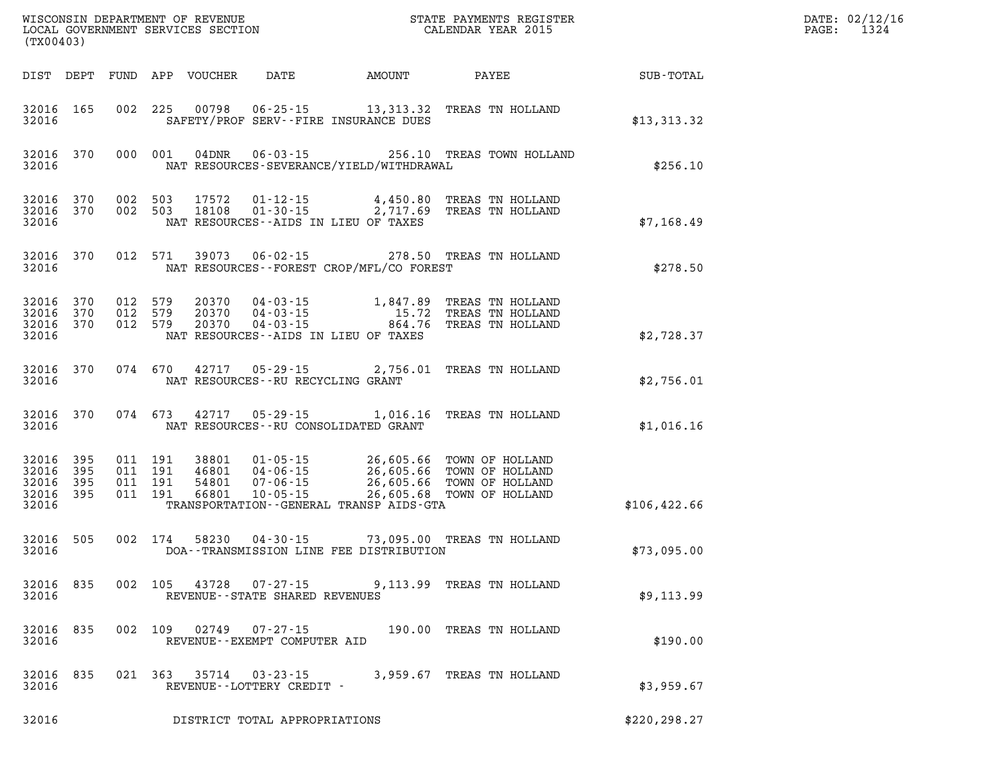| (TX00403)                                         |                        |                                          |         |                                  |                                                       |                                             |                                                                                                                                                      |               | DATE: 02/12/16<br>PAGE: 1324 |
|---------------------------------------------------|------------------------|------------------------------------------|---------|----------------------------------|-------------------------------------------------------|---------------------------------------------|------------------------------------------------------------------------------------------------------------------------------------------------------|---------------|------------------------------|
|                                                   |                        |                                          |         | DIST DEPT FUND APP VOUCHER       | DATE                                                  |                                             | AMOUNT PAYEE                                                                                                                                         | SUB-TOTAL     |                              |
| 32016 165<br>32016                                |                        |                                          |         |                                  |                                                       | SAFETY/PROF SERV--FIRE INSURANCE DUES       | 002 225 00798 06-25-15 13,313.32 TREAS TN HOLLAND                                                                                                    | \$13,313.32   |                              |
| 32016                                             | 32016 370              |                                          | 000 001 | 04DNR                            |                                                       | NAT RESOURCES-SEVERANCE/YIELD/WITHDRAWAL    | 06-03-15 256.10 TREAS TOWN HOLLAND                                                                                                                   | \$256.10      |                              |
| 32016                                             | 32016 370<br>32016 370 | 002 503<br>002 503                       |         |                                  |                                                       | NAT RESOURCES--AIDS IN LIEU OF TAXES        | 17572   01-12-15   4,450.80 TREAS TN HOLLAND<br>18108   01-30-15   2,717.69 TREAS TN HOLLAND                                                         | \$7,168.49    |                              |
| 32016                                             | 32016 370              | 012 571                                  |         |                                  |                                                       | NAT RESOURCES - - FOREST CROP/MFL/CO FOREST | 39073  06-02-15  278.50  TREAS TN HOLLAND                                                                                                            | \$278.50      |                              |
| 32016 370<br>32016                                | 32016 370<br>32016 370 | 012 579<br>012 579<br>012 579            |         |                                  |                                                       | NAT RESOURCES--AIDS IN LIEU OF TAXES        | 20370  04-03-15  1,847.89  TREAS TN HOLLAND<br>20370  04-03-15  15.72  TREAS TN HOLLAND<br>20370  04-03-15  864.76  TREAS TN HOLLAND                 | \$2,728.37    |                              |
| 32016                                             | 32016 370              |                                          | 074 670 | 42717                            | $05 - 29 - 15$<br>NAT RESOURCES -- RU RECYCLING GRANT |                                             | 2,756.01 TREAS TN HOLLAND                                                                                                                            | \$2,756.01    |                              |
| 32016                                             | 32016 370              |                                          | 074 673 | 42717                            |                                                       | NAT RESOURCES -- RU CONSOLIDATED GRANT      | 05-29-15 1,016.16 TREAS TN HOLLAND                                                                                                                   | \$1,016.16    |                              |
| 32016 395<br>32016<br>32016<br>32016 395<br>32016 | 395<br>395             | 011 191<br>011 191<br>011 191<br>011 191 |         | 38801<br>46801<br>54801<br>66801 |                                                       | TRANSPORTATION--GENERAL TRANSP AIDS-GTA     | 01-05-15 26,605.66 TOWN OF HOLLAND<br>04-06-15 26,605.66 TOWN OF HOLLAND<br>07-06-15 26,605.66 TOWN OF HOLLAND<br>10-05-15 26,605.68 TOWN OF HOLLAND | \$106, 422.66 |                              |
| 32016 505<br>32016                                |                        |                                          | 002 174 |                                  |                                                       | DOA--TRANSMISSION LINE FEE DISTRIBUTION     | 58230  04-30-15  73,095.00  TREAS TN HOLLAND                                                                                                         | \$73,095.00   |                              |
| 32016<br>32016                                    | 835                    | 002                                      | 105     | 43728                            | $07 - 27 - 15$<br>REVENUE - - STATE SHARED REVENUES   |                                             | 9,113.99 TREAS TN HOLLAND                                                                                                                            | \$9,113.99    |                              |
| 32016<br>32016                                    | 835                    | 002                                      | 109     | 02749                            | $07 - 27 - 15$<br>REVENUE--EXEMPT COMPUTER AID        |                                             | 190.00 TREAS TN HOLLAND                                                                                                                              | \$190.00      |                              |
| 32016<br>32016                                    | 835                    | 021 363                                  |         | 35714                            | $03 - 23 - 15$<br>REVENUE--LOTTERY CREDIT -           |                                             | 3,959.67 TREAS TN HOLLAND                                                                                                                            | \$3,959.67    |                              |
| 32016                                             |                        |                                          |         |                                  | DISTRICT TOTAL APPROPRIATIONS                         |                                             |                                                                                                                                                      | \$220, 298.27 |                              |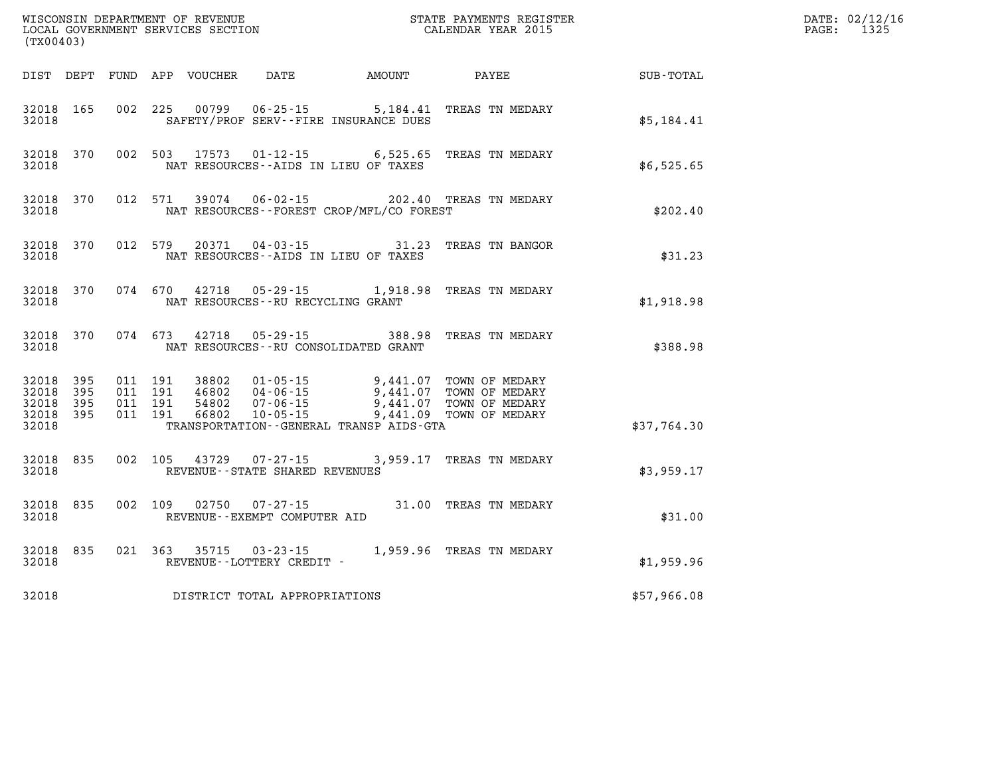| (TX00403)                                    |           |                                          |         | WISCONSIN DEPARTMENT OF REVENUE<br>LOCAL GOVERNMENT SERVICES SECTION |                                                          | STATE PAYMENTS REGISTER<br>CALENDAR YEAR 2015                                                                                                         |                          |             | DATE: 02/12/16<br>1325<br>$\mathtt{PAGE}$ : |
|----------------------------------------------|-----------|------------------------------------------|---------|----------------------------------------------------------------------|----------------------------------------------------------|-------------------------------------------------------------------------------------------------------------------------------------------------------|--------------------------|-------------|---------------------------------------------|
|                                              |           |                                          |         |                                                                      |                                                          | DIST DEPT FUND APP VOUCHER DATE AMOUNT PAYEE                                                                                                          |                          | SUB-TOTAL   |                                             |
| 32018 165<br>32018                           |           |                                          |         |                                                                      |                                                          | 002 225 00799 06-25-15 5,184.41 TREAS TN MEDARY<br>SAFETY/PROF SERV--FIRE INSURANCE DUES                                                              |                          | \$5,184.41  |                                             |
| 32018                                        | 32018 370 |                                          |         | 002 503 17573                                                        |                                                          | 01-12-15 6,525.65 TREAS TN MEDARY<br>NAT RESOURCES--AIDS IN LIEU OF TAXES                                                                             |                          | \$6,525.65  |                                             |
| 32018                                        | 32018 370 | 012 571                                  |         | 39074                                                                |                                                          | 06-02-15 202.40 TREAS TN MEDARY<br>NAT RESOURCES - - FOREST CROP/MFL/CO FOREST                                                                        |                          | \$202.40    |                                             |
| 32018                                        | 32018 370 |                                          | 012 579 |                                                                      |                                                          | 20371  04-03-15  31.23  TREAS TN BANGOR<br>NAT RESOURCES--AIDS IN LIEU OF TAXES                                                                       |                          | \$31.23     |                                             |
| 32018                                        | 32018 370 |                                          |         |                                                                      |                                                          | 074 670 42718 05-29-15 1,918.98 TREAS TN MEDARY<br>NAT RESOURCES - - RU RECYCLING GRANT                                                               |                          | \$1,918.98  |                                             |
| 32018                                        | 32018 370 |                                          | 074 673 |                                                                      |                                                          | 42718  05-29-15  388.98  TREAS TN MEDARY<br>NAT RESOURCES--RU CONSOLIDATED GRANT                                                                      |                          | \$388.98    |                                             |
| 32018<br>32018 395<br>32018 395<br>32018 395 | 395       | 011 191<br>011 191<br>011 191<br>011 191 |         |                                                                      |                                                          | 9,441.07 TOWN OF MEDARY<br>46802 04-06-15 9,441.07 TOWN OF MEDARY<br>54802 07-06-15 9,441.07 TOWN OF MEDARY<br>66802 10-05-15 9,441.09 TOWN OF MEDARY |                          |             |                                             |
| 32018                                        |           |                                          |         |                                                                      |                                                          | TRANSPORTATION--GENERAL TRANSP AIDS-GTA                                                                                                               |                          | \$37,764.30 |                                             |
| 32018 835<br>32018                           |           |                                          |         |                                                                      | 002 105 43729 07-27-15<br>REVENUE--STATE SHARED REVENUES |                                                                                                                                                       | 3,959.17 TREAS TN MEDARY | \$3,959.17  |                                             |
| 32018 835<br>32018                           |           |                                          |         |                                                                      | 002 109 02750 07-27-15<br>REVENUE--EXEMPT COMPUTER AID   |                                                                                                                                                       | 31.00 TREAS TN MEDARY    | \$31.00     |                                             |
| 32018                                        | 32018 835 |                                          |         | 021 363 35715                                                        | $03 - 23 - 15$<br>REVENUE - - LOTTERY CREDIT -           | 1,959.96 TREAS TN MEDARY                                                                                                                              |                          | \$1,959.96  |                                             |
| 32018                                        |           |                                          |         |                                                                      | DISTRICT TOTAL APPROPRIATIONS                            |                                                                                                                                                       |                          | \$57,966.08 |                                             |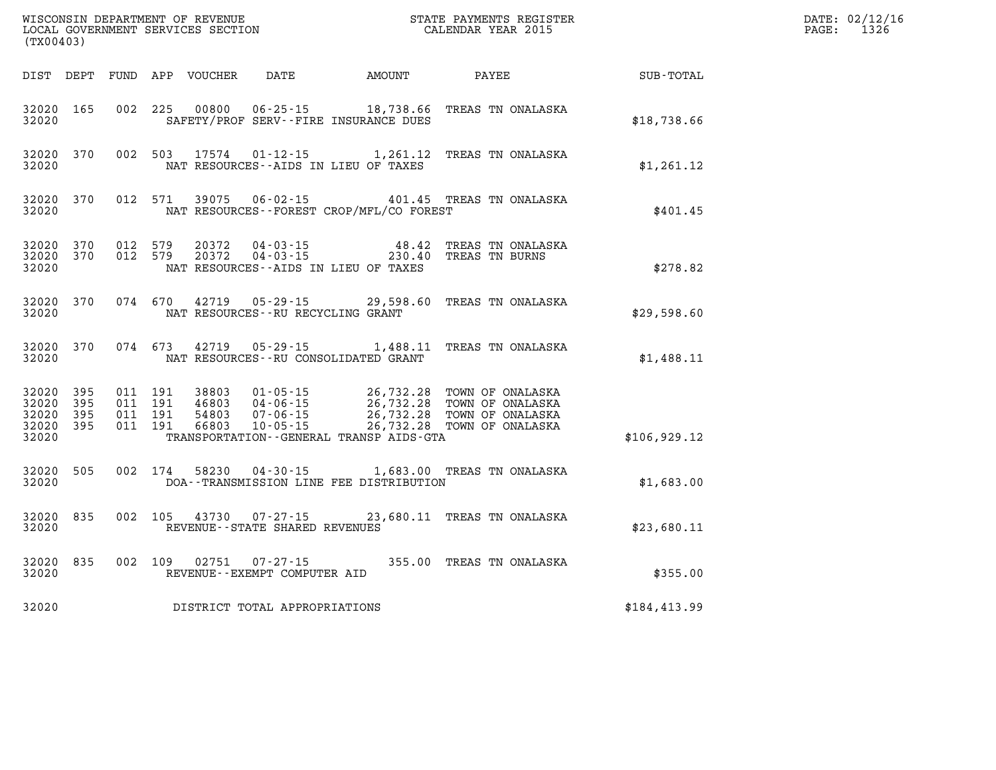| (TX00403)                                     |                       |                                          |         |                            |                                                  |                                                 |                                                                                                                                                                                                                            | DATE: 02/12/16<br>$\mathtt{PAGE:}$<br>1326 |  |
|-----------------------------------------------|-----------------------|------------------------------------------|---------|----------------------------|--------------------------------------------------|-------------------------------------------------|----------------------------------------------------------------------------------------------------------------------------------------------------------------------------------------------------------------------------|--------------------------------------------|--|
|                                               |                       |                                          |         | DIST DEPT FUND APP VOUCHER |                                                  | DATE AMOUNT                                     | PAYEE                                                                                                                                                                                                                      | SUB-TOTAL                                  |  |
| 32020 165<br>32020                            |                       |                                          |         | 002 225 00800              |                                                  | SAFETY/PROF SERV--FIRE INSURANCE DUES           | 06-25-15 18,738.66 TREAS TN ONALASKA                                                                                                                                                                                       | \$18,738.66                                |  |
| 32020 370<br>32020                            |                       |                                          |         | 002 503 17574              |                                                  | NAT RESOURCES -- AIDS IN LIEU OF TAXES          | 01-12-15 1,261.12 TREAS TN ONALASKA                                                                                                                                                                                        | \$1,261.12                                 |  |
| 32020 370<br>32020                            |                       |                                          | 012 571 |                            |                                                  | NAT RESOURCES - - FOREST CROP/MFL/CO FOREST     | 39075  06-02-15  401.45  TREAS TN ONALASKA                                                                                                                                                                                 | \$401.45                                   |  |
| 32020 370<br>32020 370<br>32020               |                       | 012 579<br>012 579                       |         | 20372<br>20372             | 04 - 03 - 15                                     | 48.42<br>NAT RESOURCES -- AIDS IN LIEU OF TAXES | TREAS TN ONALASKA<br>04-03-15 230.40 TREAS TN BURNS                                                                                                                                                                        | \$278.82                                   |  |
| 32020 370<br>32020                            |                       | 074 670                                  |         | 42719                      | 05-29-15<br>NAT RESOURCES - - RU RECYCLING GRANT |                                                 | 29,598.60 TREAS TN ONALASKA                                                                                                                                                                                                | \$29,598.60                                |  |
| 32020 370<br>32020                            |                       | 074 673                                  |         |                            |                                                  | NAT RESOURCES - - RU CONSOLIDATED GRANT         | 42719  05-29-15  1,488.11  TREAS TN ONALASKA                                                                                                                                                                               | \$1,488.11                                 |  |
| 32020 395<br>32020<br>32020<br>32020<br>32020 | - 395<br>395<br>- 395 | 011 191<br>011 191<br>011 191<br>011 191 |         |                            |                                                  | TRANSPORTATION--GENERAL TRANSP AIDS-GTA         | 38803  01-05-15  26,732.28  TOWN OF ONALASKA<br>46803  04-06-15  26,732.28  TOWN OF ONALASKA<br>54803  07-06-15  26,732.28  TOWN OF ONALASKA<br>66803  10-05-15  26,732.28  TOWN OF ONALASKA<br>26,732.28 TOWN OF ONALASKA | \$106, 929.12                              |  |
| 32020 505<br>32020                            |                       |                                          | 002 174 | 58230                      |                                                  | DOA--TRANSMISSION LINE FEE DISTRIBUTION         | 04-30-15 1,683.00 TREAS TN ONALASKA                                                                                                                                                                                        | \$1,683.00                                 |  |
| 32020 835<br>32020                            |                       |                                          | 002 105 |                            | 43730 07-27-15<br>REVENUE--STATE SHARED REVENUES |                                                 | 23,680.11 TREAS TN ONALASKA                                                                                                                                                                                                | \$23,680.11                                |  |
| 32020 835<br>32020                            |                       |                                          |         | 002 109 02751              | $07 - 27 - 15$<br>REVENUE--EXEMPT COMPUTER AID   |                                                 | 355.00 TREAS TN ONALASKA                                                                                                                                                                                                   | \$355.00                                   |  |
| 32020                                         |                       |                                          |         |                            | DISTRICT TOTAL APPROPRIATIONS                    |                                                 |                                                                                                                                                                                                                            | \$184,413.99                               |  |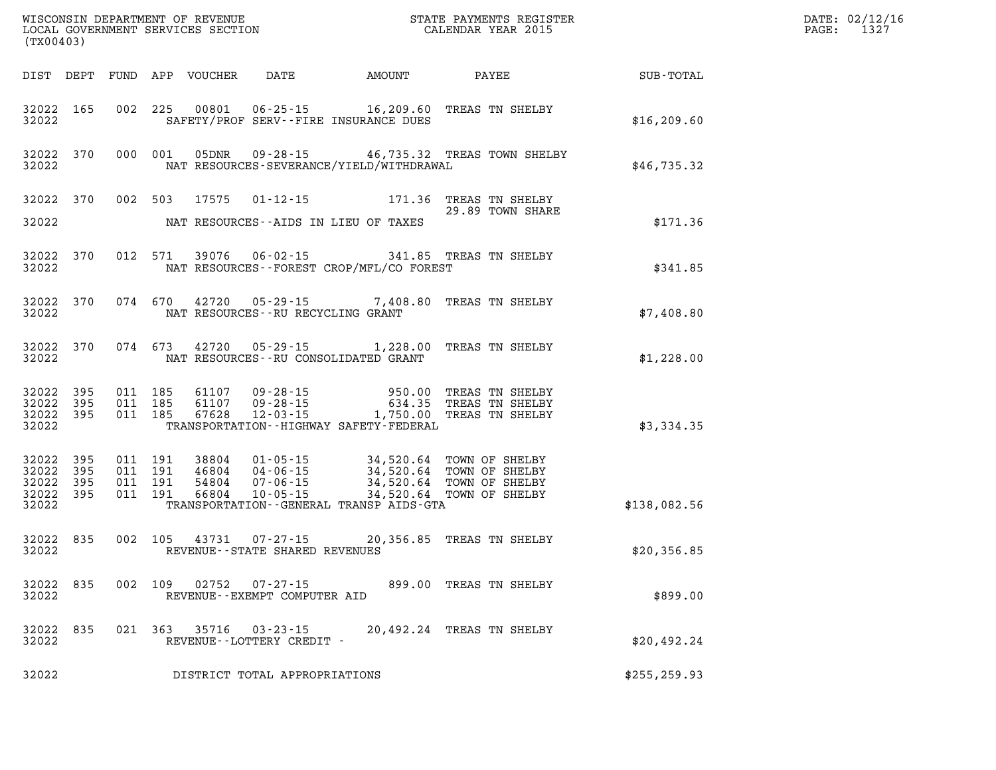| (TX00403)                                     |                   |                                      |         |       |                                                   |                                                                                                                                                                                                                                 |                           | DATE: 02/12/16<br>1327<br>$\mathtt{PAGE:}$ |              |  |
|-----------------------------------------------|-------------------|--------------------------------------|---------|-------|---------------------------------------------------|---------------------------------------------------------------------------------------------------------------------------------------------------------------------------------------------------------------------------------|---------------------------|--------------------------------------------|--------------|--|
|                                               |                   |                                      |         |       | DIST DEPT FUND APP VOUCHER DATE AMOUNT            |                                                                                                                                                                                                                                 | PAYEE                     |                                            | SUB-TOTAL    |  |
| 32022                                         | 32022 165         |                                      |         |       |                                                   | 002 225 00801 06-25-15 16,209.60 TREAS TN SHELBY<br>SAFETY/PROF SERV--FIRE INSURANCE DUES                                                                                                                                       |                           |                                            | \$16, 209.60 |  |
| 32022                                         | 32022 370         |                                      |         |       |                                                   | 000 001 05DNR 09-28-15 46,735.32 TREAS TOWN SHELBY<br>NAT RESOURCES-SEVERANCE/YIELD/WITHDRAWAL                                                                                                                                  |                           |                                            | \$46,735.32  |  |
|                                               |                   |                                      |         |       |                                                   | 32022 370 002 503 17575 01-12-15 171.36 TREAS TN SHELBY                                                                                                                                                                         | 29.89 TOWN SHARE          |                                            |              |  |
| 32022                                         |                   |                                      |         |       |                                                   | NAT RESOURCES--AIDS IN LIEU OF TAXES                                                                                                                                                                                            |                           |                                            | \$171.36     |  |
| 32022                                         | 32022 370         |                                      |         |       |                                                   | 012 571 39076 06-02-15 341.85 TREAS TN SHELBY<br>NAT RESOURCES--FOREST CROP/MFL/CO FOREST                                                                                                                                       |                           |                                            | \$341.85     |  |
| 32022                                         | 32022 370         |                                      |         |       | NAT RESOURCES--RU RECYCLING GRANT                 | 074 670 42720 05-29-15 7,408.80 TREAS TN SHELBY                                                                                                                                                                                 |                           |                                            | \$7,408.80   |  |
| 32022                                         |                   |                                      |         |       |                                                   | 32022 370 074 673 42720 05-29-15 1,228.00 TREAS TN SHELBY<br>NAT RESOURCES--RU CONSOLIDATED GRANT                                                                                                                               |                           |                                            | \$1,228.00   |  |
| 32022<br>32022 395<br>32022 395<br>32022      | 395               |                                      |         |       |                                                   | 011 185 61107 09-28-15 950.00 TREAS TN SHELBY<br>011 185 61107 09-28-15 634.35 TREAS TN SHELBY<br>011 185 67628 12-03-15 1,750.00 TREAS TN SHELBY<br>TRANSPORTATION - - HIGHWAY SAFETY - FEDERAL                                |                           |                                            | \$3,334.35   |  |
| 32022<br>32022<br>32022<br>32022 395<br>32022 | 395<br>395<br>395 | 011 191<br>011 191<br>011<br>011 191 | 191     |       |                                                   | 38804  01-05-15  34,520.64  TOWN OF SHELBY<br>46804  04-06-15  34,520.64  TOWN OF SHELBY<br>54804  07-06-15  34,520.64  TOWN OF SHELBY<br>66804  10-05-15  34,520.64  TOWN OF SHELBY<br>TRANSPORTATION--GENERAL TRANSP AIDS-GTA |                           |                                            | \$138,082.56 |  |
| 32022                                         | 32022 835         |                                      |         |       | REVENUE - - STATE SHARED REVENUES                 | 002 105 43731 07-27-15 20,356.85 TREAS TN SHELBY                                                                                                                                                                                |                           |                                            | \$20,356.85  |  |
| 32022 835<br>32022                            |                   |                                      | 002 109 | 02752 | $07 - 27 - 15$<br>REVENUE - - EXEMPT COMPUTER AID |                                                                                                                                                                                                                                 | 899.00 TREAS TN SHELBY    |                                            | \$899.00     |  |
| 32022<br>32022                                | 835               |                                      | 021 363 | 35716 | 03-23-15<br>REVENUE--LOTTERY CREDIT -             |                                                                                                                                                                                                                                 | 20,492.24 TREAS TN SHELBY |                                            | \$20.492.24  |  |
| 32022                                         |                   |                                      |         |       | DISTRICT TOTAL APPROPRIATIONS                     |                                                                                                                                                                                                                                 |                           |                                            | \$255,259.93 |  |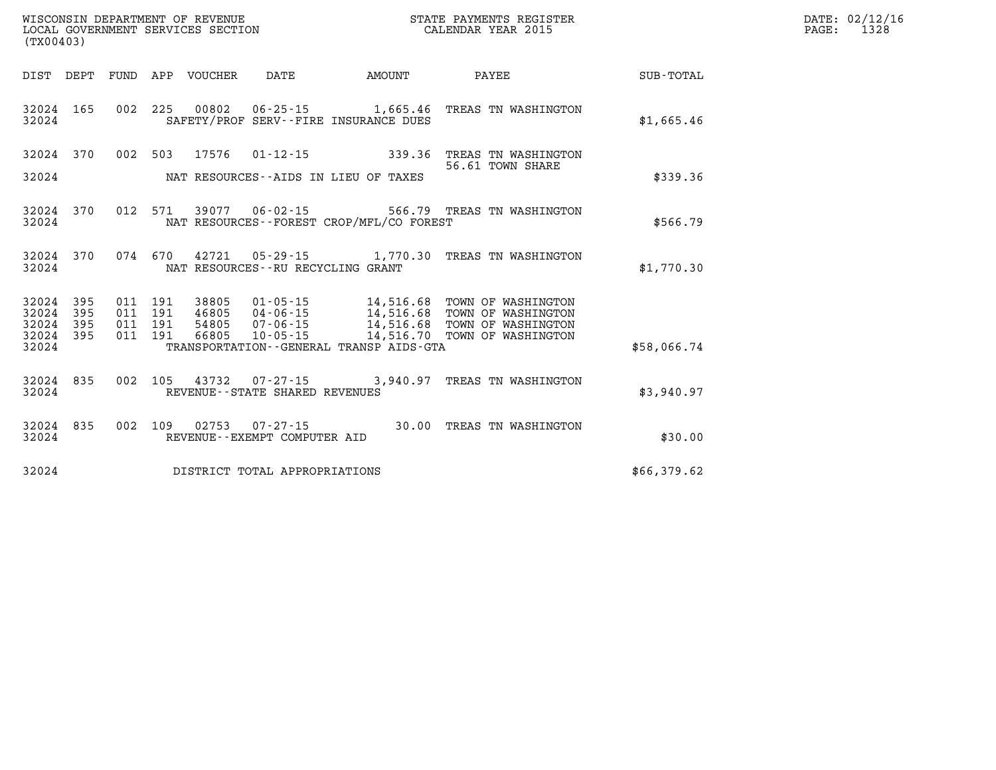| (TX00403)                   |            |                               |                            |                                      |                                             | % WISCONSIN DEPARTMENT OF REVENUE WISCONSIN STATE PAYMENTS REGISTER LOCAL GOVERNMENT SERVICES SECTION WELL TO SALENDAR YEAR 2015                                                            |             | DATE: 02/12/16<br>PAGE:<br>1328 |
|-----------------------------|------------|-------------------------------|----------------------------|--------------------------------------|---------------------------------------------|---------------------------------------------------------------------------------------------------------------------------------------------------------------------------------------------|-------------|---------------------------------|
|                             |            |                               | DIST DEPT FUND APP VOUCHER | DATE                                 | <b>EXAMPLE THE AMOUNT</b>                   | <b>PAYEE</b>                                                                                                                                                                                | SUB-TOTAL   |                                 |
| 32024 165<br>32024          |            |                               |                            |                                      | SAFETY/PROF SERV--FIRE INSURANCE DUES       | 002 225 00802 06-25-15 1,665.46 TREAS TN WASHINGTON                                                                                                                                         | \$1,665.46  |                                 |
|                             |            |                               |                            |                                      |                                             | 32024 370 002 503 17576 01-12-15 339.36 TREAS TN WASHINGTON<br>56.61 TOWN SHARE                                                                                                             |             |                                 |
| 32024                       |            |                               |                            |                                      | NAT RESOURCES--AIDS IN LIEU OF TAXES        |                                                                                                                                                                                             | \$339.36    |                                 |
| 32024                       | 32024 370  |                               |                            |                                      | NAT RESOURCES - - FOREST CROP/MFL/CO FOREST | 012 571 39077 06-02-15 566.79 TREAS TN WASHINGTON                                                                                                                                           | \$566.79    |                                 |
| 32024                       |            |                               |                            | NAT RESOURCES - - RU RECYCLING GRANT |                                             | 32024 370 074 670 42721 05-29-15 1,770.30 TREAS TN WASHINGTON                                                                                                                               | \$1,770.30  |                                 |
| 32024<br>32024<br>32024 395 | 395<br>395 | 011 191<br>011 191<br>011 191 |                            |                                      |                                             | 38805  01-05-15  14,516.68  TOWN OF WASHINGTON<br>46805 04-06-15 14,516.68 TOWN OF WASHINGTON<br>54805 07-06-15 14,516.68 TOWN OF WASHINGTON<br>66805 10-05-15 14,516.70 TOWN OF WASHINGTON |             |                                 |
| 32024 395<br>32024          |            | 011 191                       |                            |                                      | TRANSPORTATION--GENERAL TRANSP AIDS-GTA     |                                                                                                                                                                                             | \$58,066.74 |                                 |
| 32024                       | 32024 835  |                               |                            | REVENUE - - STATE SHARED REVENUES    |                                             | 002 105 43732 07-27-15 3,940.97 TREAS TN WASHINGTON                                                                                                                                         | \$3,940.97  |                                 |
| 32024 835<br>32024          |            |                               |                            | REVENUE--EXEMPT COMPUTER AID         |                                             | 002 109 02753 07-27-15 30.00 TREAS TN WASHINGTON                                                                                                                                            | \$30.00     |                                 |
| 32024                       |            |                               |                            | DISTRICT TOTAL APPROPRIATIONS        |                                             |                                                                                                                                                                                             | \$66,379.62 |                                 |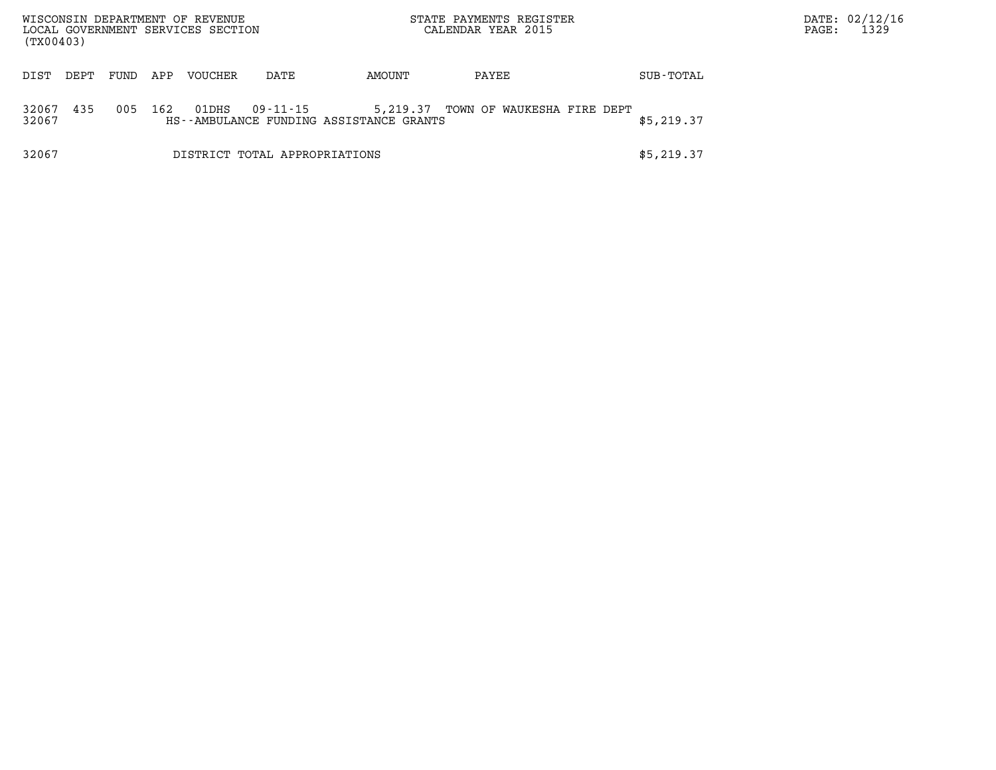| (TX00403)      |      |      |     | WISCONSIN DEPARTMENT OF REVENUE<br>LOCAL GOVERNMENT SERVICES SECTION |                               | STATE PAYMENTS REGISTER<br>CALENDAR YEAR 2015       |                            | PAGE: | DATE: 02/12/16<br>1329 |  |  |
|----------------|------|------|-----|----------------------------------------------------------------------|-------------------------------|-----------------------------------------------------|----------------------------|-------|------------------------|--|--|
| DIST           | DEPT | FUND | APP | <b>VOUCHER</b>                                                       | DATE                          | AMOUNT                                              | PAYEE                      |       | SUB-TOTAL              |  |  |
| 32067<br>32067 | 435  | 005  | 162 | 01DHS                                                                | 09-11-15                      | 5,219.37<br>HS--AMBULANCE FUNDING ASSISTANCE GRANTS | TOWN OF WAUKESHA FIRE DEPT |       | \$5,219.37             |  |  |
| 32067          |      |      |     |                                                                      | DISTRICT TOTAL APPROPRIATIONS |                                                     |                            |       | \$5,219.37             |  |  |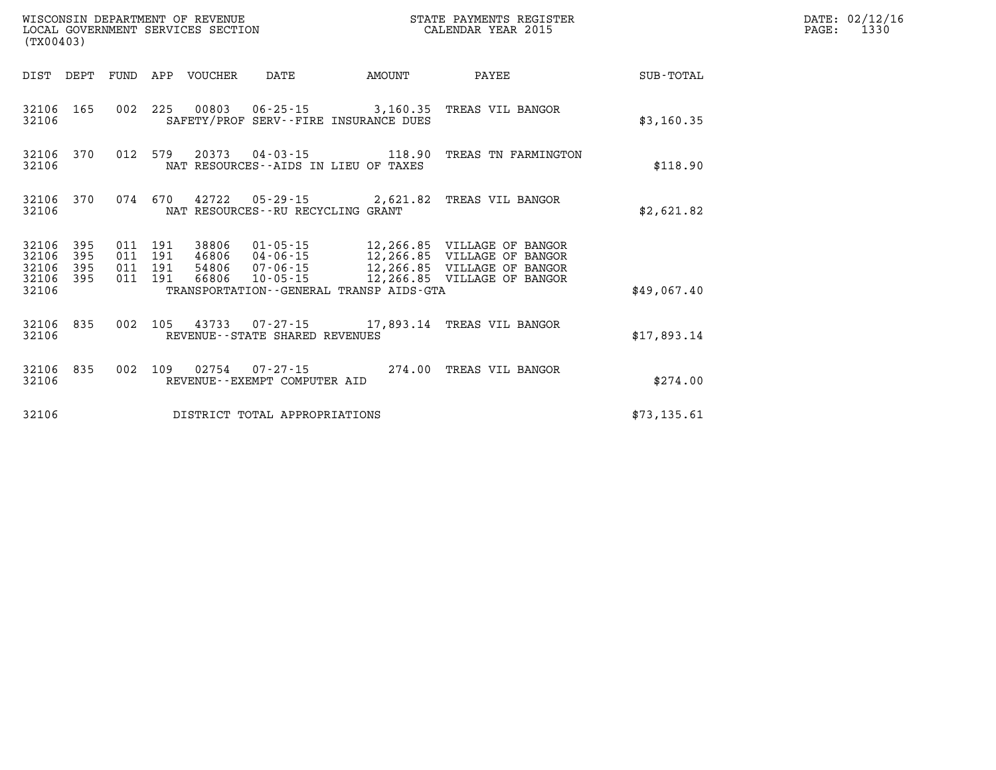| (TX00403)                            |                   |         |                               |                            | WISCONSIN DEPARTMENT OF REVENUE<br>LOCAL GOVERNMENT SERVICES SECTION |                                         | STATE PAYMENTS REGISTER<br>CALENDAR YEAR 2015                                                                                                                                          |             | DATE: 02/12/16<br>PAGE: 1330 |
|--------------------------------------|-------------------|---------|-------------------------------|----------------------------|----------------------------------------------------------------------|-----------------------------------------|----------------------------------------------------------------------------------------------------------------------------------------------------------------------------------------|-------------|------------------------------|
|                                      |                   |         |                               | DIST DEPT FUND APP VOUCHER | DATE                                                                 | AMOUNT                                  | PAYEE                                                                                                                                                                                  | SUB-TOTAL   |                              |
| 32106 165<br>32106                   |                   |         |                               |                            |                                                                      | SAFETY/PROF SERV--FIRE INSURANCE DUES   | 002 225 00803 06-25-15 3,160.35 TREAS VIL BANGOR                                                                                                                                       | \$3,160.35  |                              |
| 32106 370<br>32106                   |                   |         | 012 579                       |                            | NAT RESOURCES--AIDS IN LIEU OF TAXES                                 |                                         | 20373  04-03-15  118.90 TREAS TN FARMINGTON                                                                                                                                            | \$118.90    |                              |
| 32106 370<br>32106                   |                   |         |                               |                            | NAT RESOURCES - - RU RECYCLING GRANT                                 |                                         | 074 670 42722 05-29-15 2,621.82 TREAS VIL BANGOR                                                                                                                                       | \$2,621.82  |                              |
| 32106<br>32106<br>32106<br>32106 395 | 395<br>395<br>395 | 011 191 | 011 191<br>011 191<br>011 191 |                            |                                                                      |                                         | 38806 01-05-15 12,266.85 VILLAGE OF BANGOR<br>46806 04-06-15 12,266.85 VILLAGE OF BANGOR<br>54806 07-06-15 12,266.85 VILLAGE OF BANGOR<br>66806 10-05-15 - 12,266.85 VILLAGE OF BANGOR |             |                              |
| 32106                                |                   |         |                               |                            |                                                                      | TRANSPORTATION--GENERAL TRANSP AIDS-GTA |                                                                                                                                                                                        | \$49,067.40 |                              |
| 32106                                | 32106 835         |         |                               |                            | REVENUE--STATE SHARED REVENUES                                       |                                         | 002 105 43733 07-27-15 17,893.14 TREAS VIL BANGOR                                                                                                                                      | \$17,893.14 |                              |
| 32106 835<br>32106                   |                   |         |                               |                            | REVENUE--EXEMPT COMPUTER AID                                         |                                         | 002 109 02754 07-27-15 274.00 TREAS VIL BANGOR                                                                                                                                         | \$274.00    |                              |
| 32106                                |                   |         |                               |                            | DISTRICT TOTAL APPROPRIATIONS                                        |                                         |                                                                                                                                                                                        | \$73,135.61 |                              |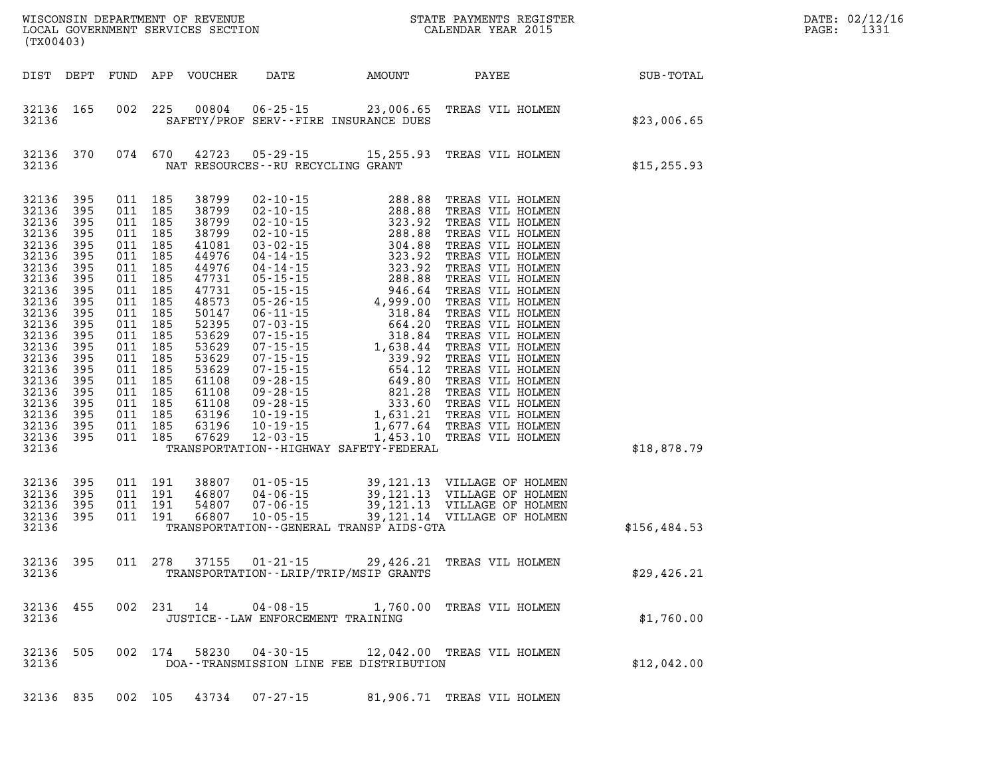| (TX00403)                                                                                                                                                                                                                                                       |                                                             |                                                                                                                                                                                                               |                                          |  |                                     |                                             |                                                         |              | DATE: 02/12/16<br>PAGE: 1331 |
|-----------------------------------------------------------------------------------------------------------------------------------------------------------------------------------------------------------------------------------------------------------------|-------------------------------------------------------------|---------------------------------------------------------------------------------------------------------------------------------------------------------------------------------------------------------------|------------------------------------------|--|-------------------------------------|---------------------------------------------|---------------------------------------------------------|--------------|------------------------------|
|                                                                                                                                                                                                                                                                 | DIST DEPT                                                   |                                                                                                                                                                                                               |                                          |  |                                     |                                             |                                                         |              |                              |
| 32136 165<br>32136                                                                                                                                                                                                                                              |                                                             |                                                                                                                                                                                                               |                                          |  |                                     | SAFETY/PROF SERV--FIRE INSURANCE DUES       | 002 225 00804 06-25-15 23,006.65 TREAS VIL HOLMEN       | \$23,006.65  |                              |
| 32136                                                                                                                                                                                                                                                           | 32136 370                                                   |                                                                                                                                                                                                               |                                          |  | NAT RESOURCES -- RU RECYCLING GRANT |                                             | 074 670 42723 05-29-15 15,255.93 TREAS VIL HOLMEN       | \$15, 255.93 |                              |
| 32136<br>32136 395<br>32136<br>32136<br>32136<br>32136 395<br>32136<br>32136 395<br>32136<br>32136 395<br>32136<br>32136 395<br>32136<br>32136 395<br>32136 395<br>32136 395<br>32136<br>32136 395<br>32136 395<br>32136 395<br>32136 395<br>32136 395<br>32136 | 395<br>395<br>395<br>395<br>395<br>395<br>395<br>395<br>395 | 011 185<br>011 185<br>011 185<br>011 185<br>011 185<br>011 185<br>011 185<br>011 185<br>011 185<br>011 185<br>011 185<br>011 185<br>011 185<br>011 185<br>011 185<br>011 185<br>011 185<br>011 185<br>011 185 | 011 185<br>011 185<br>011 185            |  |                                     | TRANSPORTATION - - HIGHWAY SAFETY - FEDERAL |                                                         | \$18,878.79  |                              |
| 32136 395<br>32136<br>32136 395<br>32136 395<br>32136                                                                                                                                                                                                           | 395                                                         |                                                                                                                                                                                                               | 011 191<br>011 191<br>011 191<br>011 191 |  |                                     | TRANSPORTATION--GENERAL TRANSP AIDS-GTA     |                                                         | \$156,484.53 |                              |
| 32136 395                                                                                                                                                                                                                                                       | 32136                                                       |                                                                                                                                                                                                               |                                          |  |                                     | TRANSPORTATION--LRIP/TRIP/MSIP GRANTS       | 011 278 37155 01-21-15 29,426.21 TREAS VIL HOLMEN       | \$29,426.21  |                              |
| 32136                                                                                                                                                                                                                                                           |                                                             |                                                                                                                                                                                                               |                                          |  | JUSTICE--LAW ENFORCEMENT TRAINING   |                                             | 32136 455 002 231 14 04-08-15 1,760.00 TREAS VIL HOLMEN | \$1,760.00   |                              |
| 32136                                                                                                                                                                                                                                                           | 32136 505                                                   |                                                                                                                                                                                                               |                                          |  |                                     | DOA--TRANSMISSION LINE FEE DISTRIBUTION     | 002 174 58230 04-30-15 12,042.00 TREAS VIL HOLMEN       | \$12,042.00  |                              |
|                                                                                                                                                                                                                                                                 |                                                             |                                                                                                                                                                                                               |                                          |  | 32136 835 002 105 43734 07-27-15    |                                             | 81,906.71 TREAS VIL HOLMEN                              |              |                              |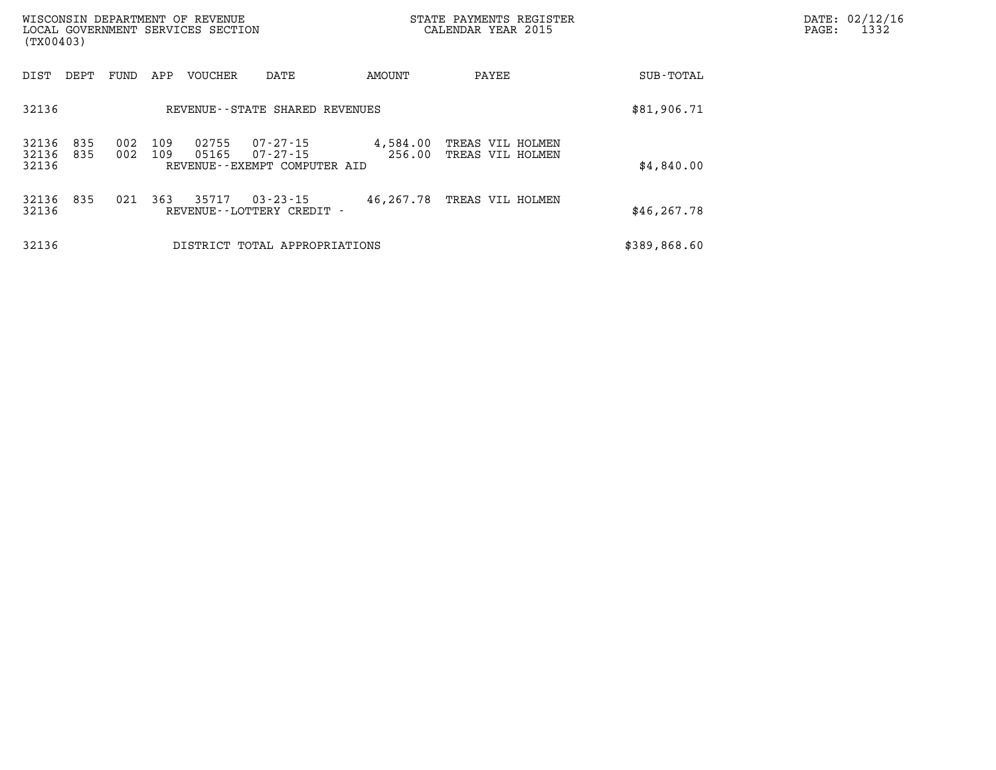| (TX00403)               |            |            |            | WISCONSIN DEPARTMENT OF REVENUE<br>LOCAL GOVERNMENT SERVICES SECTION |                                                      |                    | STATE PAYMENTS REGISTER<br>CALENDAR YEAR 2015 |              | DATE: 02/12/16<br>PAGE:<br>1332 |
|-------------------------|------------|------------|------------|----------------------------------------------------------------------|------------------------------------------------------|--------------------|-----------------------------------------------|--------------|---------------------------------|
| DIST                    | DEPT       | FUND       | APP        | <b>VOUCHER</b>                                                       | DATE                                                 | AMOUNT             | PAYEE                                         | SUB-TOTAL    |                                 |
| 32136                   |            |            |            |                                                                      | REVENUE - - STATE SHARED REVENUES                    |                    |                                               | \$81,906.71  |                                 |
| 32136<br>32136<br>32136 | 835<br>835 | 002<br>002 | 109<br>109 | 02755<br>05165                                                       | 07-27-15<br>07-27-15<br>REVENUE--EXEMPT COMPUTER AID | 4,584.00<br>256.00 | TREAS VIL HOLMEN<br>TREAS VIL HOLMEN          | \$4,840.00   |                                 |
| 32136 835<br>32136      |            | 021        | 363        | 35717                                                                | $03 - 23 - 15$<br>REVENUE - - LOTTERY CREDIT -       | 46,267.78          | TREAS VIL HOLMEN                              | \$46, 267.78 |                                 |
| 32136                   |            |            |            |                                                                      | DISTRICT TOTAL APPROPRIATIONS                        |                    |                                               | \$389,868.60 |                                 |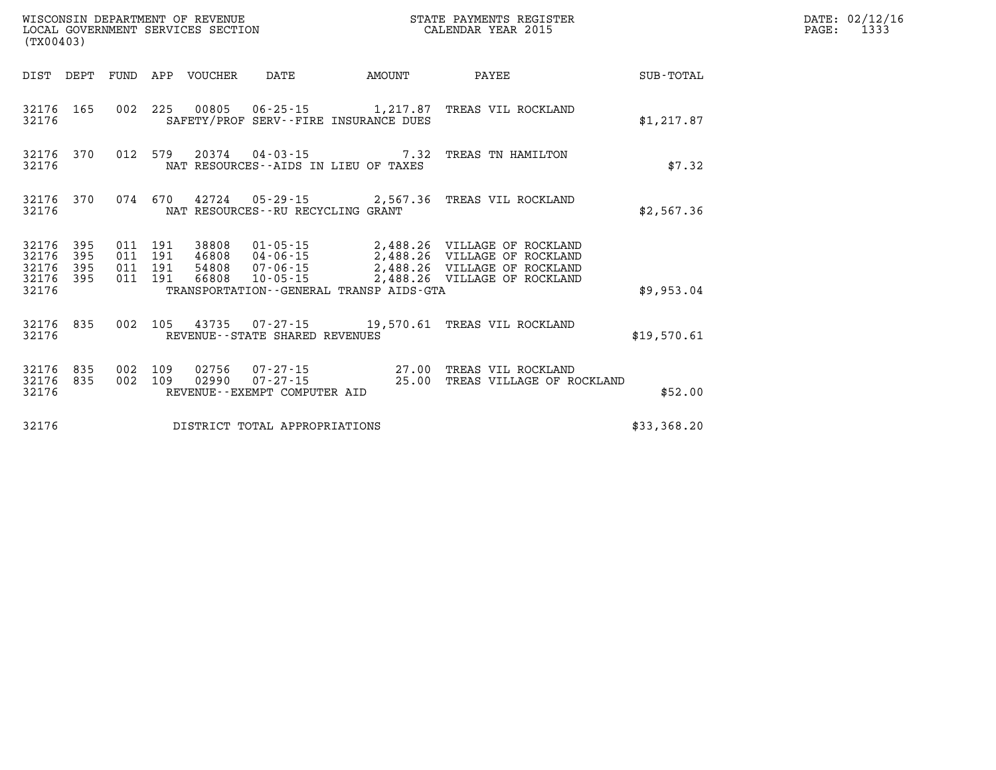|                                           | WISCONSIN DEPARTMENT OF REVENUE<br>STATE PAYMENTS REGISTER<br>LOCAL GOVERNMENT SERVICES SECTION<br>CALENDAR YEAR 2015<br>(TX00403) |                          |                          |                |                                                  |                                         |                                                                                                                                       |             |  |  |  |
|-------------------------------------------|------------------------------------------------------------------------------------------------------------------------------------|--------------------------|--------------------------|----------------|--------------------------------------------------|-----------------------------------------|---------------------------------------------------------------------------------------------------------------------------------------|-------------|--|--|--|
| DIST                                      | DEPT                                                                                                                               | FUND                     | APP                      | VOUCHER        | DATE                                             | AMOUNT                                  | PAYEE                                                                                                                                 | SUB-TOTAL   |  |  |  |
| 32176<br>32176                            | 165                                                                                                                                | 002                      |                          |                |                                                  | SAFETY/PROF SERV--FIRE INSURANCE DUES   | 225 00805 06-25-15 1,217.87 TREAS VIL ROCKLAND                                                                                        | \$1,217.87  |  |  |  |
| 32176<br>32176                            | 370                                                                                                                                |                          |                          |                |                                                  | NAT RESOURCES--AIDS IN LIEU OF TAXES    | 012 579 20374 04-03-15 7.32 TREAS TN HAMILTON                                                                                         | \$7.32      |  |  |  |
| 32176<br>32176                            | 370                                                                                                                                |                          | 074 670                  |                | NAT RESOURCES - - RU RECYCLING GRANT             |                                         | 42724  05-29-15  2,567.36  TREAS VIL ROCKLAND                                                                                         | \$2,567.36  |  |  |  |
| 32176<br>32176<br>32176<br>32176<br>32176 | 395<br>395<br>395<br>395                                                                                                           | 011<br>011<br>011<br>011 | 191<br>191<br>191<br>191 | 38808<br>66808 | 46808 04-06-15<br>54808 07-06-15<br>10-05-15     | TRANSPORTATION--GENERAL TRANSP AIDS-GTA | 01-05-15 2,488.26 VILLAGE OF ROCKLAND<br>2,488.26 VILLAGE OF ROCKLAND<br>2,488.26 VILLAGE OF ROCKLAND<br>2,488.26 VILLAGE OF ROCKLAND | \$9,953.04  |  |  |  |
| 32176<br>32176                            | 835                                                                                                                                | 002                      | 105                      | 43735          | REVENUE--STATE SHARED REVENUES                   |                                         | 07-27-15 19,570.61 TREAS VIL ROCKLAND                                                                                                 | \$19,570.61 |  |  |  |
| 32176<br>32176<br>32176                   | 835<br>835                                                                                                                         | 002<br>002               | 109<br>109               | 02756          | 02990   07-27-15<br>REVENUE--EXEMPT COMPUTER AID | 25.00                                   | 07-27-15 27.00 TREAS VIL ROCKLAND<br>TREAS VILLAGE OF ROCKLAND                                                                        | \$52.00     |  |  |  |
| 32176                                     |                                                                                                                                    |                          |                          |                | DISTRICT TOTAL APPROPRIATIONS                    |                                         |                                                                                                                                       | \$33,368.20 |  |  |  |

DATE: 02/12/16 PAGE: 1333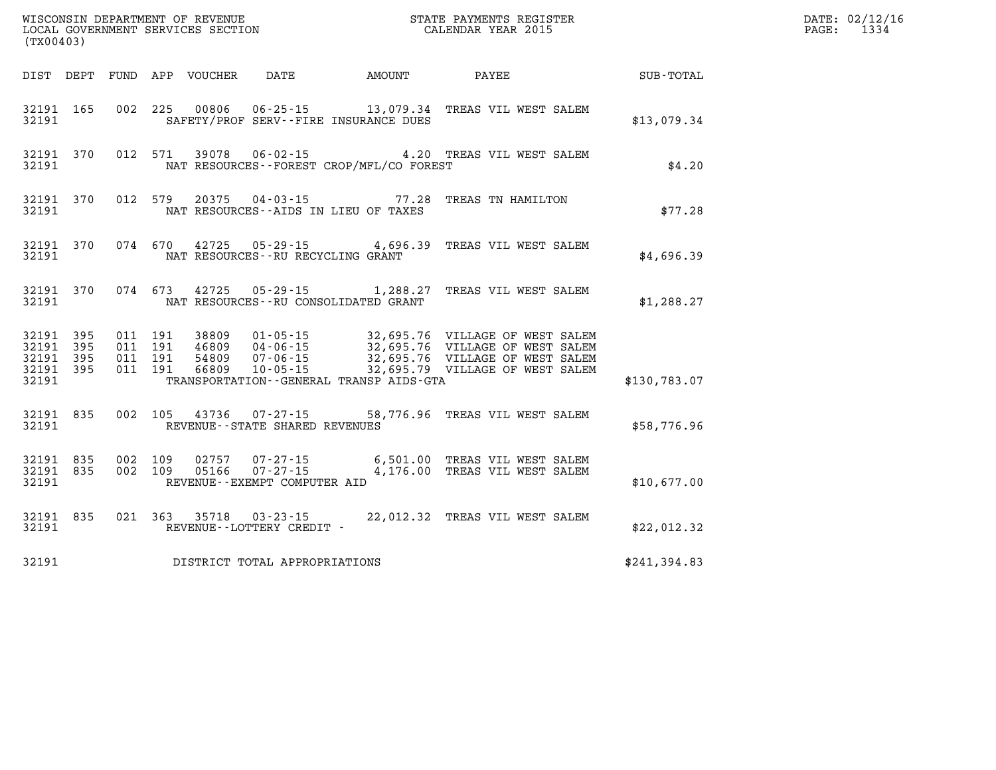| (TX00403)      |                                              |  | WISCONSIN DEPARTMENT OF REVENUE<br>LOCAL GOVERNMENT SERVICES SECTION |                                              | STATE PAYMENTS REGISTER<br>CALENDAR YEAR 2015                                                                                                                                                                                        |              | DATE: 02/12/16<br>PAGE: 1334 |
|----------------|----------------------------------------------|--|----------------------------------------------------------------------|----------------------------------------------|--------------------------------------------------------------------------------------------------------------------------------------------------------------------------------------------------------------------------------------|--------------|------------------------------|
|                |                                              |  |                                                                      |                                              | DIST DEPT FUND APP VOUCHER  DATE            AMOUNT            PAYEE                                                                                                                                                                  | SUB-TOTAL    |                              |
| 32191          | 32191 165                                    |  |                                                                      | SAFETY/PROF SERV--FIRE INSURANCE DUES        | 002 225 00806 06-25-15 13,079.34 TREAS VIL WEST SALEM                                                                                                                                                                                | \$13,079.34  |                              |
| 32191          | 32191 370                                    |  |                                                                      | NAT RESOURCES - - FOREST CROP/MFL/CO FOREST  | 012 571 39078 06-02-15 4.20 TREAS VIL WEST SALEM                                                                                                                                                                                     | \$4.20       |                              |
| 32191          | 32191 370                                    |  | NAT RESOURCES--AIDS IN LIEU OF TAXES                                 |                                              | 012 579 20375 04-03-15 77.28 TREAS TN HAMILTON                                                                                                                                                                                       | \$77.28      |                              |
| 32191          | 32191 370                                    |  | NAT RESOURCES - - RU RECYCLING GRANT                                 |                                              | 074 670 42725 05-29-15 4,696.39 TREAS VIL WEST SALEM                                                                                                                                                                                 | \$4,696.39   |                              |
| 32191          | 32191 370                                    |  | NAT RESOURCES--RU CONSOLIDATED GRANT                                 |                                              | 074 673 42725 05-29-15 1,288.27 TREAS VIL WEST SALEM                                                                                                                                                                                 | \$1,288.27   |                              |
| 32191<br>32191 | 32191 395<br>32191 395<br>- 395<br>32191 395 |  |                                                                      | TRANSPORTATION - - GENERAL TRANSP AIDS - GTA | 011 191 38809 01-05-15 32,695.76 VILLAGE OF WEST SALEM<br>011 191 46809 04-06-15 32,695.76 VILLAGE OF WEST SALEM<br>011 191 54809 07-06-15 32,695.76 VILLAGE OF WEST SALEM<br>011 191 66809 10-05-15 32,695.79 VILLAGE OF WEST SALEM | \$130,783.07 |                              |
| 32191          |                                              |  | REVENUE--STATE SHARED REVENUES                                       |                                              | 32191 835 002 105 43736 07-27-15 58,776.96 TREAS VIL WEST SALEM                                                                                                                                                                      | \$58,776.96  |                              |
| 32191          | 32191 835                                    |  | 002 109 05166 07-27-15<br>REVENUE--EXEMPT COMPUTER AID               |                                              | 32191 835 002 109 02757 07-27-15 6,501.00 TREAS VIL WEST SALEM<br>4,176.00 TREAS VIL WEST SALEM                                                                                                                                      | \$10,677.00  |                              |
| 32191          | 32191 835                                    |  | REVENUE--LOTTERY CREDIT -                                            |                                              | 021 363 35718 03-23-15 22,012.32 TREAS VIL WEST SALEM                                                                                                                                                                                | \$22,012.32  |                              |
| 32191          |                                              |  | DISTRICT TOTAL APPROPRIATIONS                                        |                                              |                                                                                                                                                                                                                                      | \$241,394.83 |                              |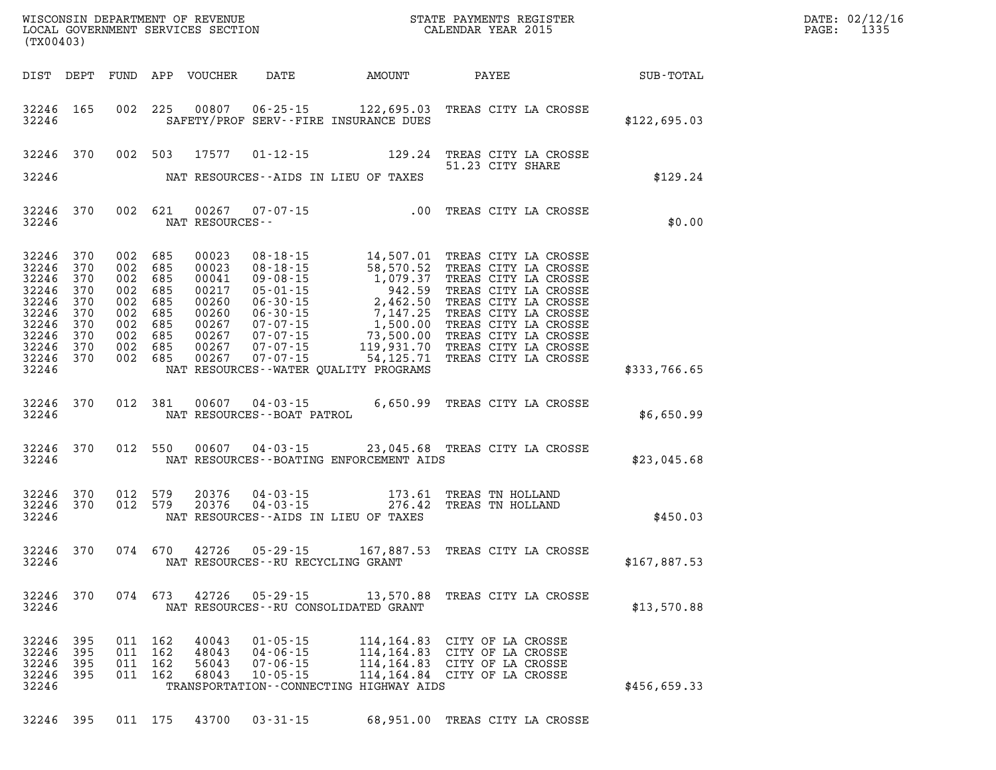| (TX00403)                        |                                                                                                              |                                                             |                                                                        |                                                                                        |                                                                      |                                                                                                                                                                                                                                                                                                         |              |                                      |                      |                      | DATE: 02/12/16<br>PAGE:<br>1335 |
|----------------------------------|--------------------------------------------------------------------------------------------------------------|-------------------------------------------------------------|------------------------------------------------------------------------|----------------------------------------------------------------------------------------|----------------------------------------------------------------------|---------------------------------------------------------------------------------------------------------------------------------------------------------------------------------------------------------------------------------------------------------------------------------------------------------|--------------|--------------------------------------|----------------------|----------------------|---------------------------------|
|                                  |                                                                                                              |                                                             |                                                                        | DIST DEPT FUND APP VOUCHER                                                             |                                                                      | DATE AMOUNT                                                                                                                                                                                                                                                                                             | <b>PAYEE</b> |                                      |                      | $\texttt{SUB-TOTAL}$ |                                 |
| 32246                            | 32246 165                                                                                                    |                                                             | 002 225                                                                | 00807                                                                                  |                                                                      | 06-25-15 122,695.03 TREAS CITY LA CROSSE<br>SAFETY/PROF SERV--FIRE INSURANCE DUES                                                                                                                                                                                                                       |              |                                      |                      | \$122,695.03         |                                 |
|                                  | 32246 370                                                                                                    |                                                             | 002 503                                                                | 17577                                                                                  |                                                                      | $01 - 12 - 15$ 129.24                                                                                                                                                                                                                                                                                   |              | 51.23 CITY SHARE                     | TREAS CITY LA CROSSE |                      |                                 |
| 32246                            |                                                                                                              |                                                             |                                                                        |                                                                                        |                                                                      | NAT RESOURCES--AIDS IN LIEU OF TAXES                                                                                                                                                                                                                                                                    |              |                                      |                      | \$129.24             |                                 |
| 32246                            | 32246 370                                                                                                    |                                                             | 002 621                                                                | NAT RESOURCES--                                                                        |                                                                      | 00267 07-07-15 .00 TREAS CITY LA CROSSE                                                                                                                                                                                                                                                                 |              |                                      |                      | \$0.00               |                                 |
| 32246<br>32246<br>32246<br>32246 | 32246 370<br>32246 370<br>370<br>32246 370<br>370<br>32246 370<br>370<br>32246 370<br>32246 370<br>32246 370 | 002<br>002<br>002<br>002<br>002<br>002<br>002<br>002<br>002 | 685<br>685<br>685<br>685<br>685<br>685<br>685<br>685<br>685<br>002 685 | 00023<br>00023<br>00041<br>00217<br>00260<br>00260<br>00267<br>00267<br>00267<br>00267 |                                                                      | 08-18-15<br>08-18-15<br>08-18-15<br>58,570.52<br>7REAS CITY LA CROSSE<br>09-08-15<br>1,079.37<br>7REAS CITY LA CROSSE<br>05-01-15<br>2,462.50<br>7REAS CITY LA CROSSE<br>06-30-15<br>7,147.25<br>7REAS CITY LA CROSSE<br>07-07-15<br>7,500.00<br>7REAS CITY LA<br>NAT RESOURCES--WATER OUALITY PROGRAMS |              |                                      |                      | \$333,766.65         |                                 |
| 32246                            | 32246 370                                                                                                    |                                                             | 012 381                                                                | 00607                                                                                  | NAT RESOURCES - - BOAT PATROL                                        | 04-03-15 6,650.99 TREAS CITY LA CROSSE                                                                                                                                                                                                                                                                  |              |                                      |                      | \$6,650.99           |                                 |
| 32246                            | 32246 370                                                                                                    |                                                             | 012 550                                                                | 00607                                                                                  | $04 - 03 - 15$                                                       | 23,045.68 TREAS CITY LA CROSSE<br>NAT RESOURCES - - BOATING ENFORCEMENT AIDS                                                                                                                                                                                                                            |              |                                      |                      | \$23,045.68          |                                 |
| 32246                            | 32246 370<br>32246 370                                                                                       | 012                                                         | 579<br>012 579                                                         | 20376<br>20376                                                                         | $04 - 03 - 15$<br>$04 - 03 - 15$                                     | 173.61<br>276.42<br>NAT RESOURCES--AIDS IN LIEU OF TAXES                                                                                                                                                                                                                                                |              | TREAS TN HOLLAND<br>TREAS TN HOLLAND |                      | \$450.03             |                                 |
| 32246                            | 32246 370                                                                                                    |                                                             | 074 670                                                                | 42726                                                                                  | NAT RESOURCES--RU RECYCLING GRANT                                    | 05-29-15 167,887.53 TREAS CITY LA CROSSE                                                                                                                                                                                                                                                                |              |                                      |                      | \$167,887.53         |                                 |
| 32246                            | 32246 370                                                                                                    |                                                             | 074 673                                                                | 42726                                                                                  | 05 - 29 - 15                                                         | 13,570.88<br>NAT RESOURCES - - RU CONSOLIDATED GRANT                                                                                                                                                                                                                                                    |              |                                      | TREAS CITY LA CROSSE | \$13,570.88          |                                 |
| 32246<br>32246<br>32246          | 395<br>32246 395<br>395<br>32246 395                                                                         | 011<br>011<br>011<br>011                                    | 162<br>162<br>162<br>162                                               | 40043<br>48043<br>56043<br>68043                                                       | $01 - 05 - 15$<br>$04 - 06 - 15$<br>$07 - 06 - 15$<br>$10 - 05 - 15$ | 114,164.83 CITY OF LA CROSSE<br>114,164.83 CITY OF LA CROSSE<br>114,164.83 CITY OF LA CROSSE<br>114,164.84 CITY OF LA CROSSE<br>TRANSPORTATION--CONNECTING HIGHWAY AIDS                                                                                                                                 |              |                                      |                      | \$456,659.33         |                                 |
|                                  | 32246 395                                                                                                    |                                                             | 011 175                                                                | 43700                                                                                  | $03 - 31 - 15$                                                       | 68,951.00 TREAS CITY LA CROSSE                                                                                                                                                                                                                                                                          |              |                                      |                      |                      |                                 |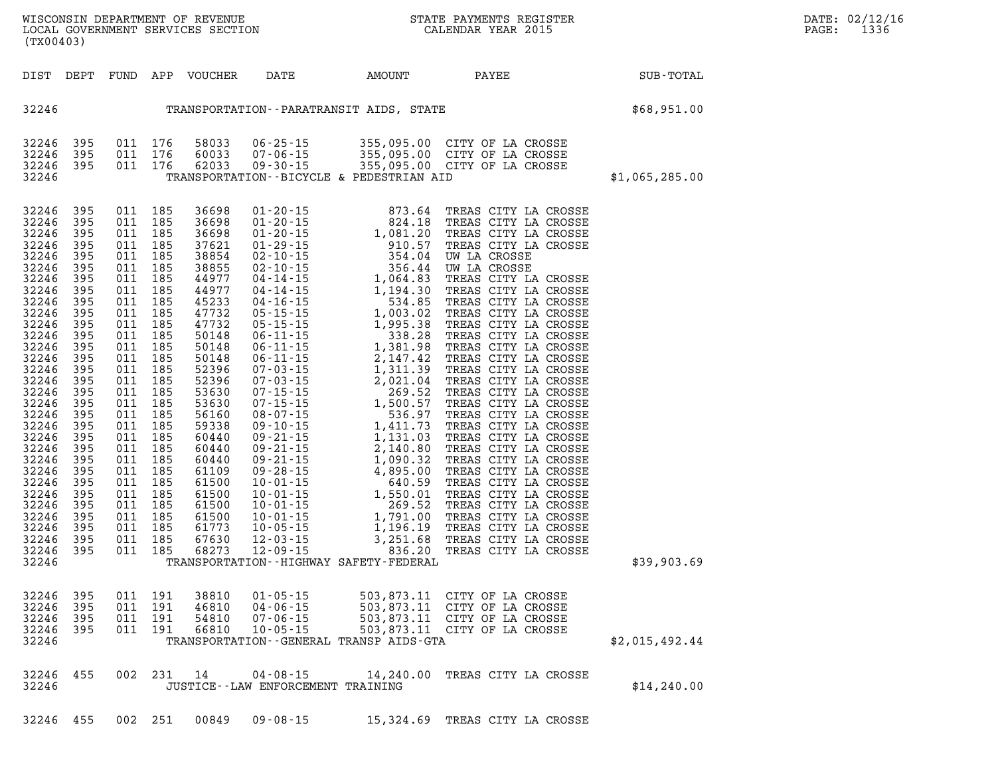**WISCONSIN DEPARTMENT OF REVENUE STATE PAYMENTS REGISTER DATE: 02/12/16 LOCAL GOVERNMENT SERVICES SECTION CALENDAR YEAR 2015 PAGE: 1336 (TX00403)** 

| DIST                                                                                                                                                                                                                                                                                         | DEPT                                                                                                                                                                                                                  | FUND                                                                                                                                                                                                                  | APP                                                                                                                                                                                                                   | VOUCHER                                                                                                                                                                                                                                                                             | DATE                                                                 | AMOUNT                                       | PAYEE                                                                                                                        | SUB-TOTAL      |
|----------------------------------------------------------------------------------------------------------------------------------------------------------------------------------------------------------------------------------------------------------------------------------------------|-----------------------------------------------------------------------------------------------------------------------------------------------------------------------------------------------------------------------|-----------------------------------------------------------------------------------------------------------------------------------------------------------------------------------------------------------------------|-----------------------------------------------------------------------------------------------------------------------------------------------------------------------------------------------------------------------|-------------------------------------------------------------------------------------------------------------------------------------------------------------------------------------------------------------------------------------------------------------------------------------|----------------------------------------------------------------------|----------------------------------------------|------------------------------------------------------------------------------------------------------------------------------|----------------|
| 32246                                                                                                                                                                                                                                                                                        |                                                                                                                                                                                                                       |                                                                                                                                                                                                                       |                                                                                                                                                                                                                       |                                                                                                                                                                                                                                                                                     |                                                                      |                                              | TRANSPORTATION - - PARATRANSIT AIDS, STATE                                                                                   | \$68,951.00    |
| 32246<br>32246<br>32246<br>32246                                                                                                                                                                                                                                                             | 395<br>395<br>395                                                                                                                                                                                                     | 011<br>011<br>011                                                                                                                                                                                                     | 176<br>176<br>176                                                                                                                                                                                                     | 58033<br>60033<br>62033                                                                                                                                                                                                                                                             | $07 - 06 - 15$                                                       | TRANSPORTATION--BICYCLE & PEDESTRIAN AID     | 06-25-15 355,095.00 CITY OF LA CROSSE<br>07-06-15 355,095.00 CITY OF LA CROSSE<br>09-30-15 355,095.00 CITY OF LA CROSSE      | \$1,065,285.00 |
| 32246<br>32246<br>32246<br>32246<br>32246<br>32246<br>32246<br>32246<br>32246<br>32246<br>32246<br>32246<br>32246<br>32246<br>32246<br>32246<br>32246<br>32246<br>32246<br>32246<br>32246<br>32246<br>32246<br>32246<br>32246<br>32246<br>32246<br>32246<br>32246<br>32246<br>32246<br>32246 | 395<br>395<br>395<br>395<br>395<br>395<br>395<br>395<br>395<br>395<br>395<br>395<br>395<br>395<br>395<br>395<br>395<br>395<br>395<br>395<br>395<br>395<br>395<br>395<br>395<br>395<br>395<br>395<br>395<br>395<br>395 | 011<br>011<br>011<br>011<br>011<br>011<br>011<br>011<br>011<br>011<br>011<br>011<br>011<br>011<br>011<br>011<br>011<br>011<br>011<br>011<br>011<br>011<br>011<br>011<br>011<br>011<br>011<br>011<br>011<br>011<br>011 | 185<br>185<br>185<br>185<br>185<br>185<br>185<br>185<br>185<br>185<br>185<br>185<br>185<br>185<br>185<br>185<br>185<br>185<br>185<br>185<br>185<br>185<br>185<br>185<br>185<br>185<br>185<br>185<br>185<br>185<br>185 | 36698<br>36698<br>36698<br>37621<br>38854<br>38855<br>44977<br>44977<br>45233<br>47732<br>47732<br>50148<br>50148<br>50148<br>52396<br>52396<br>53630<br>53630<br>56160<br>59338<br>60440<br>60440<br>60440<br>61109<br>61500<br>61500<br>61500<br>61500<br>61773<br>67630<br>68273 |                                                                      | TRANSPORTATION - - HIGHWAY SAFETY - FEDERAL  |                                                                                                                              | \$39,903.69    |
| 32246<br>32246<br>32246<br>32246<br>32246                                                                                                                                                                                                                                                    | 395<br>395<br>395<br>395                                                                                                                                                                                              | 011<br>011<br>011<br>011                                                                                                                                                                                              | 191<br>191<br>191<br>191                                                                                                                                                                                              | 38810<br>46810<br>54810<br>66810                                                                                                                                                                                                                                                    | $01 - 05 - 15$<br>$04 - 06 - 15$<br>$07 - 06 - 15$<br>$10 - 05 - 15$ | TRANSPORTATION - - GENERAL TRANSP AIDS - GTA | 503,873.11 CITY OF LA CROSSE<br>503,873.11 CITY OF LA CROSSE<br>503,873.11 CITY OF LA CROSSE<br>503,873.11 CITY OF LA CROSSE | \$2,015,492.44 |
| 32246<br>32246                                                                                                                                                                                                                                                                               | 455                                                                                                                                                                                                                   | 002                                                                                                                                                                                                                   | 231                                                                                                                                                                                                                   | 14                                                                                                                                                                                                                                                                                  | $04 - 08 - 15$<br>JUSTICE - - LAW ENFORCEMENT TRAINING               | 14,240.00                                    | TREAS CITY LA CROSSE                                                                                                         | \$14, 240.00   |

**32246 455 002 251 00849 09-08-15 15,324.69 TREAS CITY LA CROSSE**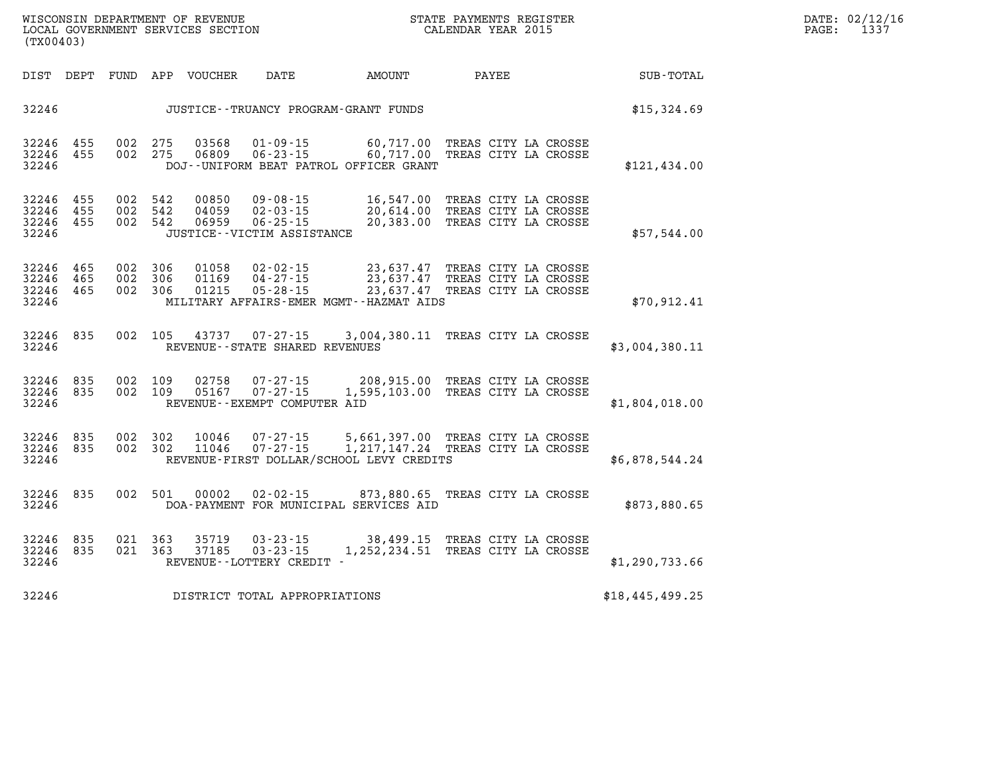| WISCONSIN DEPARTMENT OF REVENUE   | PAYMENTS REGISTER<br>STATE |      | DATE: 02/12/16 |
|-----------------------------------|----------------------------|------|----------------|
| LOCAL GOVERNMENT SERVICES SECTION | CALENDAR YEAR 2015         | PAGE | .              |

| (TX00403)                        |                   |                   |                   |                         |                                                                                     |                                                                                |                                                                      |                 |
|----------------------------------|-------------------|-------------------|-------------------|-------------------------|-------------------------------------------------------------------------------------|--------------------------------------------------------------------------------|----------------------------------------------------------------------|-----------------|
| DIST                             | DEPT              | FUND              | APP               | VOUCHER                 | DATE                                                                                | AMOUNT                                                                         | PAYEE                                                                | SUB-TOTAL       |
| 32246                            |                   |                   |                   |                         |                                                                                     | JUSTICE - - TRUANCY PROGRAM - GRANT FUNDS                                      |                                                                      | \$15,324.69     |
| 32246<br>32246<br>32246          | 455<br>455        | 002<br>002        | 275<br>275        | 03568<br>06809          | $01 - 09 - 15$<br>$06 - 23 - 15$                                                    | 60,717.00<br>60,717.00<br>DOJ--UNIFORM BEAT PATROL OFFICER GRANT               | TREAS CITY LA CROSSE<br>TREAS CITY LA CROSSE                         | \$121,434.00    |
| 32246<br>32246<br>32246<br>32246 | 455<br>455<br>455 | 002<br>002<br>002 | 542<br>542<br>542 | 00850<br>04059<br>06959 | $09 - 08 - 15$<br>$02 - 03 - 15$<br>$06 - 25 - 15$<br>JUSTICE - - VICTIM ASSISTANCE | 16,547.00<br>20,614.00<br>20,383.00                                            | TREAS CITY LA CROSSE<br>TREAS CITY LA CROSSE<br>TREAS CITY LA CROSSE | \$57,544.00     |
| 32246<br>32246<br>32246<br>32246 | 465<br>465<br>465 | 002<br>002<br>002 | 306<br>306<br>306 | 01058<br>01169<br>01215 | $02 - 02 - 15$<br>$04 - 27 - 15$<br>$05 - 28 - 15$                                  | 23,637.47<br>23,637.47<br>23,637.47<br>MILITARY AFFAIRS-EMER MGMT--HAZMAT AIDS | TREAS CITY LA CROSSE<br>TREAS CITY LA CROSSE<br>TREAS CITY LA CROSSE | \$70,912.41     |
| 32246<br>32246                   | 835               | 002               | 105               | 43737                   | $07 - 27 - 15$<br>REVENUE - - STATE SHARED REVENUES                                 | 3,004,380.11                                                                   | TREAS CITY LA CROSSE                                                 | \$3,004,380.11  |
| 32246<br>32246<br>32246          | 835<br>835        | 002<br>002        | 109<br>109        | 02758<br>05167          | $07 - 27 - 15$<br>$07 - 27 - 15$<br>REVENUE - - EXEMPT COMPUTER AID                 | 208,915.00<br>1,595,103.00                                                     | TREAS CITY LA CROSSE<br>TREAS CITY LA CROSSE                         | \$1,804,018.00  |
| 32246<br>32246<br>32246          | 835<br>835        | 002<br>002        | 302<br>302        | 10046<br>11046          | $07 - 27 - 15$<br>$07 - 27 - 15$                                                    | 5,661,397.00<br>1, 217, 147. 24<br>REVENUE-FIRST DOLLAR/SCHOOL LEVY CREDITS    | TREAS CITY LA CROSSE<br>TREAS CITY LA CROSSE                         | \$6,878,544.24  |
| 32246<br>32246                   | 835               | 002               | 501               | 00002                   | $02 - 02 - 15$                                                                      | 873,880.65<br>DOA-PAYMENT FOR MUNICIPAL SERVICES AID                           | TREAS CITY LA CROSSE                                                 | \$873,880.65    |
| 32246<br>32246<br>32246          | 835<br>835        | 021<br>021        | 363<br>363        | 35719<br>37185          | $03 - 23 - 15$<br>$03 - 23 - 15$<br>REVENUE - - LOTTERY CREDIT -                    | 38,499.15<br>1,252,234.51                                                      | TREAS CITY LA CROSSE<br>TREAS CITY LA CROSSE                         | \$1,290,733.66  |
| 32246                            |                   |                   |                   |                         | DISTRICT TOTAL APPROPRIATIONS                                                       |                                                                                |                                                                      | \$18,445,499.25 |

**WISCONSIN DEPARTMENT OF REVENUE STATE STATE PAYMENTS REGISTER**<br>LOCAL GOVERNMENT SERVICES SECTION STATE: OF BALENDAR YEAR 2015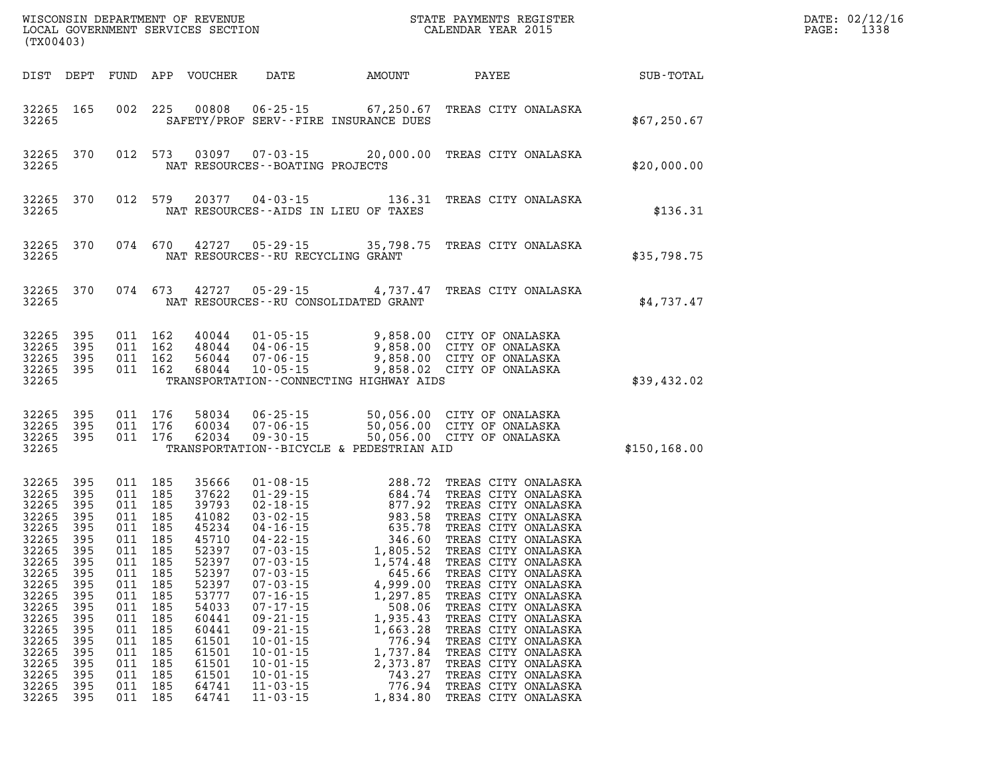| WISCONSIN DEPARTMENT OF REVENUE<br>LOCAL GOVERNMENT SERVICES SECTION<br>CALENDAR YEAR 2015<br>(TX00403)                                                                                  |                                                                                                                             |            |                                                                                                                                                                                                                  |                                                                                                                                                                                  |                                                                                                                                                                                                    |                                                                                                                                                                                                                                                                                                                                                                                                                                                                   |                                                                                                                                                                                                                                                                                                                                                                                                                                                                                          |               | DATE: 02/12/16<br>$\mathtt{PAGE}$ :<br>1338 |
|------------------------------------------------------------------------------------------------------------------------------------------------------------------------------------------|-----------------------------------------------------------------------------------------------------------------------------|------------|------------------------------------------------------------------------------------------------------------------------------------------------------------------------------------------------------------------|----------------------------------------------------------------------------------------------------------------------------------------------------------------------------------|----------------------------------------------------------------------------------------------------------------------------------------------------------------------------------------------------|-------------------------------------------------------------------------------------------------------------------------------------------------------------------------------------------------------------------------------------------------------------------------------------------------------------------------------------------------------------------------------------------------------------------------------------------------------------------|------------------------------------------------------------------------------------------------------------------------------------------------------------------------------------------------------------------------------------------------------------------------------------------------------------------------------------------------------------------------------------------------------------------------------------------------------------------------------------------|---------------|---------------------------------------------|
| DIST DEPT                                                                                                                                                                                |                                                                                                                             |            |                                                                                                                                                                                                                  |                                                                                                                                                                                  |                                                                                                                                                                                                    |                                                                                                                                                                                                                                                                                                                                                                                                                                                                   | FUND APP VOUCHER DATE AMOUNT PAYEE                                                                                                                                                                                                                                                                                                                                                                                                                                                       | SUB-TOTAL     |                                             |
| 32265 165<br>32265                                                                                                                                                                       |                                                                                                                             |            |                                                                                                                                                                                                                  |                                                                                                                                                                                  |                                                                                                                                                                                                    | SAFETY/PROF SERV--FIRE INSURANCE DUES                                                                                                                                                                                                                                                                                                                                                                                                                             | 002 225 00808 06-25-15 67,250.67 TREAS CITY ONALASKA                                                                                                                                                                                                                                                                                                                                                                                                                                     | \$67,250.67   |                                             |
| 32265<br>32265                                                                                                                                                                           | 370                                                                                                                         |            |                                                                                                                                                                                                                  |                                                                                                                                                                                  | NAT RESOURCES - - BOATING PROJECTS                                                                                                                                                                 |                                                                                                                                                                                                                                                                                                                                                                                                                                                                   | 012 573 03097 07-03-15 20,000.00 TREAS CITY ONALASKA                                                                                                                                                                                                                                                                                                                                                                                                                                     | \$20,000.00   |                                             |
| 32265<br>32265                                                                                                                                                                           | 370                                                                                                                         |            | 012 579                                                                                                                                                                                                          |                                                                                                                                                                                  |                                                                                                                                                                                                    | NAT RESOURCES--AIDS IN LIEU OF TAXES                                                                                                                                                                                                                                                                                                                                                                                                                              | 20377  04-03-15  136.31  TREAS CITY ONALASKA                                                                                                                                                                                                                                                                                                                                                                                                                                             | \$136.31      |                                             |
| 32265<br>32265                                                                                                                                                                           | 370                                                                                                                         |            |                                                                                                                                                                                                                  |                                                                                                                                                                                  | NAT RESOURCES - - RU RECYCLING GRANT                                                                                                                                                               |                                                                                                                                                                                                                                                                                                                                                                                                                                                                   | 074 670 42727 05-29-15 35,798.75 TREAS CITY ONALASKA                                                                                                                                                                                                                                                                                                                                                                                                                                     | \$35,798.75   |                                             |
| 32265 370<br>32265                                                                                                                                                                       |                                                                                                                             |            | 074 673                                                                                                                                                                                                          |                                                                                                                                                                                  |                                                                                                                                                                                                    | NAT RESOURCES - - RU CONSOLIDATED GRANT                                                                                                                                                                                                                                                                                                                                                                                                                           | 42727 05-29-15 4,737.47 TREAS CITY ONALASKA                                                                                                                                                                                                                                                                                                                                                                                                                                              | \$4,737.47    |                                             |
| 32265<br>32265<br>32265<br>32265 395<br>32265                                                                                                                                            | 395<br>395<br>395                                                                                                           |            | 011 162<br>011 162<br>011 162<br>011 162                                                                                                                                                                         |                                                                                                                                                                                  |                                                                                                                                                                                                    | TRANSPORTATION -- CONNECTING HIGHWAY AIDS                                                                                                                                                                                                                                                                                                                                                                                                                         | 40044 01-05-15 9,858.00 CITY OF ONALASKA<br>48044 04-06-15 9,858.00 CITY OF ONALASKA<br>56044 07-06-15 9,858.00 CITY OF ONALASKA<br>68044 10-05-15 9,858.02 CITY OF ONALASKA                                                                                                                                                                                                                                                                                                             | \$39,432.02   |                                             |
| 32265 395<br>32265 395<br>32265 395<br>32265                                                                                                                                             |                                                                                                                             |            | 011 176<br>011 176<br>011 176                                                                                                                                                                                    | 62034                                                                                                                                                                            |                                                                                                                                                                                                    | TRANSPORTATION--BICYCLE & PEDESTRIAN AID                                                                                                                                                                                                                                                                                                                                                                                                                          | 58034  06-25-15  50,056.00  CITY OF ONALASKA<br>60034  07-06-15  50,056.00  CITY OF ONALASKA<br>62034  09-30-15  50,056.00  CITY OF ONALASKA                                                                                                                                                                                                                                                                                                                                             | \$150, 168.00 |                                             |
| 32265<br>32265<br>32265<br>32265<br>32265 395<br>32265<br>32265<br>32265<br>32265 395<br>32265<br>32265<br>32265<br>32265<br>32265<br>32265<br>32265<br>32265<br>32265<br>32265<br>32265 | 395<br>395<br>395<br>395<br>395<br>395<br>395<br>395<br>395<br>395<br>395<br>395<br>395<br>395<br>395<br>395<br>395<br>-395 | 011<br>011 | 011 185<br>011 185<br>011 185<br>011 185<br>011 185<br>011 185<br>011 185<br>011 185<br>011 185<br>185<br>011 185<br>011 185<br>011 185<br>011 185<br>011 185<br>185<br>011 185<br>011 185<br>011 185<br>011 185 | 35666<br>37622<br>39793<br>41082<br>45234<br>45710<br>52397<br>52397<br>52397<br>52397<br>53777<br>54033<br>60441<br>60441<br>61501<br>61501<br>61501<br>61501<br>64741<br>64741 | $07 - 03 - 15$<br>$07 - 16 - 15$<br>$07 - 17 - 15$<br>$09 - 21 - 15$<br>$09 - 21 - 15$<br>$10 - 01 - 15$<br>$10 - 01 - 15$<br>$10 - 01 - 15$<br>$10 - 01 - 15$<br>$11 - 03 - 15$<br>$11 - 03 - 15$ | $\begin{array}{cccc} 01\cdot 08\cdot 15 & 288\cdot 72 \\ 01\cdot 29\cdot 15 & 684\cdot 74 \\ 02\cdot 18\cdot 15 & 877\cdot 92 \\ 03\cdot 02\cdot 15 & 983\cdot 58 \\ 04\cdot 16\cdot 15 & 635\cdot 78 \\ 07\cdot 03\cdot 15 & 1,805\cdot 52 \\ 07\cdot 03\cdot 15 & 1,574\cdot 48 \\ 07\cdot 03\cdot 15 & 645\cdot 66 \\ \end{array}$<br>4,999.00<br>1,297.85<br>508.06<br>1,935.43<br>1,663.28<br>776.94<br>1,737.84<br>2,373.87<br>743.27<br>776.94<br>1,834.80 | TREAS CITY ONALASKA<br>TREAS CITY ONALASKA<br>TREAS CITY ONALASKA<br>TREAS CITY ONALASKA<br>TREAS CITY ONALASKA<br>TREAS CITY ONALASKA<br>TREAS CITY ONALASKA<br>TREAS CITY ONALASKA<br>07-03-15 645.66 TREAS CITY ONALASKA<br>TREAS CITY ONALASKA<br>TREAS CITY ONALASKA<br>TREAS CITY ONALASKA<br>TREAS CITY ONALASKA<br>TREAS CITY ONALASKA<br>TREAS CITY ONALASKA<br>TREAS CITY ONALASKA<br>TREAS CITY ONALASKA<br>TREAS CITY ONALASKA<br>TREAS CITY ONALASKA<br>TREAS CITY ONALASKA |               |                                             |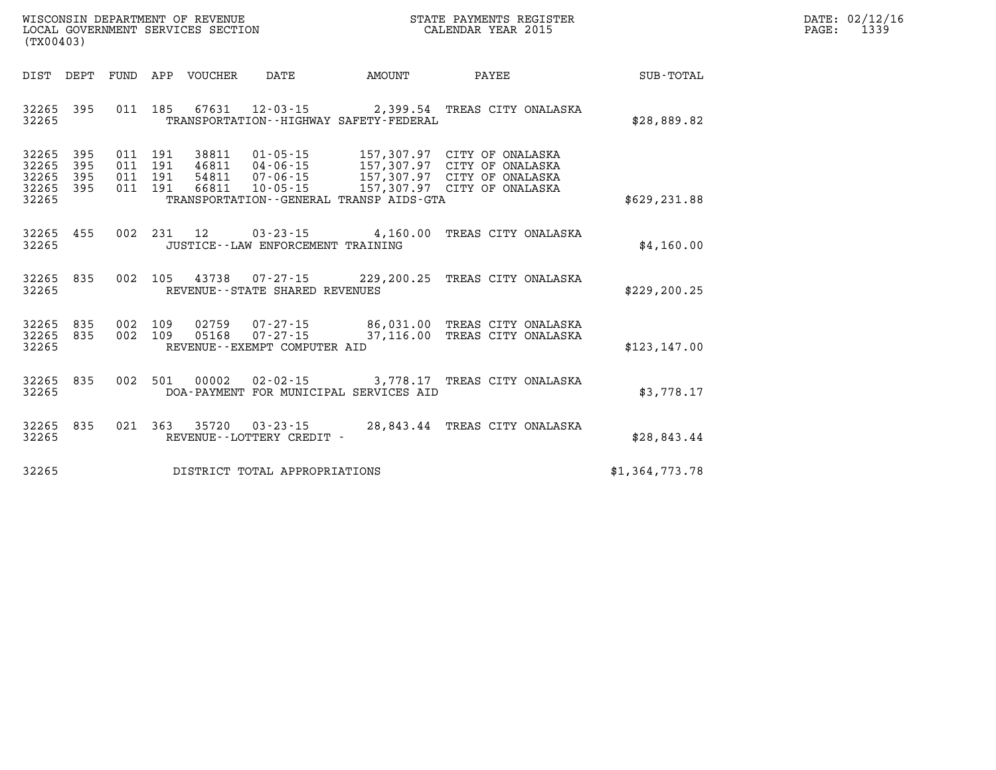| $\mathtt{DATE}$ : | 02/12/16 |
|-------------------|----------|
| PAGE:             | 1339     |

| DIST<br>DEPT                                                          | <b>FUND</b><br>APP<br><b>VOUCHER</b>                                                     | DATE                                                                                                            | AMOUNT                                 | PAYEE                                                                                   | <b>SUB-TOTAL</b> |
|-----------------------------------------------------------------------|------------------------------------------------------------------------------------------|-----------------------------------------------------------------------------------------------------------------|----------------------------------------|-----------------------------------------------------------------------------------------|------------------|
| 395<br>32265<br>32265                                                 | 011<br>185<br>67631                                                                      | $12 - 03 - 15$ 2,399.54<br>TRANSPORTATION - - HIGHWAY SAFETY - FEDERAL                                          |                                        | TREAS CITY ONALASKA                                                                     | \$28,889.82      |
| 32265<br>395<br>395<br>32265<br>395<br>32265<br>32265<br>395<br>32265 | 011<br>191<br>38811<br>191<br>011<br>46811<br>191<br>011<br>54811<br>191<br>011<br>66811 | $01 - 05 - 15$<br>$04 - 06 - 15$<br>$07 - 06 - 15$<br>$10 - 05 - 15$<br>TRANSPORTATION--GENERAL TRANSP AIDS-GTA | 157,307.97<br>157,307.97<br>157,307.97 | CITY OF ONALASKA<br>CITY OF ONALASKA<br>CITY OF ONALASKA<br>157,307.97 CITY OF ONALASKA | \$629, 231.88    |
| 32265<br>455<br>32265                                                 | 002<br>231<br>$12 \overline{ }$                                                          | $03 - 23 - 15$<br>JUSTICE - - LAW ENFORCEMENT TRAINING                                                          | 4,160.00                               | TREAS CITY ONALASKA                                                                     | \$4,160.00       |
| 32265<br>835<br>32265                                                 | 002<br>105<br>43738                                                                      | $07 - 27 - 15$<br>REVENUE - - STATE SHARED REVENUES                                                             | 229,200.25                             | TREAS CITY ONALASKA                                                                     | \$229, 200.25    |
| 32265<br>835<br>32265<br>835<br>32265                                 | 002<br>109<br>02759<br>002<br>109<br>05168                                               | $07 - 27 - 15$<br>$07 - 27 - 15$<br>REVENUE--EXEMPT COMPUTER AID                                                | 86,031.00<br>37,116.00                 | TREAS CITY ONALASKA<br>TREAS CITY ONALASKA                                              | \$123, 147.00    |
| 32265<br>835<br>32265                                                 | 002<br>501<br>00002                                                                      | $02 - 02 - 15$<br>DOA-PAYMENT FOR MUNICIPAL SERVICES AID                                                        | 3,778.17                               | TREAS CITY ONALASKA                                                                     | \$3,778.17       |
| 835<br>32265<br>32265                                                 | 021<br>363<br>35720                                                                      | $03 - 23 - 15$<br>REVENUE--LOTTERY CREDIT -                                                                     | 28,843.44                              | TREAS CITY ONALASKA                                                                     | \$28,843.44      |
| 32265                                                                 |                                                                                          | DISTRICT TOTAL APPROPRIATIONS                                                                                   |                                        |                                                                                         | \$1,364,773.78   |

WISCONSIN DEPARTMENT OF REVENUE **STATE PAYMENTS REGISTER**<br>LOCAL GOVERNMENT SERVICES SECTION

LOCAL GOVERNMENT SERVICES SECTION

**(TX00403)**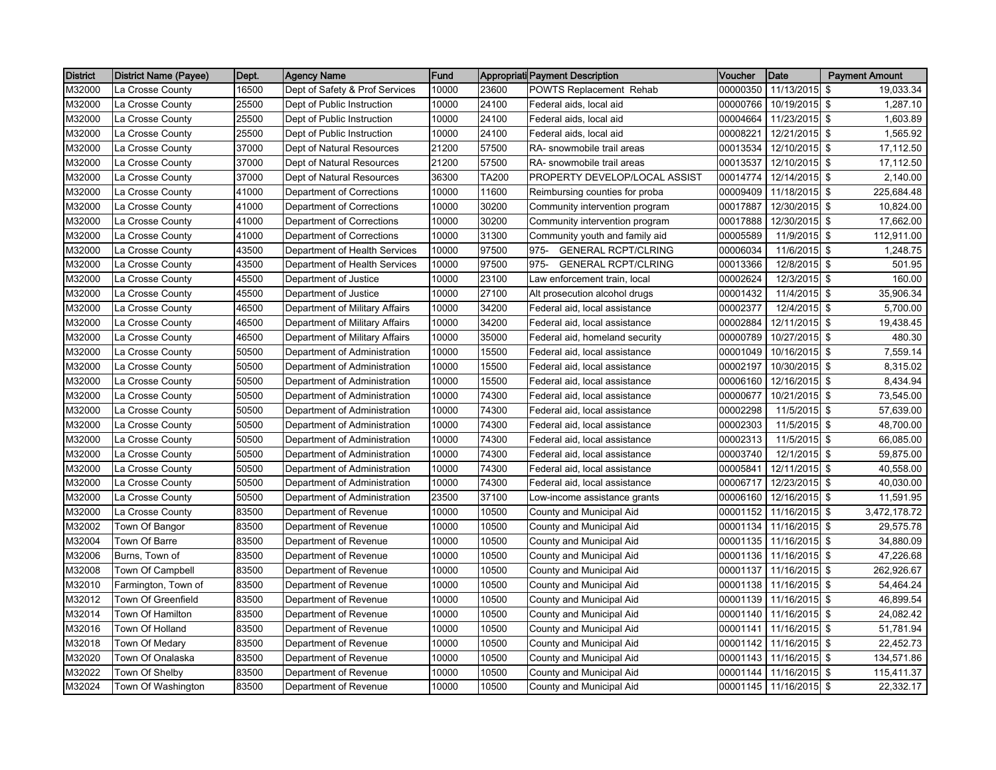| <b>District</b> | District Name (Payee) | Dept. | <b>Agency Name</b>             | Fund  |       | Appropriati Payment Description    | Voucher  | Date           | <b>Payment Amount</b> |
|-----------------|-----------------------|-------|--------------------------------|-------|-------|------------------------------------|----------|----------------|-----------------------|
| M32000          | La Crosse County      | 16500 | Dept of Safety & Prof Services | 10000 | 23600 | <b>POWTS Replacement Rehab</b>     | 00000350 | 11/13/2015     | \$<br>19,033.34       |
| M32000          | La Crosse County      | 25500 | Dept of Public Instruction     | 10000 | 24100 | Federal aids, local aid            | 00000766 | 10/19/2015     | \$<br>1,287.10        |
| M32000          | La Crosse County      | 25500 | Dept of Public Instruction     | 10000 | 24100 | Federal aids, local aid            | 00004664 | 11/23/2015 \$  | 1,603.89              |
| M32000          | La Crosse County      | 25500 | Dept of Public Instruction     | 10000 | 24100 | Federal aids, local aid            | 00008221 | 12/21/2015 \$  | 1,565.92              |
| M32000          | La Crosse County      | 37000 | Dept of Natural Resources      | 21200 | 57500 | RA- snowmobile trail areas         | 00013534 | 12/10/2015 \$  | 17,112.50             |
| M32000          | La Crosse County      | 37000 | Dept of Natural Resources      | 21200 | 57500 | RA- snowmobile trail areas         | 00013537 | 12/10/2015 \$  | 17,112.50             |
| M32000          | La Crosse County      | 37000 | Dept of Natural Resources      | 36300 | TA200 | PROPERTY DEVELOP/LOCAL ASSIST      | 00014774 | 12/14/2015 \$  | 2,140.00              |
| M32000          | La Crosse County      | 41000 | Department of Corrections      | 10000 | 11600 | Reimbursing counties for proba     | 00009409 | 11/18/2015 \$  | 225,684.48            |
| M32000          | La Crosse County      | 41000 | Department of Corrections      | 10000 | 30200 | Community intervention program     | 00017887 | 12/30/2015 \$  | 10,824.00             |
| M32000          | La Crosse County      | 41000 | Department of Corrections      | 10000 | 30200 | Community intervention program     | 00017888 | 12/30/2015 \$  | 17,662.00             |
| M32000          | La Crosse County      | 41000 | Department of Corrections      | 10000 | 31300 | Community youth and family aid     | 00005589 | 11/9/2015 \$   | 112,911.00            |
| M32000          | La Crosse County      | 43500 | Department of Health Services  | 10000 | 97500 | <b>GENERAL RCPT/CLRING</b><br>975- | 00006034 | 11/6/2015 \$   | 1,248.75              |
| M32000          | La Crosse County      | 43500 | Department of Health Services  | 10000 | 97500 | 975-<br><b>GENERAL RCPT/CLRING</b> | 00013366 | 12/8/2015 \$   | 501.95                |
| M32000          | La Crosse County      | 45500 | Department of Justice          | 10000 | 23100 | Law enforcement train, local       | 00002624 | 12/3/2015 \$   | 160.00                |
| M32000          | La Crosse County      | 45500 | Department of Justice          | 10000 | 27100 | Alt prosecution alcohol drugs      | 00001432 | 11/4/2015 \$   | 35,906.34             |
| M32000          | La Crosse County      | 46500 | Department of Military Affairs | 10000 | 34200 | Federal aid, local assistance      | 00002377 | $12/4/2015$ \$ | 5,700.00              |
| M32000          | La Crosse County      | 46500 | Department of Military Affairs | 10000 | 34200 | Federal aid, local assistance      | 00002884 | 12/11/2015 \$  | 19,438.45             |
| M32000          | La Crosse County      | 46500 | Department of Military Affairs | 10000 | 35000 | Federal aid, homeland security     | 00000789 | 10/27/2015 \$  | 480.30                |
| M32000          | La Crosse County      | 50500 | Department of Administration   | 10000 | 15500 | Federal aid, local assistance      | 00001049 | 10/16/2015 \$  | 7,559.14              |
| M32000          | La Crosse County      | 50500 | Department of Administration   | 10000 | 15500 | Federal aid, local assistance      | 00002197 | 10/30/2015 \$  | 8,315.02              |
| M32000          | La Crosse County      | 50500 | Department of Administration   | 10000 | 15500 | Federal aid, local assistance      | 00006160 | 12/16/2015 \$  | 8,434.94              |
| M32000          | La Crosse County      | 50500 | Department of Administration   | 10000 | 74300 | Federal aid, local assistance      | 00000677 | 10/21/2015 \$  | 73,545.00             |
| M32000          | La Crosse County      | 50500 | Department of Administration   | 10000 | 74300 | Federal aid, local assistance      | 00002298 | 11/5/2015 \$   | 57,639.00             |
| M32000          | La Crosse County      | 50500 | Department of Administration   | 10000 | 74300 | Federal aid, local assistance      | 00002303 | 11/5/2015 \$   | 48,700.00             |
| M32000          | La Crosse County      | 50500 | Department of Administration   | 10000 | 74300 | Federal aid, local assistance      | 00002313 | 11/5/2015 \$   | 66,085.00             |
| M32000          | La Crosse County      | 50500 | Department of Administration   | 10000 | 74300 | Federal aid, local assistance      | 00003740 | 12/1/2015 \$   | 59,875.00             |
| M32000          | La Crosse County      | 50500 | Department of Administration   | 10000 | 74300 | Federal aid, local assistance      | 00005841 | 12/11/2015 \$  | 40,558.00             |
| M32000          | La Crosse County      | 50500 | Department of Administration   | 10000 | 74300 | Federal aid, local assistance      | 00006717 | 12/23/2015 \$  | 40,030.00             |
| M32000          | La Crosse County      | 50500 | Department of Administration   | 23500 | 37100 | Low-income assistance grants       | 00006160 | 12/16/2015 \$  | 11,591.95             |
| M32000          | La Crosse County      | 83500 | Department of Revenue          | 10000 | 10500 | County and Municipal Aid           | 00001152 | 11/16/2015 \$  | 3,472,178.72          |
| M32002          | Town Of Bangor        | 83500 | Department of Revenue          | 10000 | 10500 | County and Municipal Aid           | 00001134 | 11/16/2015 \$  | 29,575.78             |
| M32004          | Town Of Barre         | 83500 | Department of Revenue          | 10000 | 10500 | County and Municipal Aid           | 00001135 | 11/16/2015 \$  | 34,880.09             |
| M32006          | Burns, Town of        | 83500 | Department of Revenue          | 10000 | 10500 | County and Municipal Aid           | 00001136 | 11/16/2015 \$  | 47,226.68             |
| M32008          | Town Of Campbell      | 83500 | Department of Revenue          | 10000 | 10500 | County and Municipal Aid           | 00001137 | 11/16/2015 \$  | 262,926.67            |
| M32010          | Farmington, Town of   | 83500 | Department of Revenue          | 10000 | 10500 | County and Municipal Aid           | 00001138 | 11/16/2015 \$  | 54,464.24             |
| M32012          | Town Of Greenfield    | 83500 | Department of Revenue          | 10000 | 10500 | County and Municipal Aid           | 00001139 | 11/16/2015 \$  | 46,899.54             |
| M32014          | Town Of Hamilton      | 83500 | Department of Revenue          | 10000 | 10500 | County and Municipal Aid           | 00001140 | 11/16/2015 \$  | 24,082.42             |
| M32016          | Town Of Holland       | 83500 | Department of Revenue          | 10000 | 10500 | County and Municipal Aid           | 00001141 | 11/16/2015 \$  | 51,781.94             |
| M32018          | Town Of Medary        | 83500 | Department of Revenue          | 10000 | 10500 | County and Municipal Aid           | 00001142 | 11/16/2015 \$  | 22,452.73             |
| M32020          | Town Of Onalaska      | 83500 | Department of Revenue          | 10000 | 10500 | County and Municipal Aid           | 00001143 | 11/16/2015 \$  | 134,571.86            |
| M32022          | Town Of Shelby        | 83500 | Department of Revenue          | 10000 | 10500 | County and Municipal Aid           | 00001144 | 11/16/2015 \$  | 115,411.37            |
| M32024          | Town Of Washington    | 83500 | Department of Revenue          | 10000 | 10500 | County and Municipal Aid           | 00001145 | 11/16/2015 \$  | 22,332.17             |